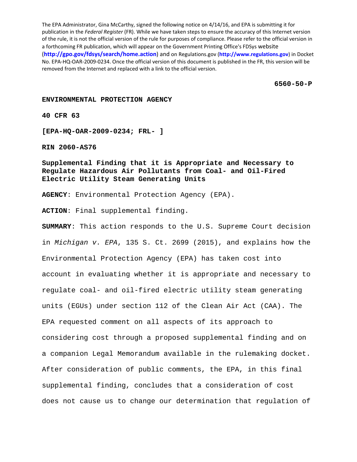The EPA Administrator, Gina McCarthy, signed the following notice on 4/14/16, and EPA is submitting it for publication in the *Federal Register* (FR). While we have taken steps to ensure the accuracy of this Internet version of the rule, it is not the official version of the rule for purposes of compliance. Please refer to the official version in a forthcoming FR publication, which will appear on the Government Printing Office's FDSys website (**http://gpo.gov/fdsys/search/home.action**) and on Regulations.gov (**http://www.regulations.gov**) in Docket No. EPA‐HQ‐OAR‐2009‐0234. Once the official version of this document is published in the FR, this version will be removed from the Internet and replaced with a link to the official version.

**6560-50-P** 

### **ENVIRONMENTAL PROTECTION AGENCY**

**40 CFR 63** 

**[EPA-HQ-OAR-2009-0234; FRL- ]** 

**RIN 2060-AS76** 

**Supplemental Finding that it is Appropriate and Necessary to Regulate Hazardous Air Pollutants from Coal- and Oil-Fired Electric Utility Steam Generating Units** 

**AGENCY**: Environmental Protection Agency (EPA).

**ACTION**: Final supplemental finding.

**SUMMARY**: This action responds to the U.S. Supreme Court decision in *Michigan v. EPA*, 135 S. Ct. 2699 (2015), and explains how the Environmental Protection Agency (EPA) has taken cost into account in evaluating whether it is appropriate and necessary to regulate coal- and oil-fired electric utility steam generating units (EGUs) under section 112 of the Clean Air Act (CAA). The EPA requested comment on all aspects of its approach to considering cost through a proposed supplemental finding and on a companion Legal Memorandum available in the rulemaking docket. After consideration of public comments, the EPA, in this final supplemental finding, concludes that a consideration of cost does not cause us to change our determination that regulation of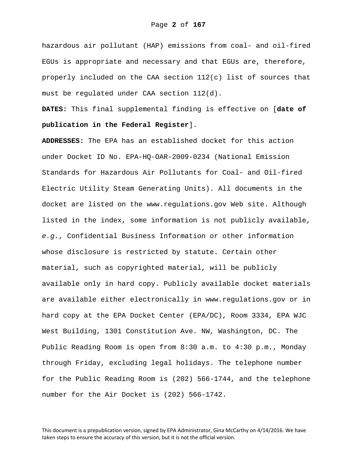hazardous air pollutant (HAP) emissions from coal- and oil-fired EGUs is appropriate and necessary and that EGUs are, therefore, properly included on the CAA section 112(c) list of sources that must be regulated under CAA section 112(d).

**DATES:** This final supplemental finding is effective on [**date of publication in the Federal Register**].

**ADDRESSES:** The EPA has an established docket for this action under Docket ID No. EPA-HQ-OAR-2009-0234 (National Emission Standards for Hazardous Air Pollutants for Coal- and Oil-fired Electric Utility Steam Generating Units). All documents in the docket are listed on the www.regulations.gov Web site. Although listed in the index, some information is not publicly available, *e.g.*, Confidential Business Information or other information whose disclosure is restricted by statute. Certain other material, such as copyrighted material, will be publicly available only in hard copy. Publicly available docket materials are available either electronically in www.regulations.gov or in hard copy at the EPA Docket Center (EPA/DC), Room 3334, EPA WJC West Building, 1301 Constitution Ave. NW, Washington, DC. The Public Reading Room is open from 8:30 a.m. to 4:30 p.m., Monday through Friday, excluding legal holidays. The telephone number for the Public Reading Room is (202) 566-1744, and the telephone number for the Air Docket is (202) 566-1742.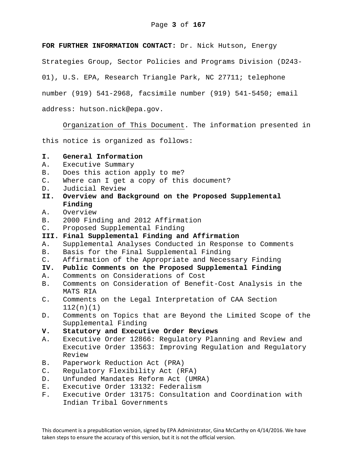**FOR FURTHER INFORMATION CONTACT:** Dr. Nick Hutson, Energy

Strategies Group, Sector Policies and Programs Division (D243-

01), U.S. EPA, Research Triangle Park, NC 27711; telephone

number (919) 541-2968, facsimile number (919) 541-5450; email

address: hutson.nick@epa.gov.

Organization of This Document. The information presented in

this notice is organized as follows:

# **I. General Information**

- A. Executive Summary
- B. Does this action apply to me?
- C. Where can I get a copy of this document?
- D. Judicial Review
- **II. Overview and Background on the Proposed Supplemental Finding**
- A. Overview
- B. 2000 Finding and 2012 Affirmation
- C. Proposed Supplemental Finding
- **III. Final Supplemental Finding and Affirmation**
- A. Supplemental Analyses Conducted in Response to Comments
- B. Basis for the Final Supplemental Finding
- C. Affirmation of the Appropriate and Necessary Finding
- **IV. Public Comments on the Proposed Supplemental Finding**
- A. Comments on Considerations of Cost
- B. Comments on Consideration of Benefit-Cost Analysis in the MATS RIA
- C. Comments on the Legal Interpretation of CAA Section 112(n)(1)
- D. Comments on Topics that are Beyond the Limited Scope of the Supplemental Finding

### **V. Statutory and Executive Order Reviews**

- A. Executive Order 12866: Regulatory Planning and Review and Executive Order 13563: Improving Regulation and Regulatory Review
- B. Paperwork Reduction Act (PRA)
- C. Regulatory Flexibility Act (RFA)
- D. Unfunded Mandates Reform Act (UMRA)
- E. Executive Order 13132: Federalism
- F. Executive Order 13175: Consultation and Coordination with Indian Tribal Governments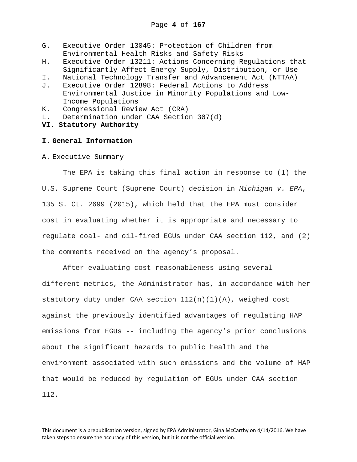- G. Executive Order 13045: Protection of Children from Environmental Health Risks and Safety Risks
- H. Executive Order 13211: Actions Concerning Regulations that Significantly Affect Energy Supply, Distribution, or Use
- I. National Technology Transfer and Advancement Act (NTTAA)
- J. Executive Order 12898: Federal Actions to Address Environmental Justice in Minority Populations and Low-Income Populations
- K. Congressional Review Act (CRA)
- L. Determination under CAA Section 307(d)
- **VI. Statutory Authority**

## **I. General Information**

A. Executive Summary

The EPA is taking this final action in response to (1) the U.S. Supreme Court (Supreme Court) decision in *Michigan v. EPA*, 135 S. Ct. 2699 (2015), which held that the EPA must consider cost in evaluating whether it is appropriate and necessary to regulate coal- and oil-fired EGUs under CAA section 112, and (2) the comments received on the agency's proposal.

After evaluating cost reasonableness using several different metrics, the Administrator has, in accordance with her statutory duty under CAA section  $112(n)(1)(A)$ , weighed cost against the previously identified advantages of regulating HAP emissions from EGUs -- including the agency's prior conclusions about the significant hazards to public health and the environment associated with such emissions and the volume of HAP that would be reduced by regulation of EGUs under CAA section 112.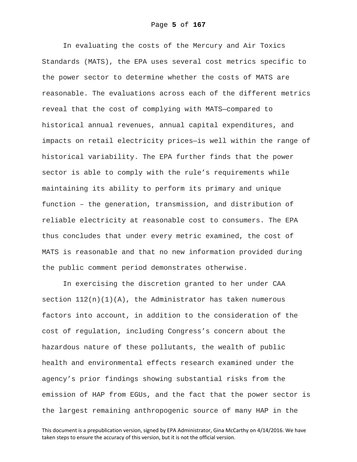In evaluating the costs of the Mercury and Air Toxics Standards (MATS), the EPA uses several cost metrics specific to the power sector to determine whether the costs of MATS are reasonable. The evaluations across each of the different metrics reveal that the cost of complying with MATS—compared to historical annual revenues, annual capital expenditures, and impacts on retail electricity prices—is well within the range of historical variability. The EPA further finds that the power sector is able to comply with the rule's requirements while maintaining its ability to perform its primary and unique function – the generation, transmission, and distribution of reliable electricity at reasonable cost to consumers. The EPA thus concludes that under every metric examined, the cost of MATS is reasonable and that no new information provided during the public comment period demonstrates otherwise.

In exercising the discretion granted to her under CAA section  $112(n)(1)(A)$ , the Administrator has taken numerous factors into account, in addition to the consideration of the cost of regulation, including Congress's concern about the hazardous nature of these pollutants, the wealth of public health and environmental effects research examined under the agency's prior findings showing substantial risks from the emission of HAP from EGUs, and the fact that the power sector is the largest remaining anthropogenic source of many HAP in the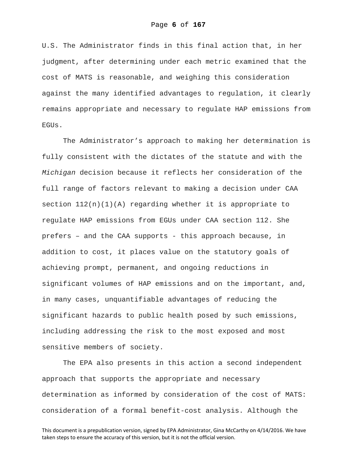U.S. The Administrator finds in this final action that, in her judgment, after determining under each metric examined that the cost of MATS is reasonable, and weighing this consideration against the many identified advantages to regulation, it clearly remains appropriate and necessary to regulate HAP emissions from EGUs.

The Administrator's approach to making her determination is fully consistent with the dictates of the statute and with the *Michigan* decision because it reflects her consideration of the full range of factors relevant to making a decision under CAA section 112(n)(1)(A) regarding whether it is appropriate to regulate HAP emissions from EGUs under CAA section 112. She prefers – and the CAA supports - this approach because, in addition to cost, it places value on the statutory goals of achieving prompt, permanent, and ongoing reductions in significant volumes of HAP emissions and on the important, and, in many cases, unquantifiable advantages of reducing the significant hazards to public health posed by such emissions, including addressing the risk to the most exposed and most sensitive members of society.

The EPA also presents in this action a second independent approach that supports the appropriate and necessary determination as informed by consideration of the cost of MATS: consideration of a formal benefit-cost analysis. Although the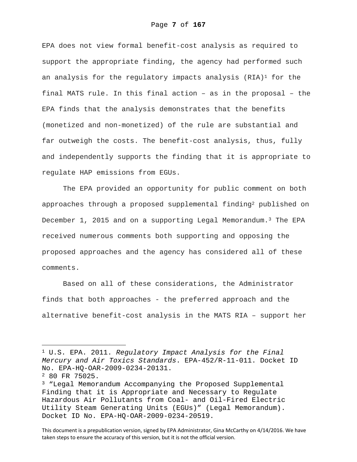EPA does not view formal benefit-cost analysis as required to support the appropriate finding, the agency had performed such an analysis for the regulatory impacts analysis  $(RIA)^1$  for the final MATS rule. In this final action – as in the proposal – the EPA finds that the analysis demonstrates that the benefits (monetized and non-monetized) of the rule are substantial and far outweigh the costs. The benefit-cost analysis, thus, fully and independently supports the finding that it is appropriate to regulate HAP emissions from EGUs.

The EPA provided an opportunity for public comment on both approaches through a proposed supplemental finding<sup>2</sup> published on December 1, 2015 and on a supporting Legal Memorandum.3 The EPA received numerous comments both supporting and opposing the proposed approaches and the agency has considered all of these comments.

Based on all of these considerations, the Administrator finds that both approaches - the preferred approach and the alternative benefit-cost analysis in the MATS RIA – support her

i<br>Li

This document is a prepublication version, signed by EPA Administrator, Gina McCarthy on 4/14/2016. We have taken steps to ensure the accuracy of this version, but it is not the official version.

<sup>1</sup> U.S. EPA. 2011. *Regulatory Impact Analysis for the Final Mercury and Air Toxics Standards*. EPA-452/R-11-011. Docket ID No. EPA-HQ-OAR-2009-0234-20131.

<sup>2 80</sup> FR 75025.

<sup>3 &</sup>quot;Legal Memorandum Accompanying the Proposed Supplemental Finding that it is Appropriate and Necessary to Regulate Hazardous Air Pollutants from Coal- and Oil-Fired Electric Utility Steam Generating Units (EGUs)" (Legal Memorandum). Docket ID No. EPA-HQ-OAR-2009-0234-20519.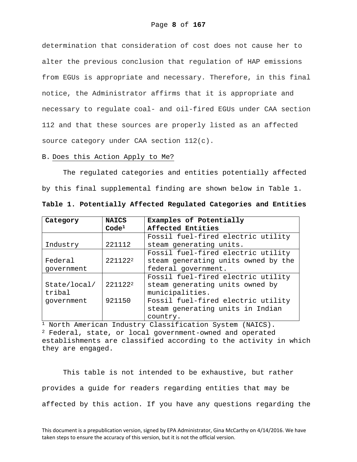determination that consideration of cost does not cause her to alter the previous conclusion that regulation of HAP emissions from EGUs is appropriate and necessary. Therefore, in this final notice, the Administrator affirms that it is appropriate and necessary to regulate coal- and oil-fired EGUs under CAA section 112 and that these sources are properly listed as an affected source category under CAA section 112(c).

#### B. Does this Action Apply to Me?

The regulated categories and entities potentially affected by this final supplemental finding are shown below in Table 1.

| Category     | <b>NAICS</b>      | Examples of Potentially             |  |  |  |  |
|--------------|-------------------|-------------------------------------|--|--|--|--|
|              | Code <sup>1</sup> | Affected Entities                   |  |  |  |  |
|              |                   | Fossil fuel-fired electric utility  |  |  |  |  |
| Industry     | 221112            | steam generating units.             |  |  |  |  |
|              |                   | Fossil fuel-fired electric utility  |  |  |  |  |
| Federal      | 2211222           | steam generating units owned by the |  |  |  |  |
| qovernment   |                   | federal government.                 |  |  |  |  |
|              |                   | Fossil fuel-fired electric utility  |  |  |  |  |
| State/local/ | 2211222           | steam generating units owned by     |  |  |  |  |
| tribal       |                   | municipalities.                     |  |  |  |  |
| qovernment   | 921150            | Fossil fuel-fired electric utility  |  |  |  |  |
|              |                   | steam generating units in Indian    |  |  |  |  |
|              |                   | country.                            |  |  |  |  |

**Table 1. Potentially Affected Regulated Categories and Entities** 

1 North American Industry Classification System (NAICS). 2 Federal, state, or local government-owned and operated establishments are classified according to the activity in which they are engaged.

This table is not intended to be exhaustive, but rather provides a guide for readers regarding entities that may be affected by this action. If you have any questions regarding the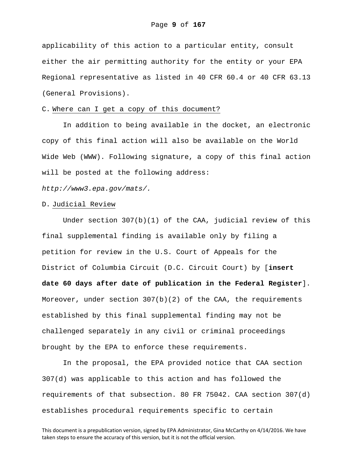applicability of this action to a particular entity, consult either the air permitting authority for the entity or your EPA Regional representative as listed in 40 CFR 60.4 or 40 CFR 63.13 (General Provisions).

### C. Where can I get a copy of this document?

In addition to being available in the docket, an electronic copy of this final action will also be available on the World Wide Web (WWW). Following signature, a copy of this final action will be posted at the following address:

*http://www3.epa.gov/mats/.* 

### D. Judicial Review

Under section 307(b)(1) of the CAA, judicial review of this final supplemental finding is available only by filing a petition for review in the U.S. Court of Appeals for the District of Columbia Circuit (D.C. Circuit Court) by [**insert date 60 days after date of publication in the Federal Register**]. Moreover, under section  $307(b)(2)$  of the CAA, the requirements established by this final supplemental finding may not be challenged separately in any civil or criminal proceedings brought by the EPA to enforce these requirements.

In the proposal, the EPA provided notice that CAA section 307(d) was applicable to this action and has followed the requirements of that subsection. 80 FR 75042. CAA section 307(d) establishes procedural requirements specific to certain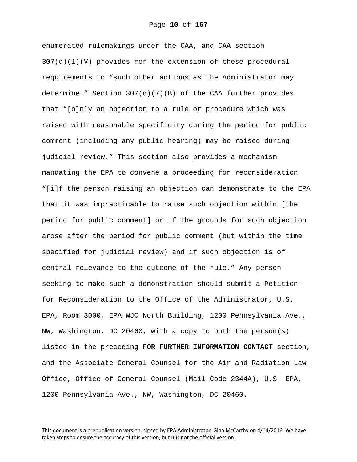enumerated rulemakings under the CAA, and CAA section 307(d)(1)(V) provides for the extension of these procedural requirements to "such other actions as the Administrator may determine." Section 307(d)(7)(B) of the CAA further provides that "[o]nly an objection to a rule or procedure which was raised with reasonable specificity during the period for public comment (including any public hearing) may be raised during judicial review." This section also provides a mechanism mandating the EPA to convene a proceeding for reconsideration "[i]f the person raising an objection can demonstrate to the EPA that it was impracticable to raise such objection within [the period for public comment] or if the grounds for such objection arose after the period for public comment (but within the time specified for judicial review) and if such objection is of central relevance to the outcome of the rule." Any person seeking to make such a demonstration should submit a Petition for Reconsideration to the Office of the Administrator, U.S. EPA, Room 3000, EPA WJC North Building, 1200 Pennsylvania Ave., NW, Washington, DC 20460, with a copy to both the person(s) listed in the preceding **FOR FURTHER INFORMATION CONTACT** section, and the Associate General Counsel for the Air and Radiation Law Office, Office of General Counsel (Mail Code 2344A), U.S. EPA, 1200 Pennsylvania Ave., NW, Washington, DC 20460.

This document is a prepublication version, signed by EPA Administrator, Gina McCarthy on 4/14/2016. We have taken steps to ensure the accuracy of this version, but it is not the official version.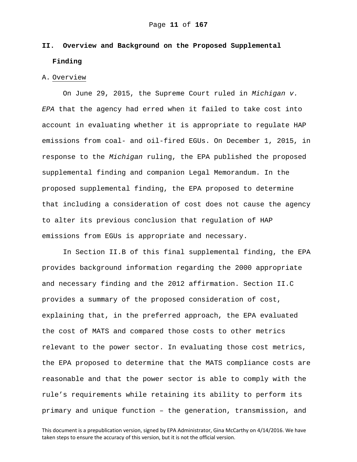# **II. Overview and Background on the Proposed Supplemental Finding**

### A. Overview

On June 29, 2015, the Supreme Court ruled in *Michigan v. EPA* that the agency had erred when it failed to take cost into account in evaluating whether it is appropriate to regulate HAP emissions from coal- and oil-fired EGUs. On December 1, 2015, in response to the *Michigan* ruling, the EPA published the proposed supplemental finding and companion Legal Memorandum. In the proposed supplemental finding, the EPA proposed to determine that including a consideration of cost does not cause the agency to alter its previous conclusion that regulation of HAP emissions from EGUs is appropriate and necessary.

In Section II.B of this final supplemental finding, the EPA provides background information regarding the 2000 appropriate and necessary finding and the 2012 affirmation. Section II.C provides a summary of the proposed consideration of cost, explaining that, in the preferred approach, the EPA evaluated the cost of MATS and compared those costs to other metrics relevant to the power sector. In evaluating those cost metrics, the EPA proposed to determine that the MATS compliance costs are reasonable and that the power sector is able to comply with the rule's requirements while retaining its ability to perform its primary and unique function – the generation, transmission, and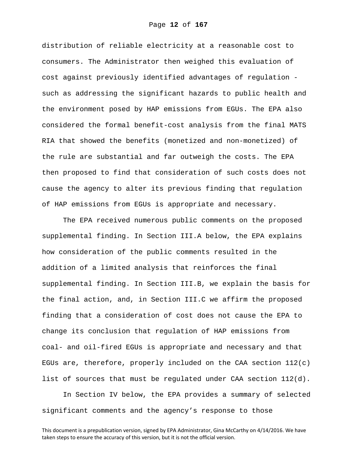distribution of reliable electricity at a reasonable cost to consumers. The Administrator then weighed this evaluation of cost against previously identified advantages of regulation such as addressing the significant hazards to public health and the environment posed by HAP emissions from EGUs. The EPA also considered the formal benefit-cost analysis from the final MATS RIA that showed the benefits (monetized and non-monetized) of the rule are substantial and far outweigh the costs. The EPA then proposed to find that consideration of such costs does not cause the agency to alter its previous finding that regulation of HAP emissions from EGUs is appropriate and necessary.

The EPA received numerous public comments on the proposed supplemental finding. In Section III.A below, the EPA explains how consideration of the public comments resulted in the addition of a limited analysis that reinforces the final supplemental finding. In Section III.B, we explain the basis for the final action, and, in Section III.C we affirm the proposed finding that a consideration of cost does not cause the EPA to change its conclusion that regulation of HAP emissions from coal- and oil-fired EGUs is appropriate and necessary and that EGUs are, therefore, properly included on the CAA section  $112(c)$ list of sources that must be regulated under CAA section 112(d).

In Section IV below, the EPA provides a summary of selected significant comments and the agency's response to those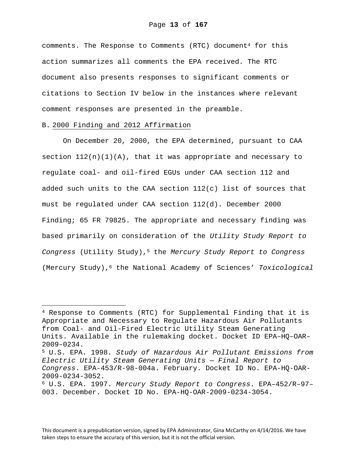comments. The Response to Comments (RTC) document<sup>4</sup> for this action summarizes all comments the EPA received. The RTC document also presents responses to significant comments or citations to Section IV below in the instances where relevant comment responses are presented in the preamble.

# B. 2000 Finding and 2012 Affirmation

i<br>Li

On December 20, 2000, the EPA determined, pursuant to CAA section  $112(n)(1)(A)$ , that it was appropriate and necessary to regulate coal- and oil-fired EGUs under CAA section 112 and added such units to the CAA section  $112(c)$  list of sources that must be regulated under CAA section 112(d). December 2000 Finding; 65 FR 79825. The appropriate and necessary finding was based primarily on consideration of the *Utility Study Report to Congress* (Utility Study),5 the *Mercury Study Report to Congress* (Mercury Study),6 the National Academy of Sciences' *Toxicological* 

This document is a prepublication version, signed by EPA Administrator, Gina McCarthy on 4/14/2016. We have taken steps to ensure the accuracy of this version, but it is not the official version.

<sup>4</sup> Response to Comments (RTC) for Supplemental Finding that it is Appropriate and Necessary to Regulate Hazardous Air Pollutants from Coal- and Oil-Fired Electric Utility Steam Generating Units. Available in the rulemaking docket. Docket ID EPA–HQ–OAR– 2009–0234.

<sup>5</sup> U.S. EPA. 1998. *Study of Hazardous Air Pollutant Emissions from Electric Utility Steam Generating Units — Final Report to Congress*. EPA-453/R-98-004a. February. Docket ID No. EPA-HQ-OAR-2009-0234-3052.

<sup>6</sup> U.S. EPA. 1997. *Mercury Study Report to Congress*. EPA–452/R–97– 003. December. Docket ID No. EPA-HQ-OAR-2009-0234-3054.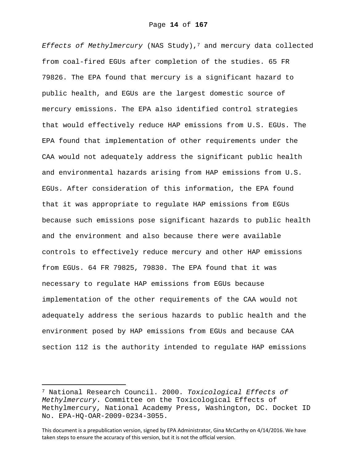*Effects of Methylmercury* (NAS Study),7 and mercury data collected from coal-fired EGUs after completion of the studies. 65 FR 79826. The EPA found that mercury is a significant hazard to public health, and EGUs are the largest domestic source of mercury emissions. The EPA also identified control strategies that would effectively reduce HAP emissions from U.S. EGUs. The EPA found that implementation of other requirements under the CAA would not adequately address the significant public health and environmental hazards arising from HAP emissions from U.S. EGUs. After consideration of this information, the EPA found that it was appropriate to regulate HAP emissions from EGUs because such emissions pose significant hazards to public health and the environment and also because there were available controls to effectively reduce mercury and other HAP emissions from EGUs. 64 FR 79825, 79830. The EPA found that it was necessary to regulate HAP emissions from EGUs because implementation of the other requirements of the CAA would not adequately address the serious hazards to public health and the environment posed by HAP emissions from EGUs and because CAA section 112 is the authority intended to regulate HAP emissions

i

<sup>7</sup> National Research Council. 2000. *Toxicological Effects of Methylmercury*. Committee on the Toxicological Effects of Methylmercury, National Academy Press, Washington, DC. Docket ID No. EPA-HQ-OAR-2009-0234-3055.

This document is a prepublication version, signed by EPA Administrator, Gina McCarthy on 4/14/2016. We have taken steps to ensure the accuracy of this version, but it is not the official version.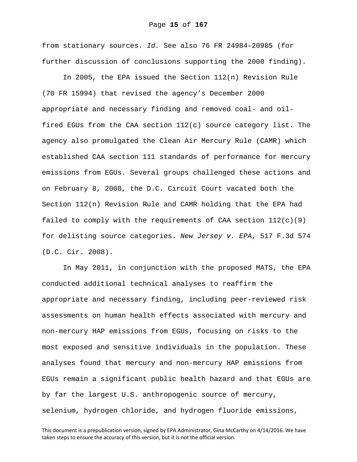from stationary sources. *Id.* See also 76 FR 24984–20985 (for further discussion of conclusions supporting the 2000 finding).

In 2005, the EPA issued the Section 112(n) Revision Rule (70 FR 15994) that revised the agency's December 2000 appropriate and necessary finding and removed coal- and oilfired EGUs from the CAA section 112(c) source category list. The agency also promulgated the Clean Air Mercury Rule (CAMR) which established CAA section 111 standards of performance for mercury emissions from EGUs. Several groups challenged these actions and on February 8, 2008, the D.C. Circuit Court vacated both the Section 112(n) Revision Rule and CAMR holding that the EPA had failed to comply with the requirements of CAA section  $112(c)(9)$ for delisting source categories. *New Jersey v. EPA*, 517 F.3d 574 (D.C. Cir. 2008).

In May 2011, in conjunction with the proposed MATS, the EPA conducted additional technical analyses to reaffirm the appropriate and necessary finding, including peer-reviewed risk assessments on human health effects associated with mercury and non-mercury HAP emissions from EGUs, focusing on risks to the most exposed and sensitive individuals in the population. These analyses found that mercury and non-mercury HAP emissions from EGUs remain a significant public health hazard and that EGUs are by far the largest U.S. anthropogenic source of mercury, selenium, hydrogen chloride, and hydrogen fluoride emissions,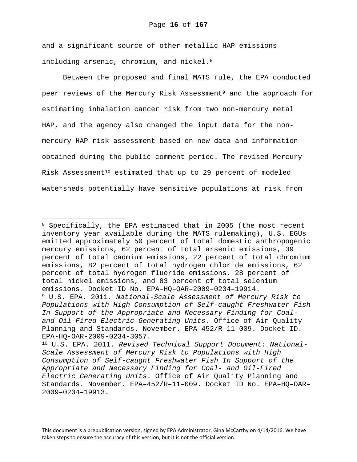and a significant source of other metallic HAP emissions including arsenic, chromium, and nickel.<sup>8</sup>

Between the proposed and final MATS rule, the EPA conducted peer reviews of the Mercury Risk Assessment<sup>9</sup> and the approach for estimating inhalation cancer risk from two non-mercury metal HAP, and the agency also changed the input data for the nonmercury HAP risk assessment based on new data and information obtained during the public comment period. The revised Mercury Risk Assessment<sup>10</sup> estimated that up to 29 percent of modeled watersheds potentially have sensitive populations at risk from

i<br>Li

<sup>&</sup>lt;sup>8</sup> Specifically, the EPA estimated that in 2005 (the most recent inventory year available during the MATS rulemaking), U.S. EGUs emitted approximately 50 percent of total domestic anthropogenic mercury emissions, 62 percent of total arsenic emissions, 39 percent of total cadmium emissions, 22 percent of total chromium emissions, 82 percent of total hydrogen chloride emissions, 62 percent of total hydrogen fluoride emissions, 28 percent of total nickel emissions, and 83 percent of total selenium emissions. Docket ID No. EPA–HQ–OAR–2009–0234–19914.

<sup>9</sup> U.S. EPA. 2011. *National-Scale Assessment of Mercury Risk to Populations with High Consumption of Self-caught Freshwater Fish In Support of the Appropriate and Necessary Finding for Coaland Oil-Fired Electric Generating Units*. Office of Air Quality Planning and Standards. November. EPA–452/R–11–009. Docket ID. EPA-HQ-OAR-2009-0234-3057.

<sup>10</sup> U.S. EPA. 2011. *Revised Technical Support Document: National-Scale Assessment of Mercury Risk to Populations with High Consumption of Self-caught Freshwater Fish In Support of the Appropriate and Necessary Finding for Coal- and Oil-Fired Electric Generating Units*. Office of Air Quality Planning and Standards. November. EPA–452/R–11–009. Docket ID No. EPA–HQ–OAR– 2009–0234–19913.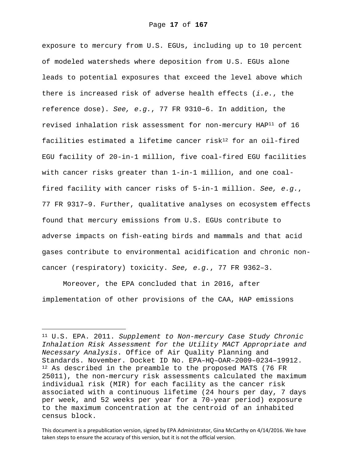exposure to mercury from U.S. EGUs, including up to 10 percent of modeled watersheds where deposition from U.S. EGUs alone leads to potential exposures that exceed the level above which there is increased risk of adverse health effects (*i.e.*, the reference dose). *See, e.g.*, 77 FR 9310–6. In addition, the revised inhalation risk assessment for non-mercury HAP11 of 16 facilities estimated a lifetime cancer risk<sup>12</sup> for an oil-fired EGU facility of 20-in-1 million, five coal-fired EGU facilities with cancer risks greater than 1-in-1 million, and one coalfired facility with cancer risks of 5-in-1 million. *See, e.g.*, 77 FR 9317–9. Further, qualitative analyses on ecosystem effects found that mercury emissions from U.S. EGUs contribute to adverse impacts on fish-eating birds and mammals and that acid gases contribute to environmental acidification and chronic noncancer (respiratory) toxicity. *See, e.g.*, 77 FR 9362–3.

Moreover, the EPA concluded that in 2016, after implementation of other provisions of the CAA, HAP emissions

i

<sup>11</sup> U.S. EPA. 2011. *Supplement to Non-mercury Case Study Chronic Inhalation Risk Assessment for the Utility MACT Appropriate and Necessary Analysis*. Office of Air Quality Planning and Standards. November. Docket ID No. EPA–HQ–OAR–2009–0234–19912. <sup>12</sup> As described in the preamble to the proposed MATS (76 FR 25011), the non-mercury risk assessments calculated the maximum individual risk (MIR) for each facility as the cancer risk associated with a continuous lifetime (24 hours per day, 7 days per week, and 52 weeks per year for a 70-year period) exposure to the maximum concentration at the centroid of an inhabited census block.

This document is a prepublication version, signed by EPA Administrator, Gina McCarthy on 4/14/2016. We have taken steps to ensure the accuracy of this version, but it is not the official version.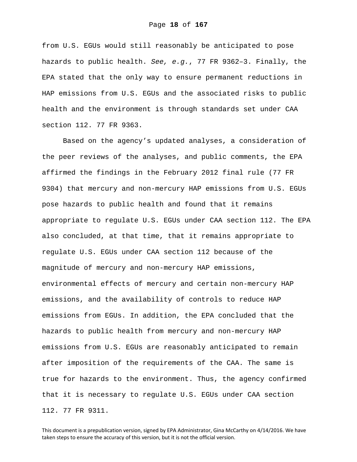from U.S. EGUs would still reasonably be anticipated to pose hazards to public health. *See, e.g.*, 77 FR 9362–3. Finally, the EPA stated that the only way to ensure permanent reductions in HAP emissions from U.S. EGUs and the associated risks to public health and the environment is through standards set under CAA section 112. 77 FR 9363.

Based on the agency's updated analyses, a consideration of the peer reviews of the analyses, and public comments, the EPA affirmed the findings in the February 2012 final rule (77 FR 9304) that mercury and non-mercury HAP emissions from U.S. EGUs pose hazards to public health and found that it remains appropriate to regulate U.S. EGUs under CAA section 112. The EPA also concluded, at that time, that it remains appropriate to regulate U.S. EGUs under CAA section 112 because of the magnitude of mercury and non-mercury HAP emissions, environmental effects of mercury and certain non-mercury HAP emissions, and the availability of controls to reduce HAP emissions from EGUs. In addition, the EPA concluded that the hazards to public health from mercury and non-mercury HAP emissions from U.S. EGUs are reasonably anticipated to remain after imposition of the requirements of the CAA. The same is true for hazards to the environment. Thus, the agency confirmed that it is necessary to regulate U.S. EGUs under CAA section 112. 77 FR 9311.

This document is a prepublication version, signed by EPA Administrator, Gina McCarthy on 4/14/2016. We have taken steps to ensure the accuracy of this version, but it is not the official version.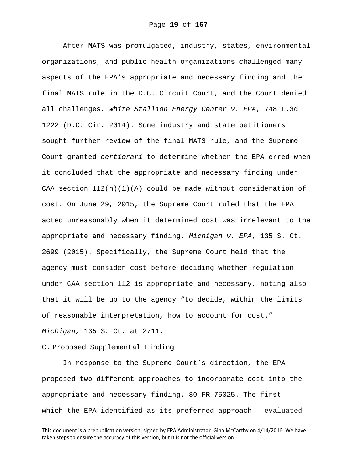After MATS was promulgated, industry, states, environmental organizations, and public health organizations challenged many aspects of the EPA's appropriate and necessary finding and the final MATS rule in the D.C. Circuit Court, and the Court denied all challenges. *White Stallion Energy Center v. EPA*, 748 F.3d 1222 (D.C. Cir. 2014). Some industry and state petitioners sought further review of the final MATS rule, and the Supreme Court granted *certiorari* to determine whether the EPA erred when it concluded that the appropriate and necessary finding under CAA section  $112(n)(1)(A)$  could be made without consideration of cost. On June 29, 2015, the Supreme Court ruled that the EPA acted unreasonably when it determined cost was irrelevant to the appropriate and necessary finding. *Michigan v. EPA*, 135 S. Ct. 2699 (2015). Specifically, the Supreme Court held that the agency must consider cost before deciding whether regulation under CAA section 112 is appropriate and necessary, noting also that it will be up to the agency "to decide, within the limits of reasonable interpretation, how to account for cost." *Michigan,* 135 S. Ct. at 2711*.*

### C. Proposed Supplemental Finding

In response to the Supreme Court's direction, the EPA proposed two different approaches to incorporate cost into the appropriate and necessary finding. 80 FR 75025. The first which the EPA identified as its preferred approach – evaluated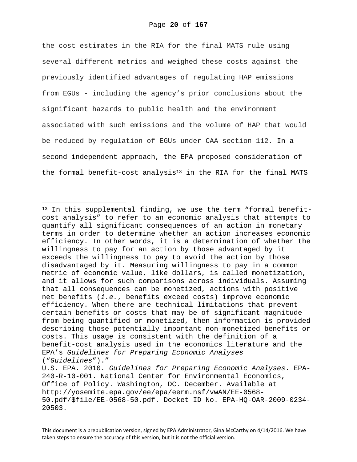the cost estimates in the RIA for the final MATS rule using several different metrics and weighed these costs against the previously identified advantages of regulating HAP emissions from EGUs - including the agency's prior conclusions about the significant hazards to public health and the environment associated with such emissions and the volume of HAP that would be reduced by regulation of EGUs under CAA section 112. In a second independent approach, the EPA proposed consideration of the formal benefit-cost analysis<sup>13</sup> in the RIA for the final MATS

i

<sup>13</sup> In this supplemental finding, we use the term "formal benefitcost analysis" to refer to an economic analysis that attempts to quantify all significant consequences of an action in monetary terms in order to determine whether an action increases economic efficiency. In other words, it is a determination of whether the willingness to pay for an action by those advantaged by it exceeds the willingness to pay to avoid the action by those disadvantaged by it. Measuring willingness to pay in a common metric of economic value, like dollars, is called monetization, and it allows for such comparisons across individuals. Assuming that all consequences can be monetized, actions with positive net benefits (*i.e.*, benefits exceed costs) improve economic efficiency. When there are technical limitations that prevent certain benefits or costs that may be of significant magnitude from being quantified or monetized, then information is provided describing those potentially important non-monetized benefits or costs. This usage is consistent with the definition of a benefit-cost analysis used in the economics literature and the EPA's *Guidelines for Preparing Economic Analyses* ("*Guidelines*")." U.S. EPA. 2010. *Guidelines for Preparing Economic Analyses*. EPA-240-R-10-001. National Center for Environmental Economics, Office of Policy. Washington, DC. December. Available at http://yosemite.epa.gov/ee/epa/eerm.nsf/vwAN/EE-0568-

<sup>50.</sup>pdf/\$file/EE-0568-50.pdf. Docket ID No. EPA-HQ-OAR-2009-0234- 20503.

This document is a prepublication version, signed by EPA Administrator, Gina McCarthy on 4/14/2016. We have taken steps to ensure the accuracy of this version, but it is not the official version.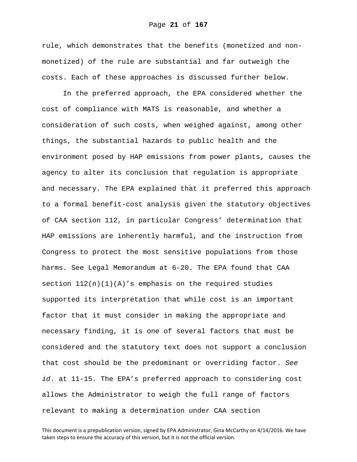rule, which demonstrates that the benefits (monetized and nonmonetized) of the rule are substantial and far outweigh the costs. Each of these approaches is discussed further below.

In the preferred approach, the EPA considered whether the cost of compliance with MATS is reasonable, and whether a consideration of such costs, when weighed against, among other things, the substantial hazards to public health and the environment posed by HAP emissions from power plants, causes the agency to alter its conclusion that regulation is appropriate and necessary. The EPA explained that it preferred this approach to a formal benefit-cost analysis given the statutory objectives of CAA section 112, in particular Congress' determination that HAP emissions are inherently harmful, and the instruction from Congress to protect the most sensitive populations from those harms. See Legal Memorandum at 6-20. The EPA found that CAA section  $112(n)(1)(A)'s$  emphasis on the required studies supported its interpretation that while cost is an important factor that it must consider in making the appropriate and necessary finding, it is one of several factors that must be considered and the statutory text does not support a conclusion that cost should be the predominant or overriding factor. *See id*. at 11-15. The EPA's preferred approach to considering cost allows the Administrator to weigh the full range of factors relevant to making a determination under CAA section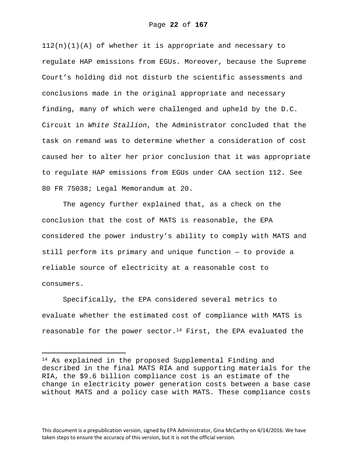$112(n)(1)(A)$  of whether it is appropriate and necessary to regulate HAP emissions from EGUs. Moreover, because the Supreme Court's holding did not disturb the scientific assessments and conclusions made in the original appropriate and necessary finding, many of which were challenged and upheld by the D.C. Circuit in *White Stallion*, the Administrator concluded that the task on remand was to determine whether a consideration of cost caused her to alter her prior conclusion that it was appropriate to regulate HAP emissions from EGUs under CAA section 112. See 80 FR 75038; Legal Memorandum at 20.

The agency further explained that, as a check on the conclusion that the cost of MATS is reasonable, the EPA considered the power industry's ability to comply with MATS and still perform its primary and unique function — to provide a reliable source of electricity at a reasonable cost to consumers.

Specifically, the EPA considered several metrics to evaluate whether the estimated cost of compliance with MATS is reasonable for the power sector.<sup>14</sup> First, the EPA evaluated the

i

<sup>14</sup> As explained in the proposed Supplemental Finding and described in the final MATS RIA and supporting materials for the RIA, the \$9.6 billion compliance cost is an estimate of the change in electricity power generation costs between a base case without MATS and a policy case with MATS. These compliance costs

This document is a prepublication version, signed by EPA Administrator, Gina McCarthy on 4/14/2016. We have taken steps to ensure the accuracy of this version, but it is not the official version.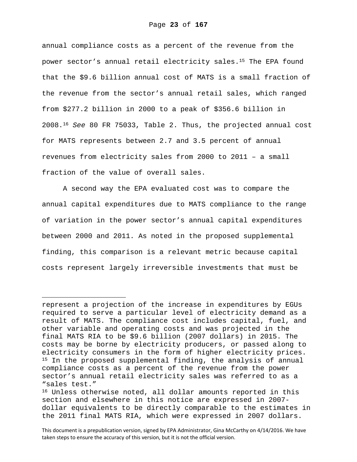annual compliance costs as a percent of the revenue from the power sector's annual retail electricity sales.15 The EPA found that the \$9.6 billion annual cost of MATS is a small fraction of the revenue from the sector's annual retail sales, which ranged from \$277.2 billion in 2000 to a peak of \$356.6 billion in 2008.16 *See* 80 FR 75033, Table 2. Thus, the projected annual cost for MATS represents between 2.7 and 3.5 percent of annual revenues from electricity sales from 2000 to 2011 – a small fraction of the value of overall sales.

A second way the EPA evaluated cost was to compare the annual capital expenditures due to MATS compliance to the range of variation in the power sector's annual capital expenditures between 2000 and 2011. As noted in the proposed supplemental finding, this comparison is a relevant metric because capital costs represent largely irreversible investments that must be

i

represent a projection of the increase in expenditures by EGUs required to serve a particular level of electricity demand as a result of MATS. The compliance cost includes capital, fuel, and other variable and operating costs and was projected in the final MATS RIA to be \$9.6 billion (2007 dollars) in 2015. The costs may be borne by electricity producers, or passed along to electricity consumers in the form of higher electricity prices. 15 In the proposed supplemental finding, the analysis of annual compliance costs as a percent of the revenue from the power sector's annual retail electricity sales was referred to as a "sales test."

<sup>16</sup> Unless otherwise noted, all dollar amounts reported in this section and elsewhere in this notice are expressed in 2007 dollar equivalents to be directly comparable to the estimates in the 2011 final MATS RIA, which were expressed in 2007 dollars.

This document is a prepublication version, signed by EPA Administrator, Gina McCarthy on 4/14/2016. We have taken steps to ensure the accuracy of this version, but it is not the official version.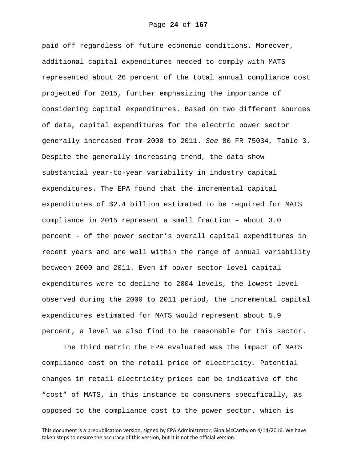paid off regardless of future economic conditions. Moreover, additional capital expenditures needed to comply with MATS represented about 26 percent of the total annual compliance cost projected for 2015, further emphasizing the importance of considering capital expenditures. Based on two different sources of data, capital expenditures for the electric power sector generally increased from 2000 to 2011. *See* 80 FR 75034, Table 3. Despite the generally increasing trend, the data show substantial year-to-year variability in industry capital expenditures. The EPA found that the incremental capital expenditures of \$2.4 billion estimated to be required for MATS compliance in 2015 represent a small fraction – about 3.0 percent - of the power sector's overall capital expenditures in recent years and are well within the range of annual variability between 2000 and 2011. Even if power sector-level capital expenditures were to decline to 2004 levels, the lowest level observed during the 2000 to 2011 period, the incremental capital expenditures estimated for MATS would represent about 5.9 percent, a level we also find to be reasonable for this sector.

The third metric the EPA evaluated was the impact of MATS compliance cost on the retail price of electricity. Potential changes in retail electricity prices can be indicative of the "cost" of MATS, in this instance to consumers specifically, as opposed to the compliance cost to the power sector, which is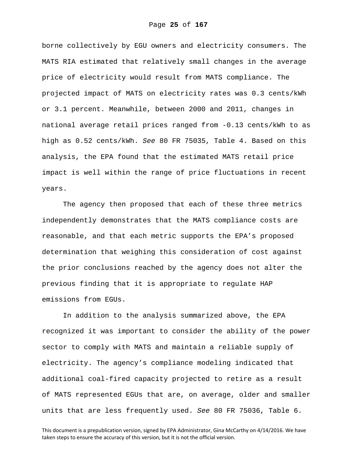borne collectively by EGU owners and electricity consumers. The MATS RIA estimated that relatively small changes in the average price of electricity would result from MATS compliance. The projected impact of MATS on electricity rates was 0.3 cents/kWh or 3.1 percent. Meanwhile, between 2000 and 2011, changes in national average retail prices ranged from -0.13 cents/kWh to as high as 0.52 cents/kWh. *See* 80 FR 75035, Table 4. Based on this analysis, the EPA found that the estimated MATS retail price impact is well within the range of price fluctuations in recent years.

The agency then proposed that each of these three metrics independently demonstrates that the MATS compliance costs are reasonable, and that each metric supports the EPA's proposed determination that weighing this consideration of cost against the prior conclusions reached by the agency does not alter the previous finding that it is appropriate to regulate HAP emissions from EGUs.

In addition to the analysis summarized above, the EPA recognized it was important to consider the ability of the power sector to comply with MATS and maintain a reliable supply of electricity. The agency's compliance modeling indicated that additional coal-fired capacity projected to retire as a result of MATS represented EGUs that are, on average, older and smaller units that are less frequently used. *See* 80 FR 75036, Table 6.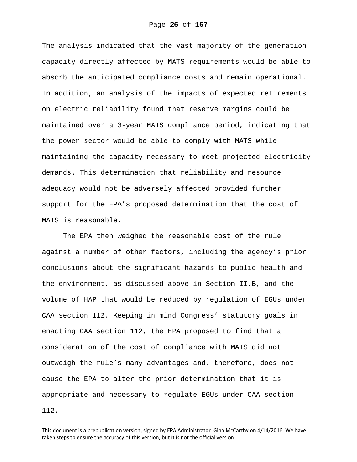The analysis indicated that the vast majority of the generation capacity directly affected by MATS requirements would be able to absorb the anticipated compliance costs and remain operational. In addition, an analysis of the impacts of expected retirements on electric reliability found that reserve margins could be maintained over a 3-year MATS compliance period, indicating that the power sector would be able to comply with MATS while maintaining the capacity necessary to meet projected electricity demands. This determination that reliability and resource adequacy would not be adversely affected provided further support for the EPA's proposed determination that the cost of MATS is reasonable.

The EPA then weighed the reasonable cost of the rule against a number of other factors, including the agency's prior conclusions about the significant hazards to public health and the environment, as discussed above in Section II.B, and the volume of HAP that would be reduced by regulation of EGUs under CAA section 112. Keeping in mind Congress' statutory goals in enacting CAA section 112, the EPA proposed to find that a consideration of the cost of compliance with MATS did not outweigh the rule's many advantages and, therefore, does not cause the EPA to alter the prior determination that it is appropriate and necessary to regulate EGUs under CAA section 112.

This document is a prepublication version, signed by EPA Administrator, Gina McCarthy on 4/14/2016. We have taken steps to ensure the accuracy of this version, but it is not the official version.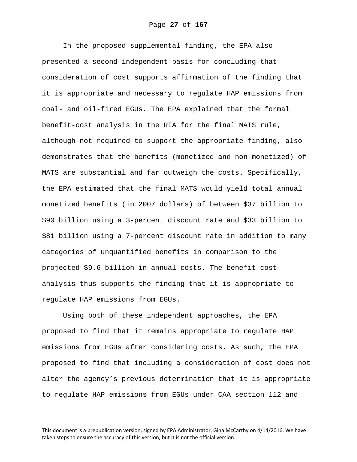In the proposed supplemental finding, the EPA also presented a second independent basis for concluding that consideration of cost supports affirmation of the finding that it is appropriate and necessary to regulate HAP emissions from coal- and oil-fired EGUs. The EPA explained that the formal benefit-cost analysis in the RIA for the final MATS rule, although not required to support the appropriate finding, also demonstrates that the benefits (monetized and non-monetized) of MATS are substantial and far outweigh the costs. Specifically, the EPA estimated that the final MATS would yield total annual monetized benefits (in 2007 dollars) of between \$37 billion to \$90 billion using a 3-percent discount rate and \$33 billion to \$81 billion using a 7-percent discount rate in addition to many categories of unquantified benefits in comparison to the projected \$9.6 billion in annual costs. The benefit-cost analysis thus supports the finding that it is appropriate to regulate HAP emissions from EGUs.

Using both of these independent approaches, the EPA proposed to find that it remains appropriate to regulate HAP emissions from EGUs after considering costs. As such, the EPA proposed to find that including a consideration of cost does not alter the agency's previous determination that it is appropriate to regulate HAP emissions from EGUs under CAA section 112 and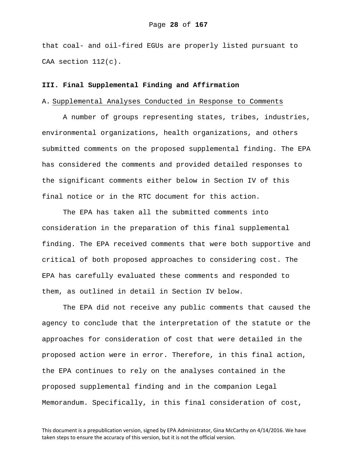that coal- and oil-fired EGUs are properly listed pursuant to CAA section 112(c).

### **III. Final Supplemental Finding and Affirmation**

### A. Supplemental Analyses Conducted in Response to Comments

A number of groups representing states, tribes, industries, environmental organizations, health organizations, and others submitted comments on the proposed supplemental finding. The EPA has considered the comments and provided detailed responses to the significant comments either below in Section IV of this final notice or in the RTC document for this action.

The EPA has taken all the submitted comments into consideration in the preparation of this final supplemental finding. The EPA received comments that were both supportive and critical of both proposed approaches to considering cost. The EPA has carefully evaluated these comments and responded to them, as outlined in detail in Section IV below.

The EPA did not receive any public comments that caused the agency to conclude that the interpretation of the statute or the approaches for consideration of cost that were detailed in the proposed action were in error. Therefore, in this final action, the EPA continues to rely on the analyses contained in the proposed supplemental finding and in the companion Legal Memorandum. Specifically, in this final consideration of cost,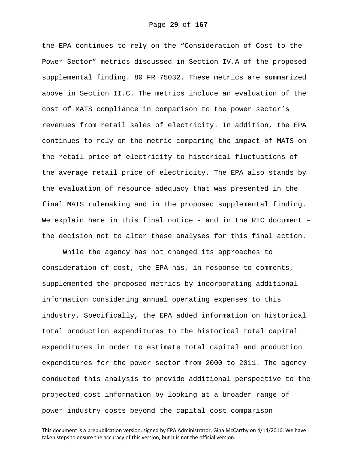the EPA continues to rely on the "Consideration of Cost to the Power Sector" metrics discussed in Section IV.A of the proposed supplemental finding. 80 FR 75032. These metrics are summarized above in Section II.C. The metrics include an evaluation of the cost of MATS compliance in comparison to the power sector's revenues from retail sales of electricity. In addition, the EPA continues to rely on the metric comparing the impact of MATS on the retail price of electricity to historical fluctuations of the average retail price of electricity. The EPA also stands by the evaluation of resource adequacy that was presented in the final MATS rulemaking and in the proposed supplemental finding. We explain here in this final notice - and in the RTC document  $$ the decision not to alter these analyses for this final action.

While the agency has not changed its approaches to consideration of cost, the EPA has, in response to comments, supplemented the proposed metrics by incorporating additional information considering annual operating expenses to this industry. Specifically, the EPA added information on historical total production expenditures to the historical total capital expenditures in order to estimate total capital and production expenditures for the power sector from 2000 to 2011. The agency conducted this analysis to provide additional perspective to the projected cost information by looking at a broader range of power industry costs beyond the capital cost comparison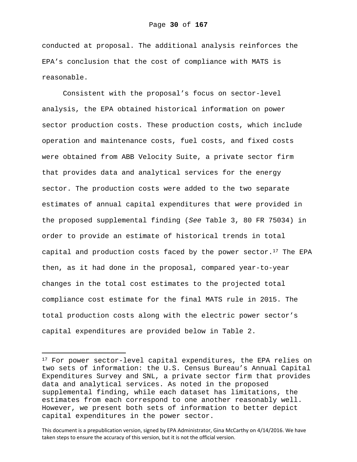conducted at proposal. The additional analysis reinforces the EPA's conclusion that the cost of compliance with MATS is reasonable.

Consistent with the proposal's focus on sector-level analysis, the EPA obtained historical information on power sector production costs. These production costs, which include operation and maintenance costs, fuel costs, and fixed costs were obtained from ABB Velocity Suite, a private sector firm that provides data and analytical services for the energy sector. The production costs were added to the two separate estimates of annual capital expenditures that were provided in the proposed supplemental finding (*See* Table 3, 80 FR 75034) in order to provide an estimate of historical trends in total capital and production costs faced by the power sector. $17$  The EPA then, as it had done in the proposal, compared year-to-year changes in the total cost estimates to the projected total compliance cost estimate for the final MATS rule in 2015. The total production costs along with the electric power sector's capital expenditures are provided below in Table 2.

i

<sup>&</sup>lt;sup>17</sup> For power sector-level capital expenditures, the EPA relies on two sets of information: the U.S. Census Bureau's Annual Capital Expenditures Survey and SNL, a private sector firm that provides data and analytical services. As noted in the proposed supplemental finding, while each dataset has limitations, the estimates from each correspond to one another reasonably well. However, we present both sets of information to better depict capital expenditures in the power sector.

This document is a prepublication version, signed by EPA Administrator, Gina McCarthy on 4/14/2016. We have taken steps to ensure the accuracy of this version, but it is not the official version.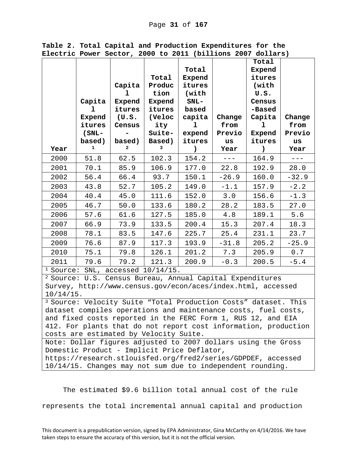|                                                                                                              |          |             |                |                 |         | Total          |         |  |  |  |
|--------------------------------------------------------------------------------------------------------------|----------|-------------|----------------|-----------------|---------|----------------|---------|--|--|--|
|                                                                                                              |          |             |                | Total           |         | Expend         |         |  |  |  |
|                                                                                                              |          |             | Total          | Expend          |         | itures         |         |  |  |  |
|                                                                                                              |          | Capita<br>ı | Produc<br>tion | itures<br>(with |         | (with          |         |  |  |  |
|                                                                                                              | Capita   | Expend      | Expend         | $SNL-$          |         | U.S.<br>Census |         |  |  |  |
|                                                                                                              | ı        | itures      | itures         | based           |         | -Based         |         |  |  |  |
|                                                                                                              | Expend   | (U.S.       | (Veloc         | capita          | Change  | Capita         | Change  |  |  |  |
|                                                                                                              | itures   | Census      | ity            | ı               | from    | ı              | from    |  |  |  |
|                                                                                                              | $(SNL -$ | -           | Suite-         | expend          | Previo  | Expend         | Previo  |  |  |  |
|                                                                                                              | based)   | based)      | Based)         | itures          | us      | itures         | us      |  |  |  |
| Year                                                                                                         | 1        | 2           | 3              | $\mathcal{C}$   | Year    | $\lambda$      | Year    |  |  |  |
| 2000                                                                                                         | 51.8     | 62.5        | 102.3          | 154.2           | $---$   | 164.9          | $- - -$ |  |  |  |
| 2001                                                                                                         | 70.1     | 85.9        | 106.9          | 177.0           | 22.8    | 192.9          | 28.0    |  |  |  |
| 2002                                                                                                         | 56.4     | 66.4        | 93.7           | 150.1           | $-26.9$ | 160.0          | $-32.9$ |  |  |  |
| 2003                                                                                                         | 43.8     | 52.7        | 105.2          | 149.0           | $-1.1$  | 157.9          | $-2.2$  |  |  |  |
| 2004                                                                                                         | 40.4     | 45.0        | 111.6          | 152.0           | 3.0     | 156.6          | $-1.3$  |  |  |  |
| 2005                                                                                                         | 46.7     | 50.0        | 133.6          | 180.2           | 28.2    | 183.5          | 27.0    |  |  |  |
| 2006                                                                                                         | 57.6     | 61.6        | 127.5          | 185.0           | 4.8     | 189.1          | 5.6     |  |  |  |
| 2007                                                                                                         | 66.9     | 73.9        | 133.5          | 200.4           | 15.3    | 207.4          | 18.3    |  |  |  |
| 2008                                                                                                         | 78.1     | 83.5        | 147.6          | 225.7           | 25.4    | 231.1          | 23.7    |  |  |  |
| 2009                                                                                                         | 76.6     | 87.9        | 117.3          | 193.9           | $-31.8$ | 205.2          | $-25.9$ |  |  |  |
| 2010                                                                                                         | 75.1     | 79.8        | 126.1          | 201.2           | 7.3     | 205.9          | 0.7     |  |  |  |
| 2011                                                                                                         | 79.6     | 79.2        | 121.3          | 200.9           | $-0.3$  | 200.5          | $-5.4$  |  |  |  |
| $1$ Source: SNL, accessed $10/14/15$ .                                                                       |          |             |                |                 |         |                |         |  |  |  |
| <sup>2</sup> Source: U.S. Census Bureau, Annual Capital Expenditures                                         |          |             |                |                 |         |                |         |  |  |  |
| Survey, http://www.census.gov/econ/aces/index.html, accessed<br>$10/14/15$ .                                 |          |             |                |                 |         |                |         |  |  |  |
| <sup>3</sup> Source: Velocity Suite "Total Production Costs" dataset. This                                   |          |             |                |                 |         |                |         |  |  |  |
| dataset compiles operations and maintenance costs, fuel costs,                                               |          |             |                |                 |         |                |         |  |  |  |
| and fixed costs reported in the FERC Form 1, RUS 12, and EIA                                                 |          |             |                |                 |         |                |         |  |  |  |
| 412. For plants that do not report cost information, production                                              |          |             |                |                 |         |                |         |  |  |  |
| costs are estimated by Velocity Suite.                                                                       |          |             |                |                 |         |                |         |  |  |  |
| Note: Dollar figures adjusted to 2007 dollars using the Gross                                                |          |             |                |                 |         |                |         |  |  |  |
| Domestic Product - Implicit Price Deflator,<br>https://research.stlouisfed.org/fred2/series/GDPDEF, accessed |          |             |                |                 |         |                |         |  |  |  |
|                                                                                                              |          |             |                |                 |         |                |         |  |  |  |

**Table 2. Total Capital and Production Expenditures for the Electric Power Sector, 2000 to 2011 (billions 2007 dollars)**

10/14/15. Changes may not sum due to independent rounding.

The estimated \$9.6 billion total annual cost of the rule

represents the total incremental annual capital and production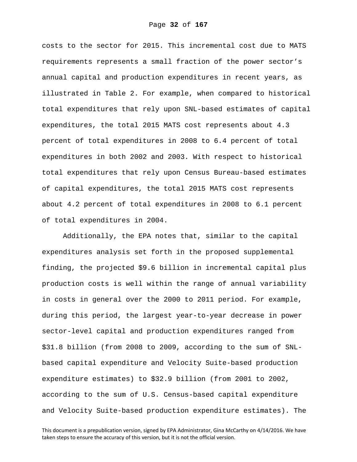costs to the sector for 2015. This incremental cost due to MATS requirements represents a small fraction of the power sector's annual capital and production expenditures in recent years, as illustrated in Table 2. For example, when compared to historical total expenditures that rely upon SNL-based estimates of capital expenditures, the total 2015 MATS cost represents about 4.3 percent of total expenditures in 2008 to 6.4 percent of total expenditures in both 2002 and 2003. With respect to historical total expenditures that rely upon Census Bureau-based estimates of capital expenditures, the total 2015 MATS cost represents about 4.2 percent of total expenditures in 2008 to 6.1 percent of total expenditures in 2004.

Additionally, the EPA notes that, similar to the capital expenditures analysis set forth in the proposed supplemental finding, the projected \$9.6 billion in incremental capital plus production costs is well within the range of annual variability in costs in general over the 2000 to 2011 period. For example, during this period, the largest year-to-year decrease in power sector-level capital and production expenditures ranged from \$31.8 billion (from 2008 to 2009, according to the sum of SNLbased capital expenditure and Velocity Suite-based production expenditure estimates) to \$32.9 billion (from 2001 to 2002, according to the sum of U.S. Census-based capital expenditure and Velocity Suite-based production expenditure estimates). The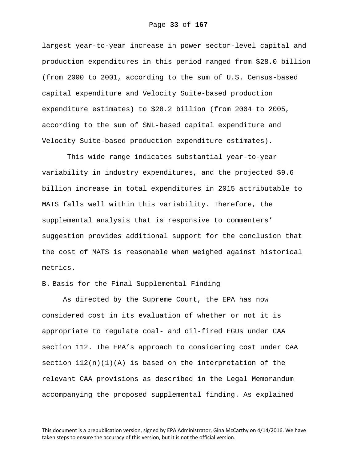largest year-to-year increase in power sector-level capital and production expenditures in this period ranged from \$28.0 billion (from 2000 to 2001, according to the sum of U.S. Census-based capital expenditure and Velocity Suite-based production expenditure estimates) to \$28.2 billion (from 2004 to 2005, according to the sum of SNL-based capital expenditure and Velocity Suite-based production expenditure estimates).

 This wide range indicates substantial year-to-year variability in industry expenditures, and the projected \$9.6 billion increase in total expenditures in 2015 attributable to MATS falls well within this variability. Therefore, the supplemental analysis that is responsive to commenters' suggestion provides additional support for the conclusion that the cost of MATS is reasonable when weighed against historical metrics.

### B. Basis for the Final Supplemental Finding

As directed by the Supreme Court, the EPA has now considered cost in its evaluation of whether or not it is appropriate to regulate coal- and oil-fired EGUs under CAA section 112. The EPA's approach to considering cost under CAA section  $112(n)(1)(A)$  is based on the interpretation of the relevant CAA provisions as described in the Legal Memorandum accompanying the proposed supplemental finding. As explained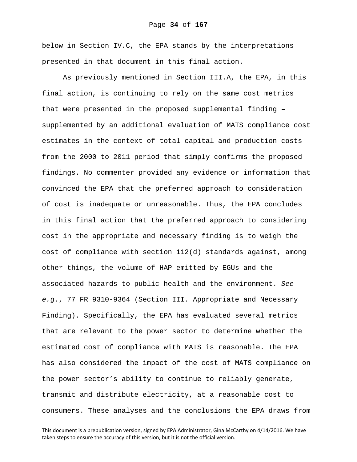below in Section IV.C, the EPA stands by the interpretations presented in that document in this final action.

As previously mentioned in Section III.A, the EPA, in this final action, is continuing to rely on the same cost metrics that were presented in the proposed supplemental finding – supplemented by an additional evaluation of MATS compliance cost estimates in the context of total capital and production costs from the 2000 to 2011 period that simply confirms the proposed findings. No commenter provided any evidence or information that convinced the EPA that the preferred approach to consideration of cost is inadequate or unreasonable. Thus, the EPA concludes in this final action that the preferred approach to considering cost in the appropriate and necessary finding is to weigh the cost of compliance with section 112(d) standards against, among other things, the volume of HAP emitted by EGUs and the associated hazards to public health and the environment. *See e.g.*, 77 FR 9310-9364 (Section III. Appropriate and Necessary Finding). Specifically, the EPA has evaluated several metrics that are relevant to the power sector to determine whether the estimated cost of compliance with MATS is reasonable. The EPA has also considered the impact of the cost of MATS compliance on the power sector's ability to continue to reliably generate, transmit and distribute electricity, at a reasonable cost to consumers. These analyses and the conclusions the EPA draws from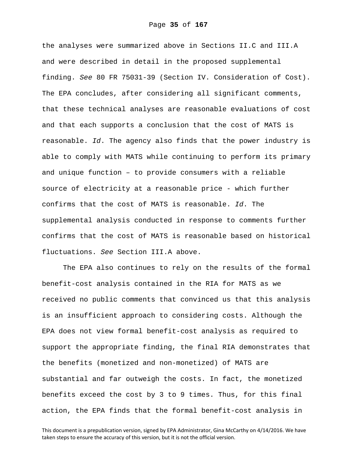the analyses were summarized above in Sections II.C and III.A and were described in detail in the proposed supplemental finding. *See* 80 FR 75031-39 (Section IV. Consideration of Cost). The EPA concludes, after considering all significant comments, that these technical analyses are reasonable evaluations of cost and that each supports a conclusion that the cost of MATS is reasonable. *Id*. The agency also finds that the power industry is able to comply with MATS while continuing to perform its primary and unique function – to provide consumers with a reliable source of electricity at a reasonable price - which further confirms that the cost of MATS is reasonable. *Id*. The supplemental analysis conducted in response to comments further confirms that the cost of MATS is reasonable based on historical fluctuations. *See* Section III.A above.

The EPA also continues to rely on the results of the formal benefit-cost analysis contained in the RIA for MATS as we received no public comments that convinced us that this analysis is an insufficient approach to considering costs. Although the EPA does not view formal benefit-cost analysis as required to support the appropriate finding, the final RIA demonstrates that the benefits (monetized and non-monetized) of MATS are substantial and far outweigh the costs. In fact, the monetized benefits exceed the cost by 3 to 9 times. Thus, for this final action, the EPA finds that the formal benefit-cost analysis in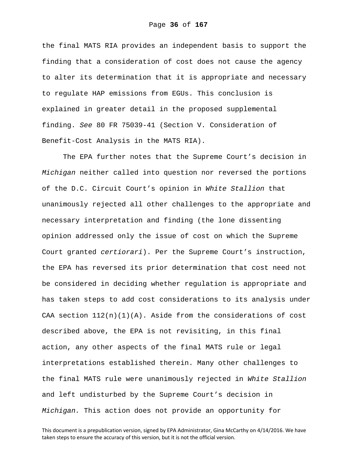the final MATS RIA provides an independent basis to support the finding that a consideration of cost does not cause the agency to alter its determination that it is appropriate and necessary to regulate HAP emissions from EGUs. This conclusion is explained in greater detail in the proposed supplemental finding. *See* 80 FR 75039-41 (Section V. Consideration of Benefit-Cost Analysis in the MATS RIA).

The EPA further notes that the Supreme Court's decision in *Michigan* neither called into question nor reversed the portions of the D.C. Circuit Court's opinion in *White Stallion* that unanimously rejected all other challenges to the appropriate and necessary interpretation and finding (the lone dissenting opinion addressed only the issue of cost on which the Supreme Court granted *certiorari*). Per the Supreme Court's instruction, the EPA has reversed its prior determination that cost need not be considered in deciding whether regulation is appropriate and has taken steps to add cost considerations to its analysis under CAA section  $112(n)(1)(A)$ . Aside from the considerations of cost described above, the EPA is not revisiting, in this final action, any other aspects of the final MATS rule or legal interpretations established therein. Many other challenges to the final MATS rule were unanimously rejected in *White Stallion* and left undisturbed by the Supreme Court's decision in *Michigan.* This action does not provide an opportunity for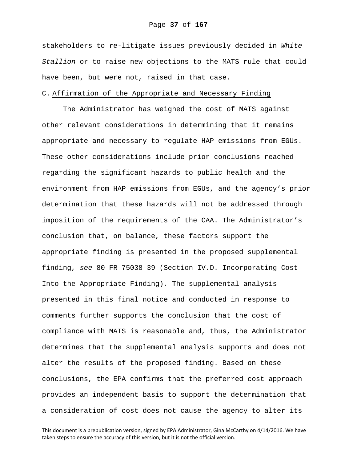stakeholders to re-litigate issues previously decided in *White Stallion* or to raise new objections to the MATS rule that could have been, but were not, raised in that case.

## C. Affirmation of the Appropriate and Necessary Finding

The Administrator has weighed the cost of MATS against other relevant considerations in determining that it remains appropriate and necessary to regulate HAP emissions from EGUs. These other considerations include prior conclusions reached regarding the significant hazards to public health and the environment from HAP emissions from EGUs, and the agency's prior determination that these hazards will not be addressed through imposition of the requirements of the CAA. The Administrator's conclusion that, on balance, these factors support the appropriate finding is presented in the proposed supplemental finding, *see* 80 FR 75038-39 (Section IV.D. Incorporating Cost Into the Appropriate Finding). The supplemental analysis presented in this final notice and conducted in response to comments further supports the conclusion that the cost of compliance with MATS is reasonable and, thus, the Administrator determines that the supplemental analysis supports and does not alter the results of the proposed finding. Based on these conclusions, the EPA confirms that the preferred cost approach provides an independent basis to support the determination that a consideration of cost does not cause the agency to alter its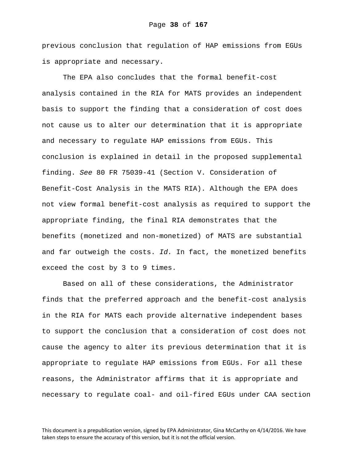previous conclusion that regulation of HAP emissions from EGUs is appropriate and necessary.

The EPA also concludes that the formal benefit-cost analysis contained in the RIA for MATS provides an independent basis to support the finding that a consideration of cost does not cause us to alter our determination that it is appropriate and necessary to regulate HAP emissions from EGUs. This conclusion is explained in detail in the proposed supplemental finding. *See* 80 FR 75039-41 (Section V. Consideration of Benefit-Cost Analysis in the MATS RIA). Although the EPA does not view formal benefit-cost analysis as required to support the appropriate finding, the final RIA demonstrates that the benefits (monetized and non-monetized) of MATS are substantial and far outweigh the costs. *Id.* In fact, the monetized benefits exceed the cost by 3 to 9 times.

Based on all of these considerations, the Administrator finds that the preferred approach and the benefit-cost analysis in the RIA for MATS each provide alternative independent bases to support the conclusion that a consideration of cost does not cause the agency to alter its previous determination that it is appropriate to regulate HAP emissions from EGUs. For all these reasons, the Administrator affirms that it is appropriate and necessary to regulate coal- and oil-fired EGUs under CAA section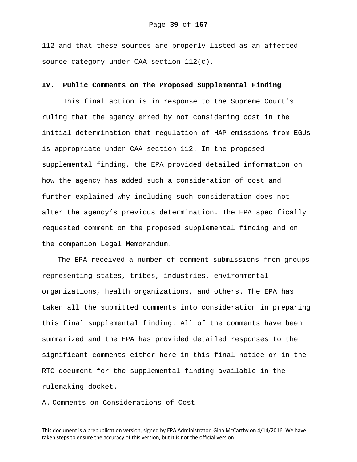112 and that these sources are properly listed as an affected source category under CAA section 112(c).

## **IV. Public Comments on the Proposed Supplemental Finding**

This final action is in response to the Supreme Court's ruling that the agency erred by not considering cost in the initial determination that regulation of HAP emissions from EGUs is appropriate under CAA section 112. In the proposed supplemental finding, the EPA provided detailed information on how the agency has added such a consideration of cost and further explained why including such consideration does not alter the agency's previous determination. The EPA specifically requested comment on the proposed supplemental finding and on the companion Legal Memorandum.

The EPA received a number of comment submissions from groups representing states, tribes, industries, environmental organizations, health organizations, and others. The EPA has taken all the submitted comments into consideration in preparing this final supplemental finding. All of the comments have been summarized and the EPA has provided detailed responses to the significant comments either here in this final notice or in the RTC document for the supplemental finding available in the rulemaking docket.

## A. Comments on Considerations of Cost

This document is a prepublication version, signed by EPA Administrator, Gina McCarthy on 4/14/2016. We have taken steps to ensure the accuracy of this version, but it is not the official version.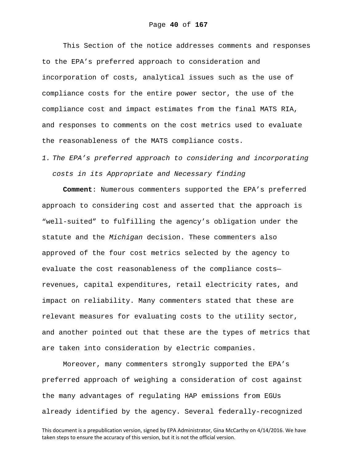This Section of the notice addresses comments and responses to the EPA's preferred approach to consideration and incorporation of costs, analytical issues such as the use of compliance costs for the entire power sector, the use of the compliance cost and impact estimates from the final MATS RIA, and responses to comments on the cost metrics used to evaluate the reasonableness of the MATS compliance costs.

*1. The EPA's preferred approach to considering and incorporating costs in its Appropriate and Necessary finding* 

**Comment**: Numerous commenters supported the EPA's preferred approach to considering cost and asserted that the approach is "well-suited" to fulfilling the agency's obligation under the statute and the *Michigan* decision. These commenters also approved of the four cost metrics selected by the agency to evaluate the cost reasonableness of the compliance costs revenues, capital expenditures, retail electricity rates, and impact on reliability. Many commenters stated that these are relevant measures for evaluating costs to the utility sector, and another pointed out that these are the types of metrics that are taken into consideration by electric companies.

Moreover, many commenters strongly supported the EPA's preferred approach of weighing a consideration of cost against the many advantages of regulating HAP emissions from EGUs already identified by the agency. Several federally-recognized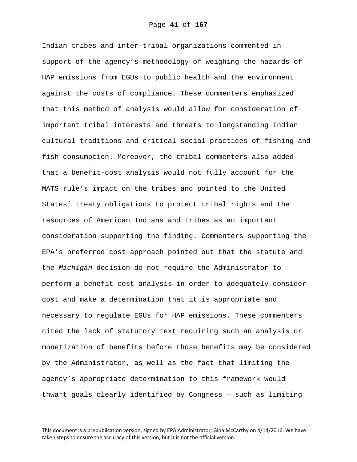Indian tribes and inter-tribal organizations commented in support of the agency's methodology of weighing the hazards of HAP emissions from EGUs to public health and the environment against the costs of compliance. These commenters emphasized that this method of analysis would allow for consideration of important tribal interests and threats to longstanding Indian cultural traditions and critical social practices of fishing and fish consumption. Moreover, the tribal commenters also added that a benefit-cost analysis would not fully account for the MATS rule's impact on the tribes and pointed to the United States' treaty obligations to protect tribal rights and the resources of American Indians and tribes as an important consideration supporting the finding. Commenters supporting the EPA's preferred cost approach pointed out that the statute and the *Michigan* decision do not require the Administrator to perform a benefit-cost analysis in order to adequately consider cost and make a determination that it is appropriate and necessary to regulate EGUs for HAP emissions. These commenters cited the lack of statutory text requiring such an analysis or monetization of benefits before those benefits may be considered by the Administrator, as well as the fact that limiting the agency's appropriate determination to this framework would thwart goals clearly identified by Congress — such as limiting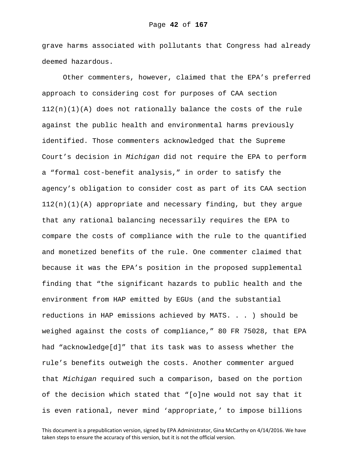grave harms associated with pollutants that Congress had already deemed hazardous.

Other commenters, however, claimed that the EPA's preferred approach to considering cost for purposes of CAA section  $112(n)(1)(A)$  does not rationally balance the costs of the rule against the public health and environmental harms previously identified. Those commenters acknowledged that the Supreme Court's decision in *Michigan* did not require the EPA to perform a "formal cost-benefit analysis," in order to satisfy the agency's obligation to consider cost as part of its CAA section  $112(n)(1)(A)$  appropriate and necessary finding, but they argue that any rational balancing necessarily requires the EPA to compare the costs of compliance with the rule to the quantified and monetized benefits of the rule. One commenter claimed that because it was the EPA's position in the proposed supplemental finding that "the significant hazards to public health and the environment from HAP emitted by EGUs (and the substantial reductions in HAP emissions achieved by MATS. . . ) should be weighed against the costs of compliance," 80 FR 75028, that EPA had "acknowledge[d]" that its task was to assess whether the rule's benefits outweigh the costs. Another commenter argued that *Michigan* required such a comparison, based on the portion of the decision which stated that "[o]ne would not say that it is even rational, never mind 'appropriate,' to impose billions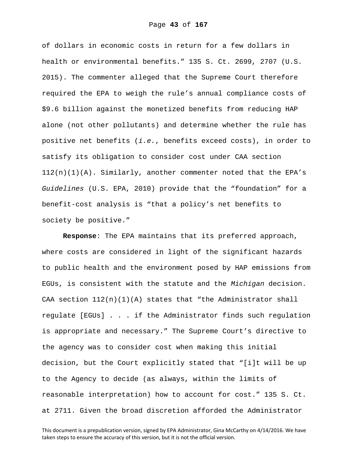of dollars in economic costs in return for a few dollars in health or environmental benefits." 135 S. Ct. 2699, 2707 (U.S. 2015). The commenter alleged that the Supreme Court therefore required the EPA to weigh the rule's annual compliance costs of \$9.6 billion against the monetized benefits from reducing HAP alone (not other pollutants) and determine whether the rule has positive net benefits (*i.e.*, benefits exceed costs), in order to satisfy its obligation to consider cost under CAA section 112(n)(1)(A). Similarly, another commenter noted that the EPA's *Guidelines* (U.S. EPA, 2010) provide that the "foundation" for a benefit-cost analysis is "that a policy's net benefits to society be positive."

**Response**: The EPA maintains that its preferred approach, where costs are considered in light of the significant hazards to public health and the environment posed by HAP emissions from EGUs, is consistent with the statute and the *Michigan* decision. CAA section  $112(n)(1)(A)$  states that "the Administrator shall regulate [EGUs] . . . if the Administrator finds such regulation is appropriate and necessary." The Supreme Court's directive to the agency was to consider cost when making this initial decision, but the Court explicitly stated that "[i]t will be up to the Agency to decide (as always, within the limits of reasonable interpretation) how to account for cost." 135 S. Ct. at 2711. Given the broad discretion afforded the Administrator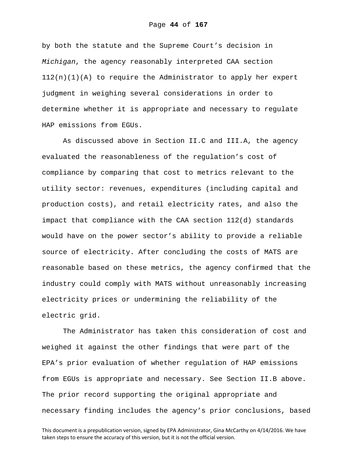by both the statute and the Supreme Court's decision in *Michigan*, the agency reasonably interpreted CAA section  $112(n)(1)(A)$  to require the Administrator to apply her expert judgment in weighing several considerations in order to determine whether it is appropriate and necessary to regulate HAP emissions from EGUs.

As discussed above in Section II.C and III.A, the agency evaluated the reasonableness of the regulation's cost of compliance by comparing that cost to metrics relevant to the utility sector: revenues, expenditures (including capital and production costs), and retail electricity rates, and also the impact that compliance with the CAA section 112(d) standards would have on the power sector's ability to provide a reliable source of electricity. After concluding the costs of MATS are reasonable based on these metrics, the agency confirmed that the industry could comply with MATS without unreasonably increasing electricity prices or undermining the reliability of the electric grid.

The Administrator has taken this consideration of cost and weighed it against the other findings that were part of the EPA's prior evaluation of whether regulation of HAP emissions from EGUs is appropriate and necessary. See Section II.B above. The prior record supporting the original appropriate and necessary finding includes the agency's prior conclusions, based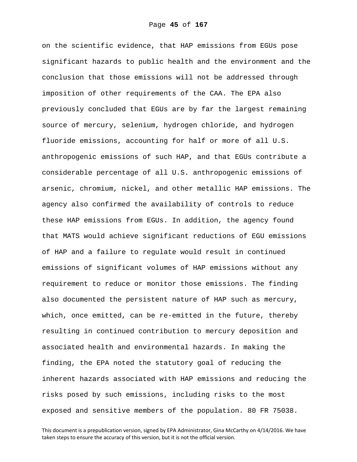on the scientific evidence, that HAP emissions from EGUs pose significant hazards to public health and the environment and the conclusion that those emissions will not be addressed through imposition of other requirements of the CAA. The EPA also previously concluded that EGUs are by far the largest remaining source of mercury, selenium, hydrogen chloride, and hydrogen fluoride emissions, accounting for half or more of all U.S. anthropogenic emissions of such HAP, and that EGUs contribute a considerable percentage of all U.S. anthropogenic emissions of arsenic, chromium, nickel, and other metallic HAP emissions. The agency also confirmed the availability of controls to reduce these HAP emissions from EGUs. In addition, the agency found that MATS would achieve significant reductions of EGU emissions of HAP and a failure to regulate would result in continued emissions of significant volumes of HAP emissions without any requirement to reduce or monitor those emissions. The finding also documented the persistent nature of HAP such as mercury, which, once emitted, can be re-emitted in the future, thereby resulting in continued contribution to mercury deposition and associated health and environmental hazards. In making the finding, the EPA noted the statutory goal of reducing the inherent hazards associated with HAP emissions and reducing the risks posed by such emissions, including risks to the most exposed and sensitive members of the population. 80 FR 75038.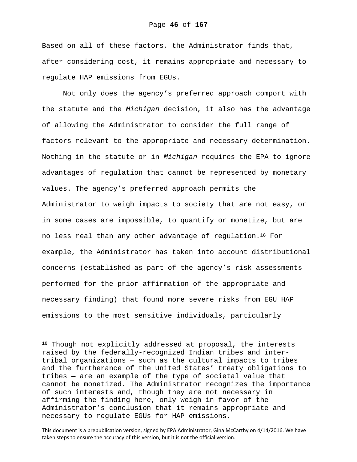Based on all of these factors, the Administrator finds that, after considering cost, it remains appropriate and necessary to regulate HAP emissions from EGUs.

Not only does the agency's preferred approach comport with the statute and the *Michigan* decision, it also has the advantage of allowing the Administrator to consider the full range of factors relevant to the appropriate and necessary determination. Nothing in the statute or in *Michigan* requires the EPA to ignore advantages of regulation that cannot be represented by monetary values. The agency's preferred approach permits the Administrator to weigh impacts to society that are not easy, or in some cases are impossible, to quantify or monetize, but are no less real than any other advantage of regulation.18 For example, the Administrator has taken into account distributional concerns (established as part of the agency's risk assessments performed for the prior affirmation of the appropriate and necessary finding) that found more severe risks from EGU HAP emissions to the most sensitive individuals, particularly

i<br>Li

<sup>18</sup> Though not explicitly addressed at proposal, the interests raised by the federally-recognized Indian tribes and intertribal organizations — such as the cultural impacts to tribes and the furtherance of the United States' treaty obligations to tribes — are an example of the type of societal value that cannot be monetized. The Administrator recognizes the importance of such interests and, though they are not necessary in affirming the finding here, only weigh in favor of the Administrator's conclusion that it remains appropriate and necessary to regulate EGUs for HAP emissions.

This document is a prepublication version, signed by EPA Administrator, Gina McCarthy on 4/14/2016. We have taken steps to ensure the accuracy of this version, but it is not the official version.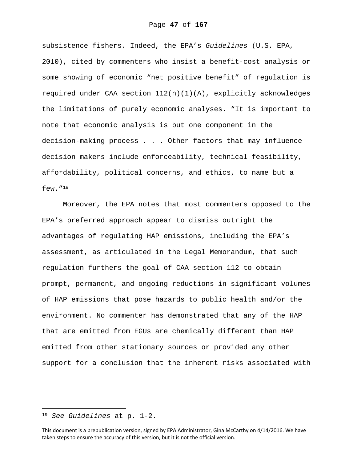subsistence fishers. Indeed, the EPA's *Guidelines* (U.S. EPA, 2010), cited by commenters who insist a benefit-cost analysis or some showing of economic "net positive benefit" of regulation is required under CAA section  $112(n)(1)(A)$ , explicitly acknowledges the limitations of purely economic analyses. "It is important to note that economic analysis is but one component in the decision-making process . . . Other factors that may influence decision makers include enforceability, technical feasibility, affordability, political concerns, and ethics, to name but a few."19

Moreover, the EPA notes that most commenters opposed to the EPA's preferred approach appear to dismiss outright the advantages of regulating HAP emissions, including the EPA's assessment, as articulated in the Legal Memorandum, that such regulation furthers the goal of CAA section 112 to obtain prompt, permanent, and ongoing reductions in significant volumes of HAP emissions that pose hazards to public health and/or the environment. No commenter has demonstrated that any of the HAP that are emitted from EGUs are chemically different than HAP emitted from other stationary sources or provided any other support for a conclusion that the inherent risks associated with

i<br>Li

<sup>19</sup> *See Guidelines* at p. 1-2.

This document is a prepublication version, signed by EPA Administrator, Gina McCarthy on 4/14/2016. We have taken steps to ensure the accuracy of this version, but it is not the official version.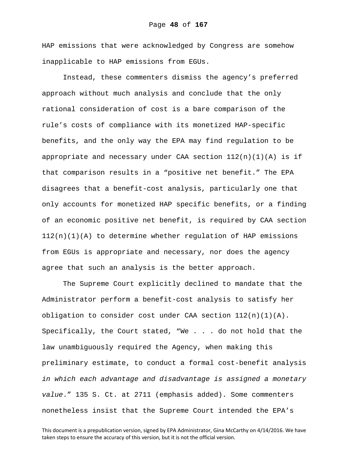HAP emissions that were acknowledged by Congress are somehow inapplicable to HAP emissions from EGUs.

Instead, these commenters dismiss the agency's preferred approach without much analysis and conclude that the only rational consideration of cost is a bare comparison of the rule's costs of compliance with its monetized HAP-specific benefits, and the only way the EPA may find regulation to be appropriate and necessary under CAA section  $112(n)(1)(A)$  is if that comparison results in a "positive net benefit." The EPA disagrees that a benefit-cost analysis, particularly one that only accounts for monetized HAP specific benefits, or a finding of an economic positive net benefit, is required by CAA section  $112(n)(1)(A)$  to determine whether regulation of HAP emissions from EGUs is appropriate and necessary, nor does the agency agree that such an analysis is the better approach.

The Supreme Court explicitly declined to mandate that the Administrator perform a benefit-cost analysis to satisfy her obligation to consider cost under CAA section  $112(n)(1)(A)$ . Specifically, the Court stated, "We . . . do not hold that the law unambiguously required the Agency, when making this preliminary estimate, to conduct a formal cost-benefit analysis *in which each advantage and disadvantage is assigned a monetary value*." 135 S. Ct. at 2711 (emphasis added). Some commenters nonetheless insist that the Supreme Court intended the EPA's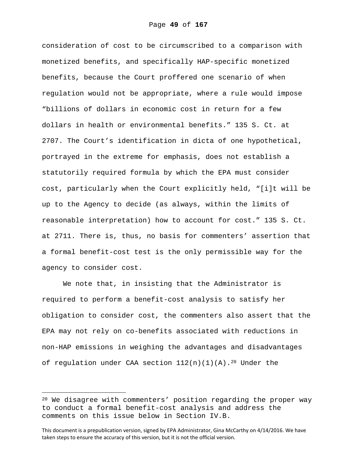consideration of cost to be circumscribed to a comparison with monetized benefits, and specifically HAP-specific monetized benefits, because the Court proffered one scenario of when regulation would not be appropriate, where a rule would impose "billions of dollars in economic cost in return for a few dollars in health or environmental benefits." 135 S. Ct. at 2707. The Court's identification in dicta of one hypothetical, portrayed in the extreme for emphasis, does not establish a statutorily required formula by which the EPA must consider cost, particularly when the Court explicitly held, "[i]t will be up to the Agency to decide (as always, within the limits of reasonable interpretation) how to account for cost." 135 S. Ct. at 2711. There is, thus, no basis for commenters' assertion that a formal benefit-cost test is the only permissible way for the agency to consider cost.

We note that, in insisting that the Administrator is required to perform a benefit-cost analysis to satisfy her obligation to consider cost, the commenters also assert that the EPA may not rely on co-benefits associated with reductions in non-HAP emissions in weighing the advantages and disadvantages of regulation under CAA section  $112(n)(1)(A)$ .<sup>20</sup> Under the

i

<sup>20</sup> We disagree with commenters' position regarding the proper way to conduct a formal benefit-cost analysis and address the comments on this issue below in Section IV.B.

This document is a prepublication version, signed by EPA Administrator, Gina McCarthy on 4/14/2016. We have taken steps to ensure the accuracy of this version, but it is not the official version.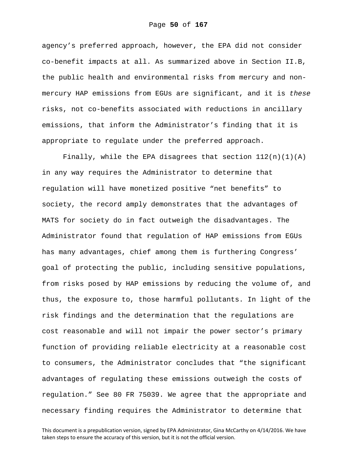agency's preferred approach, however, the EPA did not consider co-benefit impacts at all. As summarized above in Section II.B, the public health and environmental risks from mercury and nonmercury HAP emissions from EGUs are significant, and it is *these* risks, not co-benefits associated with reductions in ancillary emissions, that inform the Administrator's finding that it is appropriate to regulate under the preferred approach.

Finally, while the EPA disagrees that section  $112(n)(1)(A)$ in any way requires the Administrator to determine that regulation will have monetized positive "net benefits" to society, the record amply demonstrates that the advantages of MATS for society do in fact outweigh the disadvantages. The Administrator found that regulation of HAP emissions from EGUs has many advantages, chief among them is furthering Congress' goal of protecting the public, including sensitive populations, from risks posed by HAP emissions by reducing the volume of, and thus, the exposure to, those harmful pollutants. In light of the risk findings and the determination that the regulations are cost reasonable and will not impair the power sector's primary function of providing reliable electricity at a reasonable cost to consumers, the Administrator concludes that "the significant advantages of regulating these emissions outweigh the costs of regulation." See 80 FR 75039. We agree that the appropriate and necessary finding requires the Administrator to determine that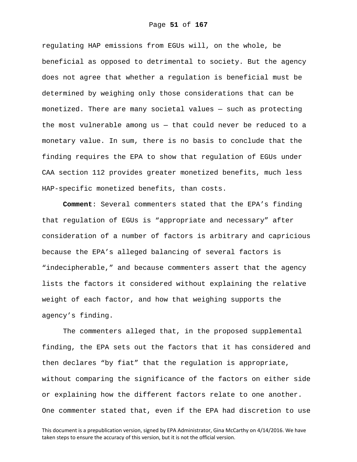regulating HAP emissions from EGUs will, on the whole, be beneficial as opposed to detrimental to society. But the agency does not agree that whether a regulation is beneficial must be determined by weighing only those considerations that can be monetized. There are many societal values — such as protecting the most vulnerable among us — that could never be reduced to a monetary value. In sum, there is no basis to conclude that the finding requires the EPA to show that regulation of EGUs under CAA section 112 provides greater monetized benefits, much less HAP-specific monetized benefits, than costs.

**Comment**: Several commenters stated that the EPA's finding that regulation of EGUs is "appropriate and necessary" after consideration of a number of factors is arbitrary and capricious because the EPA's alleged balancing of several factors is "indecipherable," and because commenters assert that the agency lists the factors it considered without explaining the relative weight of each factor, and how that weighing supports the agency's finding.

The commenters alleged that, in the proposed supplemental finding, the EPA sets out the factors that it has considered and then declares "by fiat" that the regulation is appropriate, without comparing the significance of the factors on either side or explaining how the different factors relate to one another. One commenter stated that, even if the EPA had discretion to use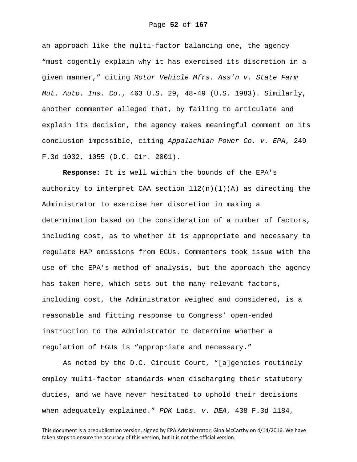an approach like the multi-factor balancing one, the agency "must cogently explain why it has exercised its discretion in a given manner," citing *Motor Vehicle Mfrs. Ass'n v. State Farm Mut. Auto. Ins. Co.*, 463 U.S. 29, 48-49 (U.S. 1983). Similarly, another commenter alleged that, by failing to articulate and explain its decision, the agency makes meaningful comment on its conclusion impossible, citing *Appalachian Power Co. v. EPA*, 249 F.3d 1032, 1055 (D.C. Cir. 2001).

**Response**: It is well within the bounds of the EPA's authority to interpret CAA section  $112(n)(1)(A)$  as directing the Administrator to exercise her discretion in making a determination based on the consideration of a number of factors, including cost, as to whether it is appropriate and necessary to regulate HAP emissions from EGUs. Commenters took issue with the use of the EPA's method of analysis, but the approach the agency has taken here, which sets out the many relevant factors, including cost, the Administrator weighed and considered, is a reasonable and fitting response to Congress' open-ended instruction to the Administrator to determine whether a regulation of EGUs is "appropriate and necessary."

As noted by the D.C. Circuit Court, "[a]gencies routinely employ multi-factor standards when discharging their statutory duties, and we have never hesitated to uphold their decisions when adequately explained." *PDK Labs. v. DEA*, 438 F.3d 1184,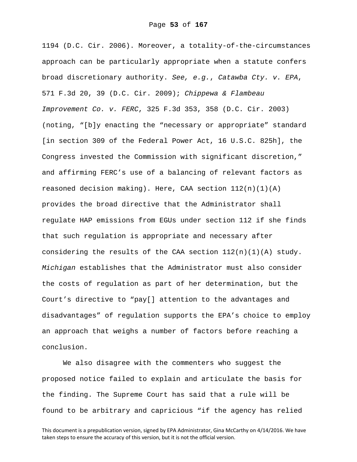1194 (D.C. Cir. 2006). Moreover, a totality-of-the-circumstances approach can be particularly appropriate when a statute confers broad discretionary authority. *See, e.g.*, *Catawba Cty. v. EPA*, 571 F.3d 20, 39 (D.C. Cir. 2009); *Chippewa & Flambeau Improvement Co. v. FERC*, 325 F.3d 353, 358 (D.C. Cir. 2003) (noting, "[b]y enacting the "necessary or appropriate" standard [in section 309 of the Federal Power Act, 16 U.S.C. 825h], the Congress invested the Commission with significant discretion," and affirming FERC's use of a balancing of relevant factors as reasoned decision making). Here, CAA section  $112(n)(1)(A)$ provides the broad directive that the Administrator shall regulate HAP emissions from EGUs under section 112 if she finds that such regulation is appropriate and necessary after considering the results of the CAA section  $112(n)(1)(A)$  study. *Michigan* establishes that the Administrator must also consider the costs of regulation as part of her determination, but the Court's directive to "pay[] attention to the advantages and disadvantages" of regulation supports the EPA's choice to employ an approach that weighs a number of factors before reaching a conclusion.

We also disagree with the commenters who suggest the proposed notice failed to explain and articulate the basis for the finding. The Supreme Court has said that a rule will be found to be arbitrary and capricious "if the agency has relied

This document is a prepublication version, signed by EPA Administrator, Gina McCarthy on 4/14/2016. We have taken steps to ensure the accuracy of this version, but it is not the official version.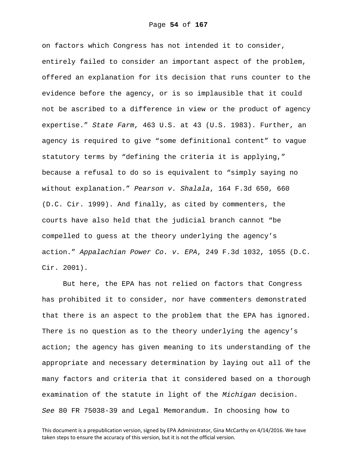on factors which Congress has not intended it to consider, entirely failed to consider an important aspect of the problem, offered an explanation for its decision that runs counter to the evidence before the agency, or is so implausible that it could not be ascribed to a difference in view or the product of agency expertise." *State Farm*, 463 U.S. at 43 (U.S. 1983). Further, an agency is required to give "some definitional content" to vague statutory terms by "defining the criteria it is applying," because a refusal to do so is equivalent to "simply saying no without explanation." *Pearson v. Shalala*, 164 F.3d 650, 660 (D.C. Cir. 1999). And finally, as cited by commenters, the courts have also held that the judicial branch cannot "be compelled to guess at the theory underlying the agency's action." *Appalachian Power Co. v. EPA*, 249 F.3d 1032, 1055 (D.C. Cir. 2001).

But here, the EPA has not relied on factors that Congress has prohibited it to consider, nor have commenters demonstrated that there is an aspect to the problem that the EPA has ignored. There is no question as to the theory underlying the agency's action; the agency has given meaning to its understanding of the appropriate and necessary determination by laying out all of the many factors and criteria that it considered based on a thorough examination of the statute in light of the *Michigan* decision. *See* 80 FR 75038-39 and Legal Memorandum. In choosing how to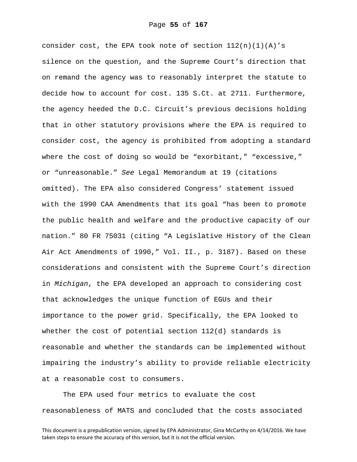consider cost, the EPA took note of section  $112(n)(1)(A)'s$ silence on the question, and the Supreme Court's direction that on remand the agency was to reasonably interpret the statute to decide how to account for cost. 135 S.Ct. at 2711. Furthermore, the agency heeded the D.C. Circuit's previous decisions holding that in other statutory provisions where the EPA is required to consider cost, the agency is prohibited from adopting a standard where the cost of doing so would be "exorbitant," "excessive," or "unreasonable." *See* Legal Memorandum at 19 (citations omitted). The EPA also considered Congress' statement issued with the 1990 CAA Amendments that its goal "has been to promote the public health and welfare and the productive capacity of our nation." 80 FR 75031 (citing "A Legislative History of the Clean Air Act Amendments of 1990," Vol. II., p. 3187). Based on these considerations and consistent with the Supreme Court's direction in *Michigan*, the EPA developed an approach to considering cost that acknowledges the unique function of EGUs and their importance to the power grid. Specifically, the EPA looked to whether the cost of potential section 112(d) standards is reasonable and whether the standards can be implemented without impairing the industry's ability to provide reliable electricity at a reasonable cost to consumers.

The EPA used four metrics to evaluate the cost reasonableness of MATS and concluded that the costs associated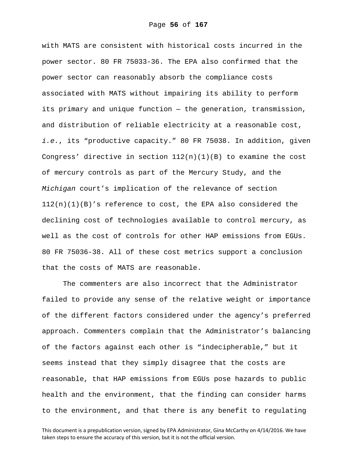with MATS are consistent with historical costs incurred in the power sector. 80 FR 75033-36. The EPA also confirmed that the power sector can reasonably absorb the compliance costs associated with MATS without impairing its ability to perform its primary and unique function — the generation, transmission, and distribution of reliable electricity at a reasonable cost, *i.e.*, its "productive capacity." 80 FR 75038. In addition, given Congress' directive in section  $112(n)(1)(B)$  to examine the cost of mercury controls as part of the Mercury Study, and the *Michigan* court's implication of the relevance of section  $112(n)(1)(B)'$ s reference to cost, the EPA also considered the declining cost of technologies available to control mercury, as well as the cost of controls for other HAP emissions from EGUs. 80 FR 75036-38. All of these cost metrics support a conclusion that the costs of MATS are reasonable.

The commenters are also incorrect that the Administrator failed to provide any sense of the relative weight or importance of the different factors considered under the agency's preferred approach. Commenters complain that the Administrator's balancing of the factors against each other is "indecipherable," but it seems instead that they simply disagree that the costs are reasonable, that HAP emissions from EGUs pose hazards to public health and the environment, that the finding can consider harms to the environment, and that there is any benefit to regulating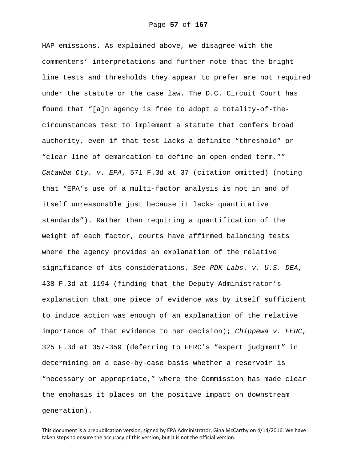HAP emissions. As explained above, we disagree with the commenters' interpretations and further note that the bright line tests and thresholds they appear to prefer are not required under the statute or the case law. The D.C. Circuit Court has found that "[a]n agency is free to adopt a totality-of-thecircumstances test to implement a statute that confers broad authority, even if that test lacks a definite "threshold" or "clear line of demarcation to define an open-ended term."" *Catawba Cty. v. EPA*, 571 F.3d at 37 (citation omitted) (noting that "EPA's use of a multi-factor analysis is not in and of itself unreasonable just because it lacks quantitative standards"). Rather than requiring a quantification of the weight of each factor, courts have affirmed balancing tests where the agency provides an explanation of the relative significance of its considerations. *See PDK Labs. v. U.S. DEA*, 438 F.3d at 1194 (finding that the Deputy Administrator's explanation that one piece of evidence was by itself sufficient to induce action was enough of an explanation of the relative importance of that evidence to her decision); *Chippewa v. FERC*, 325 F.3d at 357-359 (deferring to FERC's "expert judgment" in determining on a case-by-case basis whether a reservoir is "necessary or appropriate," where the Commission has made clear the emphasis it places on the positive impact on downstream generation).

This document is a prepublication version, signed by EPA Administrator, Gina McCarthy on 4/14/2016. We have taken steps to ensure the accuracy of this version, but it is not the official version.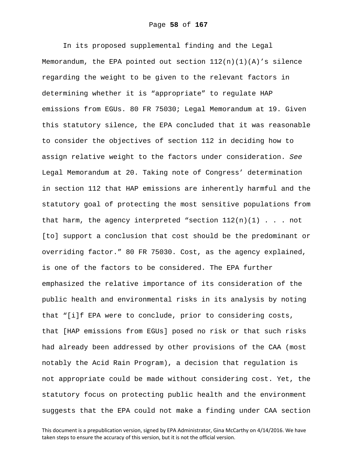In its proposed supplemental finding and the Legal Memorandum, the EPA pointed out section  $112(n)(1)(A)'$ s silence regarding the weight to be given to the relevant factors in determining whether it is "appropriate" to regulate HAP emissions from EGUs. 80 FR 75030; Legal Memorandum at 19. Given this statutory silence, the EPA concluded that it was reasonable to consider the objectives of section 112 in deciding how to assign relative weight to the factors under consideration. *See* Legal Memorandum at 20. Taking note of Congress' determination in section 112 that HAP emissions are inherently harmful and the statutory goal of protecting the most sensitive populations from that harm, the agency interpreted "section  $112(n)(1)$ ... not [to] support a conclusion that cost should be the predominant or overriding factor." 80 FR 75030. Cost, as the agency explained, is one of the factors to be considered. The EPA further emphasized the relative importance of its consideration of the public health and environmental risks in its analysis by noting that "[i]f EPA were to conclude, prior to considering costs, that [HAP emissions from EGUs] posed no risk or that such risks had already been addressed by other provisions of the CAA (most notably the Acid Rain Program), a decision that regulation is not appropriate could be made without considering cost. Yet, the statutory focus on protecting public health and the environment suggests that the EPA could not make a finding under CAA section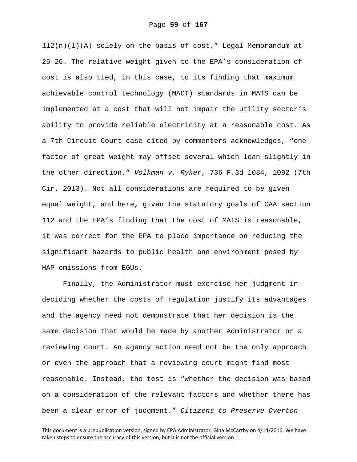112(n)(1)(A) solely on the basis of cost." Legal Memorandum at 25-26. The relative weight given to the EPA's consideration of cost is also tied, in this case, to its finding that maximum achievable control technology (MACT) standards in MATS can be implemented at a cost that will not impair the utility sector's ability to provide reliable electricity at a reasonable cost. As a 7th Circuit Court case cited by commenters acknowledges, "one factor of great weight may offset several which lean slightly in the other direction." *Volkman v. Ryker*, 736 F.3d 1084, 1092 (7th Cir. 2013). Not all considerations are required to be given equal weight, and here, given the statutory goals of CAA section 112 and the EPA's finding that the cost of MATS is reasonable, it was correct for the EPA to place importance on reducing the significant hazards to public health and environment posed by HAP emissions from EGUs.

Finally, the Administrator must exercise her judgment in deciding whether the costs of regulation justify its advantages and the agency need not demonstrate that her decision is the same decision that would be made by another Administrator or a reviewing court. An agency action need not be the only approach or even the approach that a reviewing court might find most reasonable. Instead, the test is "whether the decision was based on a consideration of the relevant factors and whether there has been a clear error of judgment." *Citizens to Preserve Overton*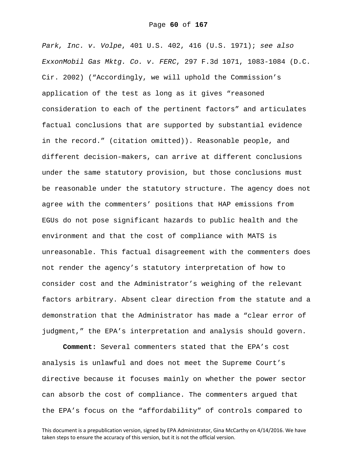*Park, Inc. v. Volpe*, 401 U.S. 402, 416 (U.S. 1971); *see also ExxonMobil Gas Mktg. Co. v. FERC*, 297 F.3d 1071, 1083-1084 (D.C. Cir. 2002) ("Accordingly, we will uphold the Commission's application of the test as long as it gives "reasoned consideration to each of the pertinent factors" and articulates factual conclusions that are supported by substantial evidence in the record." (citation omitted)). Reasonable people, and different decision-makers, can arrive at different conclusions under the same statutory provision, but those conclusions must be reasonable under the statutory structure. The agency does not agree with the commenters' positions that HAP emissions from EGUs do not pose significant hazards to public health and the environment and that the cost of compliance with MATS is unreasonable. This factual disagreement with the commenters does not render the agency's statutory interpretation of how to consider cost and the Administrator's weighing of the relevant factors arbitrary. Absent clear direction from the statute and a demonstration that the Administrator has made a "clear error of judgment," the EPA's interpretation and analysis should govern.

**Comment:** Several commenters stated that the EPA's cost analysis is unlawful and does not meet the Supreme Court's directive because it focuses mainly on whether the power sector can absorb the cost of compliance. The commenters argued that the EPA's focus on the "affordability" of controls compared to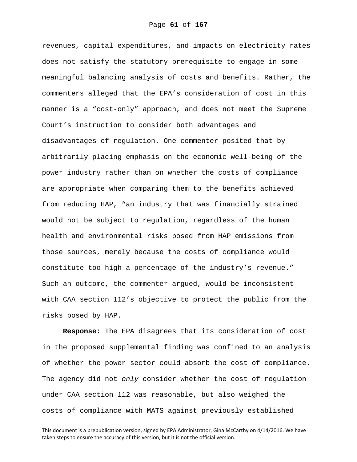revenues, capital expenditures, and impacts on electricity rates does not satisfy the statutory prerequisite to engage in some meaningful balancing analysis of costs and benefits. Rather, the commenters alleged that the EPA's consideration of cost in this manner is a "cost-only" approach, and does not meet the Supreme Court's instruction to consider both advantages and disadvantages of regulation. One commenter posited that by arbitrarily placing emphasis on the economic well-being of the power industry rather than on whether the costs of compliance are appropriate when comparing them to the benefits achieved from reducing HAP, "an industry that was financially strained would not be subject to regulation, regardless of the human health and environmental risks posed from HAP emissions from those sources, merely because the costs of compliance would constitute too high a percentage of the industry's revenue." Such an outcome, the commenter argued, would be inconsistent with CAA section 112's objective to protect the public from the risks posed by HAP.

**Response:** The EPA disagrees that its consideration of cost in the proposed supplemental finding was confined to an analysis of whether the power sector could absorb the cost of compliance. The agency did not *only* consider whether the cost of regulation under CAA section 112 was reasonable, but also weighed the costs of compliance with MATS against previously established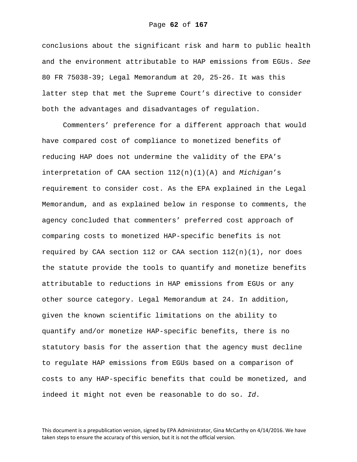conclusions about the significant risk and harm to public health and the environment attributable to HAP emissions from EGUs. *See* 80 FR 75038-39; Legal Memorandum at 20, 25-26. It was this latter step that met the Supreme Court's directive to consider both the advantages and disadvantages of regulation.

Commenters' preference for a different approach that would have compared cost of compliance to monetized benefits of reducing HAP does not undermine the validity of the EPA's interpretation of CAA section 112(n)(1)(A) and *Michigan*'s requirement to consider cost. As the EPA explained in the Legal Memorandum, and as explained below in response to comments, the agency concluded that commenters' preferred cost approach of comparing costs to monetized HAP-specific benefits is not required by CAA section 112 or CAA section  $112(n)(1)$ , nor does the statute provide the tools to quantify and monetize benefits attributable to reductions in HAP emissions from EGUs or any other source category. Legal Memorandum at 24. In addition, given the known scientific limitations on the ability to quantify and/or monetize HAP-specific benefits, there is no statutory basis for the assertion that the agency must decline to regulate HAP emissions from EGUs based on a comparison of costs to any HAP-specific benefits that could be monetized, and indeed it might not even be reasonable to do so. *Id.*

This document is a prepublication version, signed by EPA Administrator, Gina McCarthy on 4/14/2016. We have taken steps to ensure the accuracy of this version, but it is not the official version.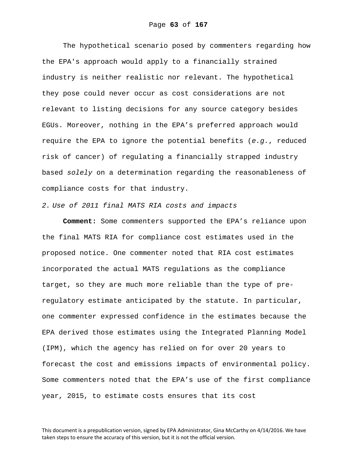The hypothetical scenario posed by commenters regarding how the EPA's approach would apply to a financially strained industry is neither realistic nor relevant. The hypothetical they pose could never occur as cost considerations are not relevant to listing decisions for any source category besides EGUs. Moreover, nothing in the EPA's preferred approach would require the EPA to ignore the potential benefits (*e.g.*, reduced risk of cancer) of regulating a financially strapped industry based *solely* on a determination regarding the reasonableness of compliance costs for that industry.

## *2. Use of 2011 final MATS RIA costs and impacts*

**Comment:** Some commenters supported the EPA's reliance upon the final MATS RIA for compliance cost estimates used in the proposed notice. One commenter noted that RIA cost estimates incorporated the actual MATS regulations as the compliance target, so they are much more reliable than the type of preregulatory estimate anticipated by the statute. In particular, one commenter expressed confidence in the estimates because the EPA derived those estimates using the Integrated Planning Model (IPM), which the agency has relied on for over 20 years to forecast the cost and emissions impacts of environmental policy. Some commenters noted that the EPA's use of the first compliance year, 2015, to estimate costs ensures that its cost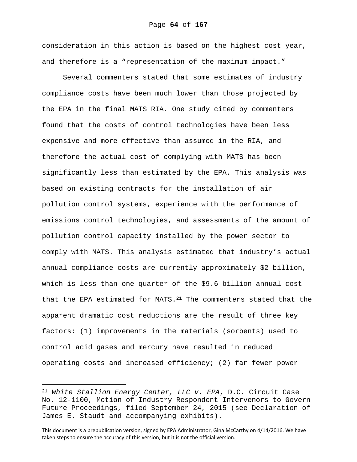consideration in this action is based on the highest cost year, and therefore is a "representation of the maximum impact."

Several commenters stated that some estimates of industry compliance costs have been much lower than those projected by the EPA in the final MATS RIA. One study cited by commenters found that the costs of control technologies have been less expensive and more effective than assumed in the RIA, and therefore the actual cost of complying with MATS has been significantly less than estimated by the EPA. This analysis was based on existing contracts for the installation of air pollution control systems, experience with the performance of emissions control technologies, and assessments of the amount of pollution control capacity installed by the power sector to comply with MATS. This analysis estimated that industry's actual annual compliance costs are currently approximately \$2 billion, which is less than one-quarter of the \$9.6 billion annual cost that the EPA estimated for MATS. $^{21}$  The commenters stated that the apparent dramatic cost reductions are the result of three key factors: (1) improvements in the materials (sorbents) used to control acid gases and mercury have resulted in reduced operating costs and increased efficiency; (2) far fewer power

i

<sup>21</sup> *White Stallion Energy Center, LLC v. EPA*, D.C. Circuit Case No. 12-1100, Motion of Industry Respondent Intervenors to Govern Future Proceedings, filed September 24, 2015 (see Declaration of James E. Staudt and accompanying exhibits).

This document is a prepublication version, signed by EPA Administrator, Gina McCarthy on 4/14/2016. We have taken steps to ensure the accuracy of this version, but it is not the official version.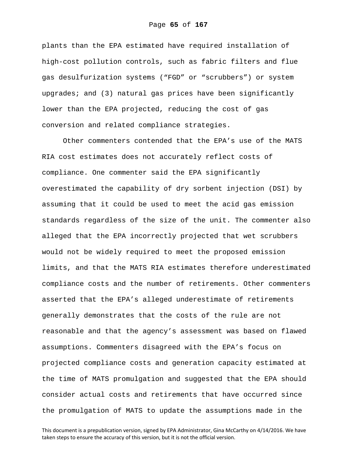plants than the EPA estimated have required installation of high-cost pollution controls, such as fabric filters and flue gas desulfurization systems ("FGD" or "scrubbers") or system upgrades; and (3) natural gas prices have been significantly lower than the EPA projected, reducing the cost of gas conversion and related compliance strategies.

Other commenters contended that the EPA's use of the MATS RIA cost estimates does not accurately reflect costs of compliance. One commenter said the EPA significantly overestimated the capability of dry sorbent injection (DSI) by assuming that it could be used to meet the acid gas emission standards regardless of the size of the unit. The commenter also alleged that the EPA incorrectly projected that wet scrubbers would not be widely required to meet the proposed emission limits, and that the MATS RIA estimates therefore underestimated compliance costs and the number of retirements. Other commenters asserted that the EPA's alleged underestimate of retirements generally demonstrates that the costs of the rule are not reasonable and that the agency's assessment was based on flawed assumptions. Commenters disagreed with the EPA's focus on projected compliance costs and generation capacity estimated at the time of MATS promulgation and suggested that the EPA should consider actual costs and retirements that have occurred since the promulgation of MATS to update the assumptions made in the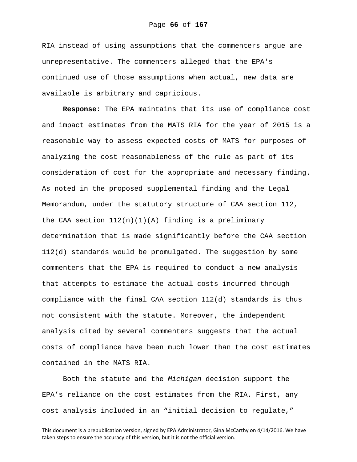RIA instead of using assumptions that the commenters argue are unrepresentative. The commenters alleged that the EPA's continued use of those assumptions when actual, new data are available is arbitrary and capricious.

**Response**: The EPA maintains that its use of compliance cost and impact estimates from the MATS RIA for the year of 2015 is a reasonable way to assess expected costs of MATS for purposes of analyzing the cost reasonableness of the rule as part of its consideration of cost for the appropriate and necessary finding. As noted in the proposed supplemental finding and the Legal Memorandum, under the statutory structure of CAA section 112, the CAA section  $112(n)(1)(A)$  finding is a preliminary determination that is made significantly before the CAA section 112(d) standards would be promulgated. The suggestion by some commenters that the EPA is required to conduct a new analysis that attempts to estimate the actual costs incurred through compliance with the final CAA section 112(d) standards is thus not consistent with the statute. Moreover, the independent analysis cited by several commenters suggests that the actual costs of compliance have been much lower than the cost estimates contained in the MATS RIA.

Both the statute and the *Michigan* decision support the EPA's reliance on the cost estimates from the RIA. First, any cost analysis included in an "initial decision to regulate,"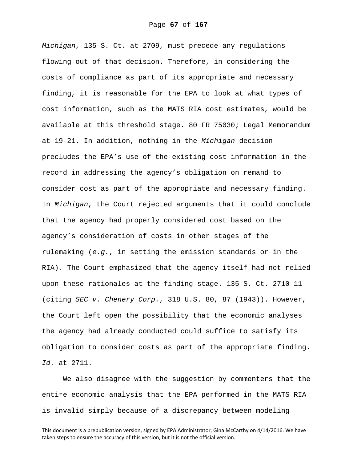*Michigan*, 135 S. Ct. at 2709, must precede any regulations flowing out of that decision. Therefore, in considering the costs of compliance as part of its appropriate and necessary finding, it is reasonable for the EPA to look at what types of cost information, such as the MATS RIA cost estimates, would be available at this threshold stage. 80 FR 75030; Legal Memorandum at 19-21. In addition, nothing in the *Michigan* decision precludes the EPA's use of the existing cost information in the record in addressing the agency's obligation on remand to consider cost as part of the appropriate and necessary finding. In *Michigan*, the Court rejected arguments that it could conclude that the agency had properly considered cost based on the agency's consideration of costs in other stages of the rulemaking (*e.g.*, in setting the emission standards or in the RIA). The Court emphasized that the agency itself had not relied upon these rationales at the finding stage. 135 S. Ct. 2710-11 (citing *SEC v. Chenery Corp.*, 318 U.S. 80, 87 (1943)). However, the Court left open the possibility that the economic analyses the agency had already conducted could suffice to satisfy its obligation to consider costs as part of the appropriate finding. *Id.* at 2711.

We also disagree with the suggestion by commenters that the entire economic analysis that the EPA performed in the MATS RIA is invalid simply because of a discrepancy between modeling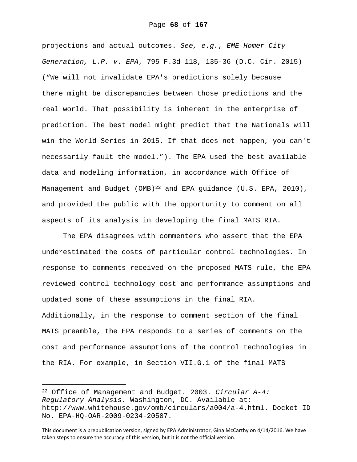projections and actual outcomes. *See, e.g.*, *EME Homer City Generation, L.P. v. EPA*, 795 F.3d 118, 135-36 (D.C. Cir. 2015) ("We will not invalidate EPA's predictions solely because there might be discrepancies between those predictions and the real world. That possibility is inherent in the enterprise of prediction. The best model might predict that the Nationals will win the World Series in 2015. If that does not happen, you can't necessarily fault the model."). The EPA used the best available data and modeling information, in accordance with Office of Management and Budget (OMB)<sup>22</sup> and EPA guidance (U.S. EPA, 2010), and provided the public with the opportunity to comment on all aspects of its analysis in developing the final MATS RIA.

The EPA disagrees with commenters who assert that the EPA underestimated the costs of particular control technologies. In response to comments received on the proposed MATS rule, the EPA reviewed control technology cost and performance assumptions and updated some of these assumptions in the final RIA. Additionally, in the response to comment section of the final MATS preamble, the EPA responds to a series of comments on the cost and performance assumptions of the control technologies in the RIA. For example, in Section VII.G.1 of the final MATS

i

<sup>22</sup> Office of Management and Budget. 2003. *Circular A-4: Regulatory Analysis*. Washington, DC. Available at: http://www.whitehouse.gov/omb/circulars/a004/a-4.html. Docket ID No. EPA-HQ-OAR-2009-0234-20507.

This document is a prepublication version, signed by EPA Administrator, Gina McCarthy on 4/14/2016. We have taken steps to ensure the accuracy of this version, but it is not the official version.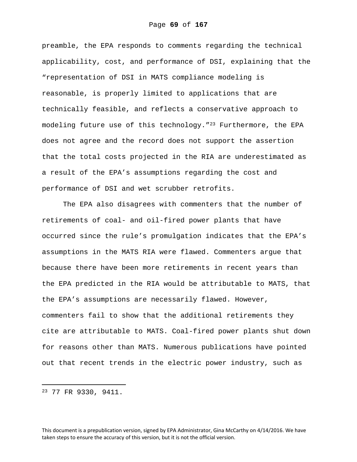preamble, the EPA responds to comments regarding the technical applicability, cost, and performance of DSI, explaining that the "representation of DSI in MATS compliance modeling is reasonable, is properly limited to applications that are technically feasible, and reflects a conservative approach to modeling future use of this technology."<sup>23</sup> Furthermore, the EPA does not agree and the record does not support the assertion that the total costs projected in the RIA are underestimated as a result of the EPA's assumptions regarding the cost and performance of DSI and wet scrubber retrofits.

The EPA also disagrees with commenters that the number of retirements of coal- and oil-fired power plants that have occurred since the rule's promulgation indicates that the EPA's assumptions in the MATS RIA were flawed. Commenters argue that because there have been more retirements in recent years than the EPA predicted in the RIA would be attributable to MATS, that the EPA's assumptions are necessarily flawed. However, commenters fail to show that the additional retirements they cite are attributable to MATS. Coal-fired power plants shut down for reasons other than MATS. Numerous publications have pointed out that recent trends in the electric power industry, such as

23 77 FR 9330, 9411.

i

This document is a prepublication version, signed by EPA Administrator, Gina McCarthy on 4/14/2016. We have taken steps to ensure the accuracy of this version, but it is not the official version.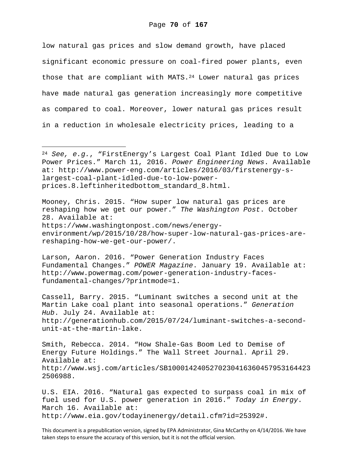low natural gas prices and slow demand growth, have placed significant economic pressure on coal-fired power plants, even those that are compliant with MATS. $^{24}$  Lower natural gas prices have made natural gas generation increasingly more competitive as compared to coal. Moreover, lower natural gas prices result in a reduction in wholesale electricity prices, leading to a

i<br>Li

Mooney, Chris. 2015. "How super low natural gas prices are reshaping how we get our power." *The Washington Post*. October 28. Available at: https://www.washingtonpost.com/news/energyenvironment/wp/2015/10/28/how-super-low-natural-gas-prices-arereshaping-how-we-get-our-power/.

Larson, Aaron. 2016. "Power Generation Industry Faces Fundamental Changes." *POWER Magazine*. January 19. Available at: http://www.powermag.com/power-generation-industry-facesfundamental-changes/?printmode=1.

Cassell, Barry. 2015. "Luminant switches a second unit at the Martin Lake coal plant into seasonal operations." *Generation Hub*. July 24. Available at: http://generationhub.com/2015/07/24/luminant-switches-a-secondunit-at-the-martin-lake.

Smith, Rebecca. 2014. "How Shale-Gas Boom Led to Demise of Energy Future Holdings." The Wall Street Journal. April 29. Available at: http://www.wsj.com/articles/SB1000142405270230416360457953164423 2506988.

U.S. EIA. 2016. "Natural gas expected to surpass coal in mix of fuel used for U.S. power generation in 2016." *Today in Energy*. March 16. Available at: http://www.eia.gov/todayinenergy/detail.cfm?id=25392#.

This document is a prepublication version, signed by EPA Administrator, Gina McCarthy on 4/14/2016. We have taken steps to ensure the accuracy of this version, but it is not the official version.

<sup>24</sup> *See, e.g.*, "FirstEnergy's Largest Coal Plant Idled Due to Low Power Prices." March 11, 2016. *Power Engineering News*. Available at: http://www.power-eng.com/articles/2016/03/firstenergy-slargest-coal-plant-idled-due-to-low-powerprices.8.leftinheritedbottom\_standard\_8.html.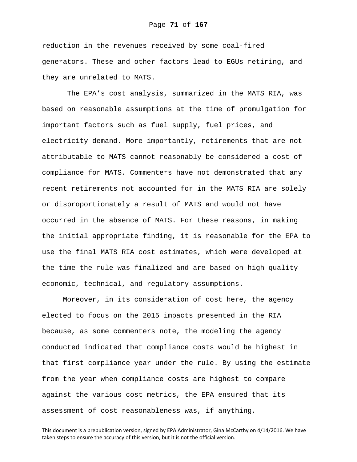reduction in the revenues received by some coal-fired generators. These and other factors lead to EGUs retiring, and they are unrelated to MATS.

 The EPA's cost analysis, summarized in the MATS RIA, was based on reasonable assumptions at the time of promulgation for important factors such as fuel supply, fuel prices, and electricity demand. More importantly, retirements that are not attributable to MATS cannot reasonably be considered a cost of compliance for MATS. Commenters have not demonstrated that any recent retirements not accounted for in the MATS RIA are solely or disproportionately a result of MATS and would not have occurred in the absence of MATS. For these reasons, in making the initial appropriate finding, it is reasonable for the EPA to use the final MATS RIA cost estimates, which were developed at the time the rule was finalized and are based on high quality economic, technical, and regulatory assumptions.

Moreover, in its consideration of cost here, the agency elected to focus on the 2015 impacts presented in the RIA because, as some commenters note, the modeling the agency conducted indicated that compliance costs would be highest in that first compliance year under the rule. By using the estimate from the year when compliance costs are highest to compare against the various cost metrics, the EPA ensured that its assessment of cost reasonableness was, if anything,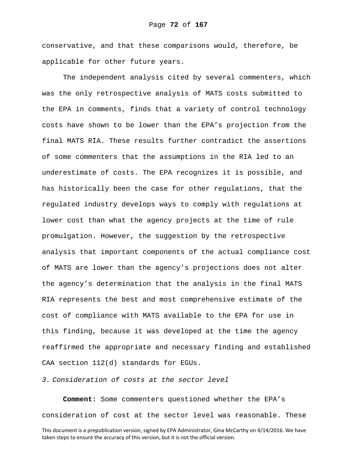conservative, and that these comparisons would, therefore, be applicable for other future years.

The independent analysis cited by several commenters, which was the only retrospective analysis of MATS costs submitted to the EPA in comments, finds that a variety of control technology costs have shown to be lower than the EPA's projection from the final MATS RIA. These results further contradict the assertions of some commenters that the assumptions in the RIA led to an underestimate of costs. The EPA recognizes it is possible, and has historically been the case for other regulations, that the regulated industry develops ways to comply with regulations at lower cost than what the agency projects at the time of rule promulgation. However, the suggestion by the retrospective analysis that important components of the actual compliance cost of MATS are lower than the agency's projections does not alter the agency's determination that the analysis in the final MATS RIA represents the best and most comprehensive estimate of the cost of compliance with MATS available to the EPA for use in this finding, because it was developed at the time the agency reaffirmed the appropriate and necessary finding and established CAA section 112(d) standards for EGUs.

*3. Consideration of costs at the sector level* 

**Comment:** Some commenters questioned whether the EPA's consideration of cost at the sector level was reasonable. These

This document is a prepublication version, signed by EPA Administrator, Gina McCarthy on 4/14/2016. We have taken steps to ensure the accuracy of this version, but it is not the official version.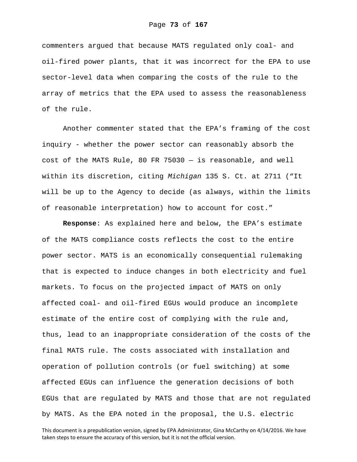commenters argued that because MATS regulated only coal- and oil-fired power plants, that it was incorrect for the EPA to use sector-level data when comparing the costs of the rule to the array of metrics that the EPA used to assess the reasonableness of the rule.

Another commenter stated that the EPA's framing of the cost inquiry - whether the power sector can reasonably absorb the cost of the MATS Rule, 80 FR 75030 — is reasonable, and well within its discretion, citing *Michigan* 135 S. Ct. at 2711 ("It will be up to the Agency to decide (as always, within the limits of reasonable interpretation) how to account for cost."

**Response**: As explained here and below, the EPA's estimate of the MATS compliance costs reflects the cost to the entire power sector. MATS is an economically consequential rulemaking that is expected to induce changes in both electricity and fuel markets. To focus on the projected impact of MATS on only affected coal- and oil-fired EGUs would produce an incomplete estimate of the entire cost of complying with the rule and, thus, lead to an inappropriate consideration of the costs of the final MATS rule. The costs associated with installation and operation of pollution controls (or fuel switching) at some affected EGUs can influence the generation decisions of both EGUs that are regulated by MATS and those that are not regulated by MATS. As the EPA noted in the proposal, the U.S. electric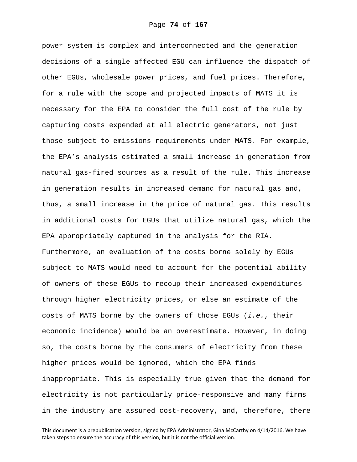power system is complex and interconnected and the generation decisions of a single affected EGU can influence the dispatch of other EGUs, wholesale power prices, and fuel prices. Therefore, for a rule with the scope and projected impacts of MATS it is necessary for the EPA to consider the full cost of the rule by capturing costs expended at all electric generators, not just those subject to emissions requirements under MATS. For example, the EPA's analysis estimated a small increase in generation from natural gas-fired sources as a result of the rule. This increase in generation results in increased demand for natural gas and, thus, a small increase in the price of natural gas. This results in additional costs for EGUs that utilize natural gas, which the EPA appropriately captured in the analysis for the RIA. Furthermore, an evaluation of the costs borne solely by EGUs subject to MATS would need to account for the potential ability of owners of these EGUs to recoup their increased expenditures through higher electricity prices, or else an estimate of the costs of MATS borne by the owners of those EGUs (*i.e.*, their economic incidence) would be an overestimate. However, in doing so, the costs borne by the consumers of electricity from these higher prices would be ignored, which the EPA finds inappropriate. This is especially true given that the demand for electricity is not particularly price-responsive and many firms in the industry are assured cost-recovery, and, therefore, there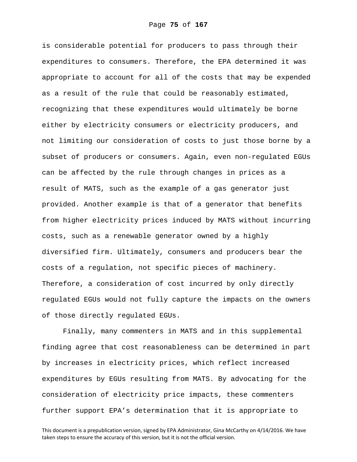is considerable potential for producers to pass through their expenditures to consumers. Therefore, the EPA determined it was appropriate to account for all of the costs that may be expended as a result of the rule that could be reasonably estimated, recognizing that these expenditures would ultimately be borne either by electricity consumers or electricity producers, and not limiting our consideration of costs to just those borne by a subset of producers or consumers. Again, even non-regulated EGUs can be affected by the rule through changes in prices as a result of MATS, such as the example of a gas generator just provided. Another example is that of a generator that benefits from higher electricity prices induced by MATS without incurring costs, such as a renewable generator owned by a highly diversified firm. Ultimately, consumers and producers bear the costs of a regulation, not specific pieces of machinery. Therefore, a consideration of cost incurred by only directly regulated EGUs would not fully capture the impacts on the owners of those directly regulated EGUs.

Finally, many commenters in MATS and in this supplemental finding agree that cost reasonableness can be determined in part by increases in electricity prices, which reflect increased expenditures by EGUs resulting from MATS. By advocating for the consideration of electricity price impacts, these commenters further support EPA's determination that it is appropriate to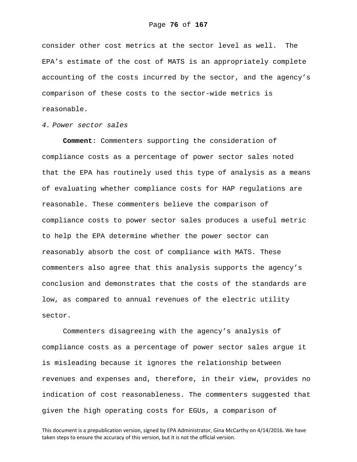consider other cost metrics at the sector level as well. The EPA's estimate of the cost of MATS is an appropriately complete accounting of the costs incurred by the sector, and the agency's comparison of these costs to the sector-wide metrics is reasonable.

### *4. Power sector sales*

**Comment**: Commenters supporting the consideration of compliance costs as a percentage of power sector sales noted that the EPA has routinely used this type of analysis as a means of evaluating whether compliance costs for HAP regulations are reasonable. These commenters believe the comparison of compliance costs to power sector sales produces a useful metric to help the EPA determine whether the power sector can reasonably absorb the cost of compliance with MATS. These commenters also agree that this analysis supports the agency's conclusion and demonstrates that the costs of the standards are low, as compared to annual revenues of the electric utility sector.

Commenters disagreeing with the agency's analysis of compliance costs as a percentage of power sector sales argue it is misleading because it ignores the relationship between revenues and expenses and, therefore, in their view, provides no indication of cost reasonableness. The commenters suggested that given the high operating costs for EGUs, a comparison of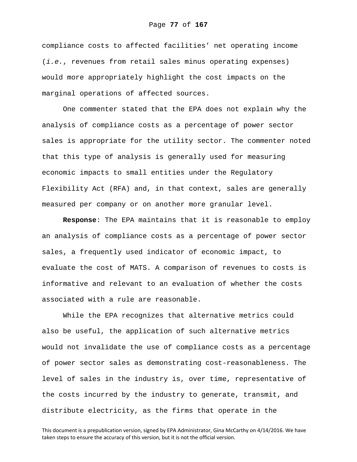compliance costs to affected facilities' net operating income (*i.e.*, revenues from retail sales minus operating expenses) would more appropriately highlight the cost impacts on the marginal operations of affected sources.

One commenter stated that the EPA does not explain why the analysis of compliance costs as a percentage of power sector sales is appropriate for the utility sector. The commenter noted that this type of analysis is generally used for measuring economic impacts to small entities under the Regulatory Flexibility Act (RFA) and, in that context, sales are generally measured per company or on another more granular level.

**Response**: The EPA maintains that it is reasonable to employ an analysis of compliance costs as a percentage of power sector sales, a frequently used indicator of economic impact, to evaluate the cost of MATS. A comparison of revenues to costs is informative and relevant to an evaluation of whether the costs associated with a rule are reasonable.

While the EPA recognizes that alternative metrics could also be useful, the application of such alternative metrics would not invalidate the use of compliance costs as a percentage of power sector sales as demonstrating cost-reasonableness. The level of sales in the industry is, over time, representative of the costs incurred by the industry to generate, transmit, and distribute electricity, as the firms that operate in the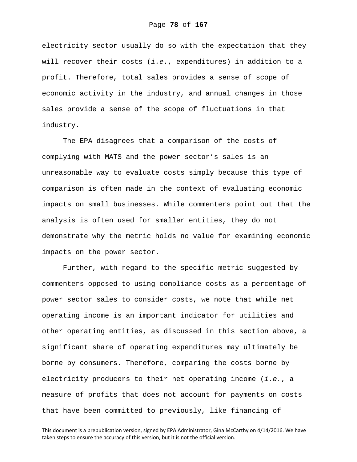electricity sector usually do so with the expectation that they will recover their costs (*i.e.*, expenditures) in addition to a profit. Therefore, total sales provides a sense of scope of economic activity in the industry, and annual changes in those sales provide a sense of the scope of fluctuations in that industry.

The EPA disagrees that a comparison of the costs of complying with MATS and the power sector's sales is an unreasonable way to evaluate costs simply because this type of comparison is often made in the context of evaluating economic impacts on small businesses. While commenters point out that the analysis is often used for smaller entities, they do not demonstrate why the metric holds no value for examining economic impacts on the power sector.

Further, with regard to the specific metric suggested by commenters opposed to using compliance costs as a percentage of power sector sales to consider costs, we note that while net operating income is an important indicator for utilities and other operating entities, as discussed in this section above, a significant share of operating expenditures may ultimately be borne by consumers. Therefore, comparing the costs borne by electricity producers to their net operating income (*i.e.*, a measure of profits that does not account for payments on costs that have been committed to previously, like financing of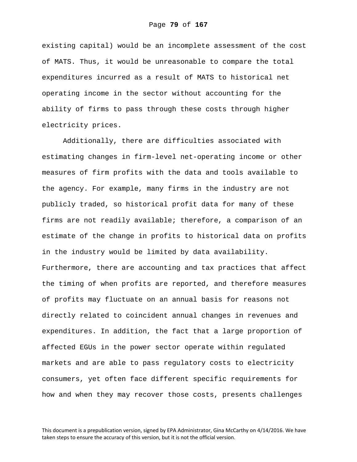existing capital) would be an incomplete assessment of the cost of MATS. Thus, it would be unreasonable to compare the total expenditures incurred as a result of MATS to historical net operating income in the sector without accounting for the ability of firms to pass through these costs through higher electricity prices.

Additionally, there are difficulties associated with estimating changes in firm-level net-operating income or other measures of firm profits with the data and tools available to the agency. For example, many firms in the industry are not publicly traded, so historical profit data for many of these firms are not readily available; therefore, a comparison of an estimate of the change in profits to historical data on profits in the industry would be limited by data availability. Furthermore, there are accounting and tax practices that affect the timing of when profits are reported, and therefore measures of profits may fluctuate on an annual basis for reasons not directly related to coincident annual changes in revenues and expenditures. In addition, the fact that a large proportion of affected EGUs in the power sector operate within regulated markets and are able to pass regulatory costs to electricity consumers, yet often face different specific requirements for how and when they may recover those costs, presents challenges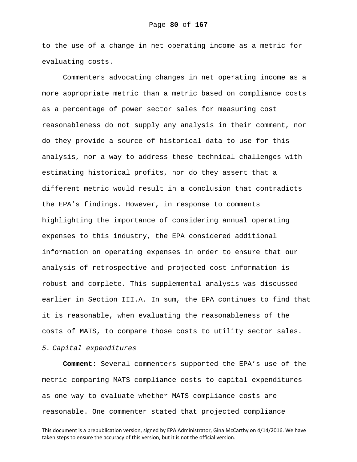to the use of a change in net operating income as a metric for evaluating costs.

Commenters advocating changes in net operating income as a more appropriate metric than a metric based on compliance costs as a percentage of power sector sales for measuring cost reasonableness do not supply any analysis in their comment, nor do they provide a source of historical data to use for this analysis, nor a way to address these technical challenges with estimating historical profits, nor do they assert that a different metric would result in a conclusion that contradicts the EPA's findings. However, in response to comments highlighting the importance of considering annual operating expenses to this industry, the EPA considered additional information on operating expenses in order to ensure that our analysis of retrospective and projected cost information is robust and complete. This supplemental analysis was discussed earlier in Section III.A. In sum, the EPA continues to find that it is reasonable, when evaluating the reasonableness of the costs of MATS, to compare those costs to utility sector sales.

## *5. Capital expenditures*

**Comment**: Several commenters supported the EPA's use of the metric comparing MATS compliance costs to capital expenditures as one way to evaluate whether MATS compliance costs are reasonable. One commenter stated that projected compliance

This document is a prepublication version, signed by EPA Administrator, Gina McCarthy on 4/14/2016. We have taken steps to ensure the accuracy of this version, but it is not the official version.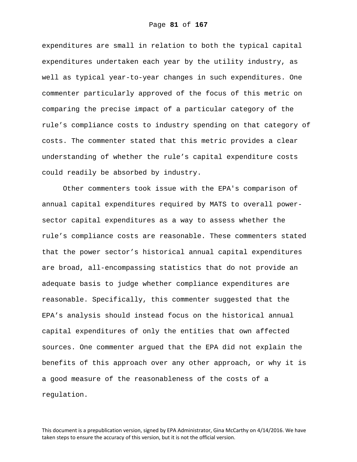expenditures are small in relation to both the typical capital expenditures undertaken each year by the utility industry, as well as typical year-to-year changes in such expenditures. One commenter particularly approved of the focus of this metric on comparing the precise impact of a particular category of the rule's compliance costs to industry spending on that category of costs. The commenter stated that this metric provides a clear understanding of whether the rule's capital expenditure costs could readily be absorbed by industry.

Other commenters took issue with the EPA's comparison of annual capital expenditures required by MATS to overall powersector capital expenditures as a way to assess whether the rule's compliance costs are reasonable. These commenters stated that the power sector's historical annual capital expenditures are broad, all-encompassing statistics that do not provide an adequate basis to judge whether compliance expenditures are reasonable. Specifically, this commenter suggested that the EPA's analysis should instead focus on the historical annual capital expenditures of only the entities that own affected sources. One commenter argued that the EPA did not explain the benefits of this approach over any other approach, or why it is a good measure of the reasonableness of the costs of a regulation.

This document is a prepublication version, signed by EPA Administrator, Gina McCarthy on 4/14/2016. We have taken steps to ensure the accuracy of this version, but it is not the official version.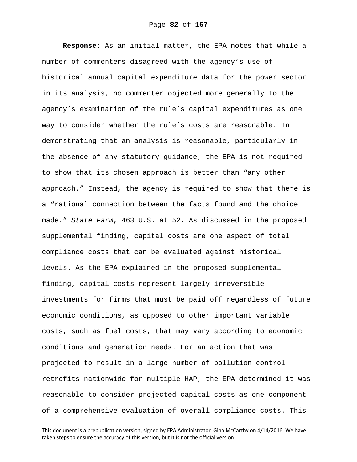**Response**: As an initial matter, the EPA notes that while a number of commenters disagreed with the agency's use of historical annual capital expenditure data for the power sector in its analysis, no commenter objected more generally to the agency's examination of the rule's capital expenditures as one way to consider whether the rule's costs are reasonable. In demonstrating that an analysis is reasonable, particularly in the absence of any statutory guidance, the EPA is not required to show that its chosen approach is better than "any other approach." Instead, the agency is required to show that there is a "rational connection between the facts found and the choice made." *State Farm*, 463 U.S. at 52. As discussed in the proposed supplemental finding, capital costs are one aspect of total compliance costs that can be evaluated against historical levels. As the EPA explained in the proposed supplemental finding, capital costs represent largely irreversible investments for firms that must be paid off regardless of future economic conditions, as opposed to other important variable costs, such as fuel costs, that may vary according to economic conditions and generation needs. For an action that was projected to result in a large number of pollution control retrofits nationwide for multiple HAP, the EPA determined it was reasonable to consider projected capital costs as one component of a comprehensive evaluation of overall compliance costs. This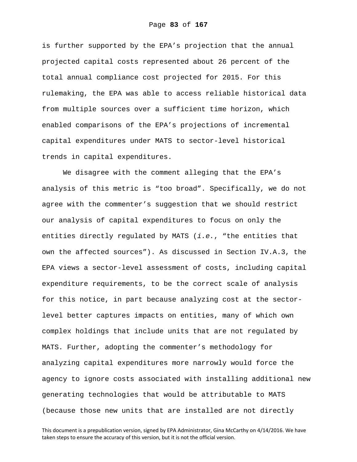is further supported by the EPA's projection that the annual projected capital costs represented about 26 percent of the total annual compliance cost projected for 2015. For this rulemaking, the EPA was able to access reliable historical data from multiple sources over a sufficient time horizon, which enabled comparisons of the EPA's projections of incremental capital expenditures under MATS to sector-level historical trends in capital expenditures.

We disagree with the comment alleging that the EPA's analysis of this metric is "too broad". Specifically, we do not agree with the commenter's suggestion that we should restrict our analysis of capital expenditures to focus on only the entities directly regulated by MATS (*i.e.*, "the entities that own the affected sources"). As discussed in Section IV.A.3, the EPA views a sector-level assessment of costs, including capital expenditure requirements, to be the correct scale of analysis for this notice, in part because analyzing cost at the sectorlevel better captures impacts on entities, many of which own complex holdings that include units that are not regulated by MATS. Further, adopting the commenter's methodology for analyzing capital expenditures more narrowly would force the agency to ignore costs associated with installing additional new generating technologies that would be attributable to MATS (because those new units that are installed are not directly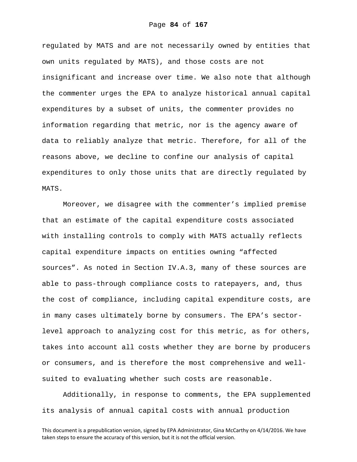regulated by MATS and are not necessarily owned by entities that own units regulated by MATS), and those costs are not insignificant and increase over time. We also note that although the commenter urges the EPA to analyze historical annual capital expenditures by a subset of units, the commenter provides no information regarding that metric, nor is the agency aware of data to reliably analyze that metric. Therefore, for all of the reasons above, we decline to confine our analysis of capital expenditures to only those units that are directly regulated by MATS.

Moreover, we disagree with the commenter's implied premise that an estimate of the capital expenditure costs associated with installing controls to comply with MATS actually reflects capital expenditure impacts on entities owning "affected sources". As noted in Section IV.A.3, many of these sources are able to pass-through compliance costs to ratepayers, and, thus the cost of compliance, including capital expenditure costs, are in many cases ultimately borne by consumers. The EPA's sectorlevel approach to analyzing cost for this metric, as for others, takes into account all costs whether they are borne by producers or consumers, and is therefore the most comprehensive and wellsuited to evaluating whether such costs are reasonable.

Additionally, in response to comments, the EPA supplemented its analysis of annual capital costs with annual production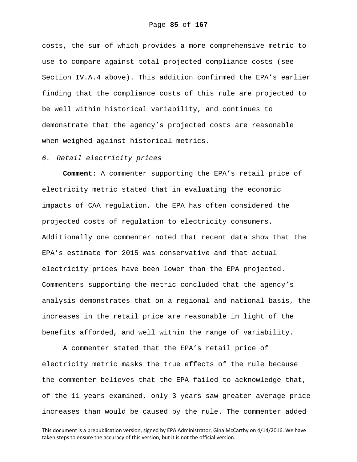costs, the sum of which provides a more comprehensive metric to use to compare against total projected compliance costs (see Section IV.A.4 above). This addition confirmed the EPA's earlier finding that the compliance costs of this rule are projected to be well within historical variability, and continues to demonstrate that the agency's projected costs are reasonable when weighed against historical metrics.

#### *6. Retail electricity prices*

**Comment**: A commenter supporting the EPA's retail price of electricity metric stated that in evaluating the economic impacts of CAA regulation, the EPA has often considered the projected costs of regulation to electricity consumers. Additionally one commenter noted that recent data show that the EPA's estimate for 2015 was conservative and that actual electricity prices have been lower than the EPA projected. Commenters supporting the metric concluded that the agency's analysis demonstrates that on a regional and national basis, the increases in the retail price are reasonable in light of the benefits afforded, and well within the range of variability.

A commenter stated that the EPA's retail price of electricity metric masks the true effects of the rule because the commenter believes that the EPA failed to acknowledge that, of the 11 years examined, only 3 years saw greater average price increases than would be caused by the rule. The commenter added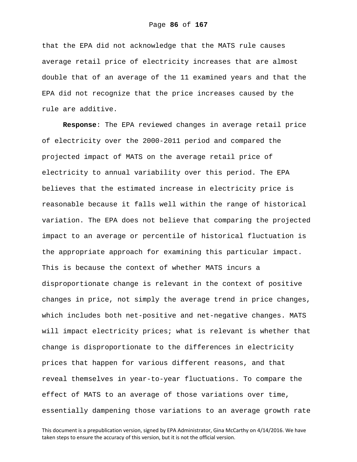that the EPA did not acknowledge that the MATS rule causes average retail price of electricity increases that are almost double that of an average of the 11 examined years and that the EPA did not recognize that the price increases caused by the rule are additive.

**Response**: The EPA reviewed changes in average retail price of electricity over the 2000-2011 period and compared the projected impact of MATS on the average retail price of electricity to annual variability over this period. The EPA believes that the estimated increase in electricity price is reasonable because it falls well within the range of historical variation. The EPA does not believe that comparing the projected impact to an average or percentile of historical fluctuation is the appropriate approach for examining this particular impact. This is because the context of whether MATS incurs a disproportionate change is relevant in the context of positive changes in price, not simply the average trend in price changes, which includes both net-positive and net-negative changes. MATS will impact electricity prices; what is relevant is whether that change is disproportionate to the differences in electricity prices that happen for various different reasons, and that reveal themselves in year-to-year fluctuations. To compare the effect of MATS to an average of those variations over time, essentially dampening those variations to an average growth rate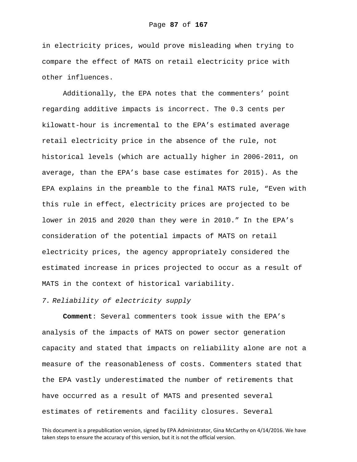in electricity prices, would prove misleading when trying to compare the effect of MATS on retail electricity price with other influences.

Additionally, the EPA notes that the commenters' point regarding additive impacts is incorrect. The 0.3 cents per kilowatt-hour is incremental to the EPA's estimated average retail electricity price in the absence of the rule, not historical levels (which are actually higher in 2006-2011, on average, than the EPA's base case estimates for 2015). As the EPA explains in the preamble to the final MATS rule, "Even with this rule in effect, electricity prices are projected to be lower in 2015 and 2020 than they were in 2010." In the EPA's consideration of the potential impacts of MATS on retail electricity prices, the agency appropriately considered the estimated increase in prices projected to occur as a result of MATS in the context of historical variability.

## *7. Reliability of electricity supply*

**Comment**: Several commenters took issue with the EPA's analysis of the impacts of MATS on power sector generation capacity and stated that impacts on reliability alone are not a measure of the reasonableness of costs. Commenters stated that the EPA vastly underestimated the number of retirements that have occurred as a result of MATS and presented several estimates of retirements and facility closures. Several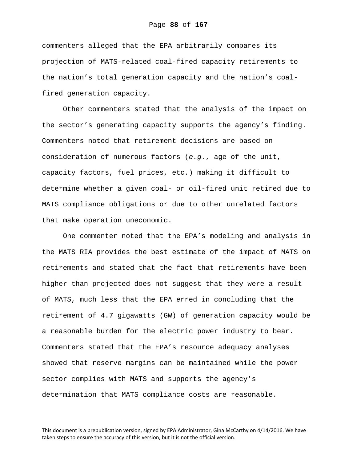commenters alleged that the EPA arbitrarily compares its projection of MATS-related coal-fired capacity retirements to the nation's total generation capacity and the nation's coalfired generation capacity.

Other commenters stated that the analysis of the impact on the sector's generating capacity supports the agency's finding. Commenters noted that retirement decisions are based on consideration of numerous factors (*e.g.*, age of the unit, capacity factors, fuel prices, etc.) making it difficult to determine whether a given coal- or oil-fired unit retired due to MATS compliance obligations or due to other unrelated factors that make operation uneconomic.

One commenter noted that the EPA's modeling and analysis in the MATS RIA provides the best estimate of the impact of MATS on retirements and stated that the fact that retirements have been higher than projected does not suggest that they were a result of MATS, much less that the EPA erred in concluding that the retirement of 4.7 gigawatts (GW) of generation capacity would be a reasonable burden for the electric power industry to bear. Commenters stated that the EPA's resource adequacy analyses showed that reserve margins can be maintained while the power sector complies with MATS and supports the agency's determination that MATS compliance costs are reasonable.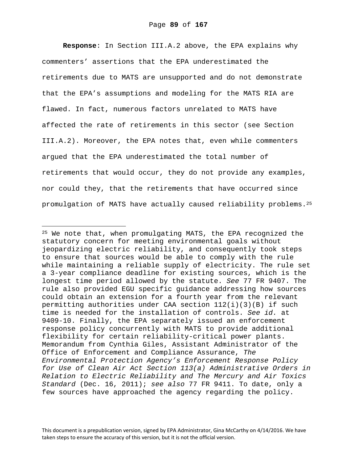**Response**: In Section III.A.2 above, the EPA explains why commenters' assertions that the EPA underestimated the retirements due to MATS are unsupported and do not demonstrate that the EPA's assumptions and modeling for the MATS RIA are flawed. In fact, numerous factors unrelated to MATS have affected the rate of retirements in this sector (see Section III.A.2). Moreover, the EPA notes that, even while commenters argued that the EPA underestimated the total number of retirements that would occur, they do not provide any examples, nor could they, that the retirements that have occurred since promulgation of MATS have actually caused reliability problems.25

i

<sup>25</sup> We note that, when promulgating MATS, the EPA recognized the statutory concern for meeting environmental goals without jeopardizing electric reliability, and consequently took steps to ensure that sources would be able to comply with the rule while maintaining a reliable supply of electricity. The rule set a 3-year compliance deadline for existing sources, which is the longest time period allowed by the statute. *See* 77 FR 9407. The rule also provided EGU specific guidance addressing how sources could obtain an extension for a fourth year from the relevant permitting authorities under CAA section  $112(i)(3)(B)$  if such time is needed for the installation of controls. *See id.* at 9409-10. Finally, the EPA separately issued an enforcement response policy concurrently with MATS to provide additional flexibility for certain reliability-critical power plants. Memorandum from Cynthia Giles, Assistant Administrator of the Office of Enforcement and Compliance Assurance, *The Environmental Protection Agency's Enforcement Response Policy for Use of Clean Air Act Section 113(a) Administrative Orders in Relation to Electric Reliability and The Mercury and Air Toxics Standard* (Dec. 16, 2011); *see also* 77 FR 9411. To date, only a few sources have approached the agency regarding the policy.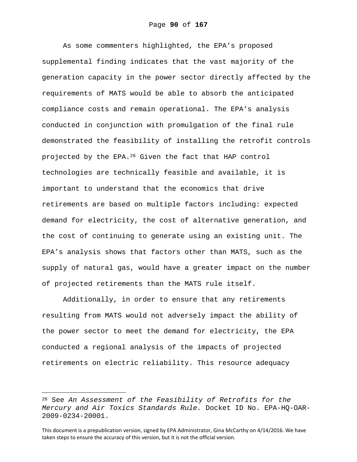As some commenters highlighted, the EPA's proposed supplemental finding indicates that the vast majority of the generation capacity in the power sector directly affected by the requirements of MATS would be able to absorb the anticipated compliance costs and remain operational. The EPA's analysis conducted in conjunction with promulgation of the final rule demonstrated the feasibility of installing the retrofit controls projected by the EPA.26 Given the fact that HAP control technologies are technically feasible and available, it is important to understand that the economics that drive retirements are based on multiple factors including: expected demand for electricity, the cost of alternative generation, and the cost of continuing to generate using an existing unit. The EPA's analysis shows that factors other than MATS, such as the supply of natural gas, would have a greater impact on the number of projected retirements than the MATS rule itself.

Additionally, in order to ensure that any retirements resulting from MATS would not adversely impact the ability of the power sector to meet the demand for electricity, the EPA conducted a regional analysis of the impacts of projected retirements on electric reliability. This resource adequacy

i

<sup>26</sup> See *An Assessment of the Feasibility of Retrofits for the Mercury and Air Toxics Standards Rule.* Docket ID No. EPA-HQ-OAR-2009-0234-20001.

This document is a prepublication version, signed by EPA Administrator, Gina McCarthy on 4/14/2016. We have taken steps to ensure the accuracy of this version, but it is not the official version.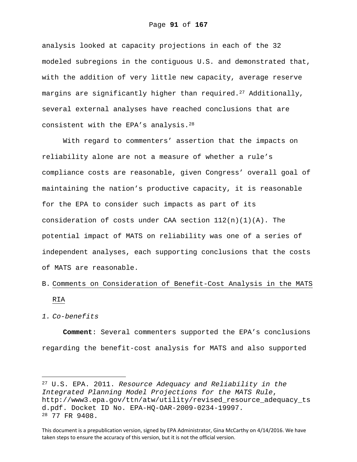analysis looked at capacity projections in each of the 32 modeled subregions in the contiguous U.S. and demonstrated that, with the addition of very little new capacity, average reserve margins are significantly higher than required.<sup>27</sup> Additionally, several external analyses have reached conclusions that are consistent with the EPA's analysis.28

With regard to commenters' assertion that the impacts on reliability alone are not a measure of whether a rule's compliance costs are reasonable, given Congress' overall goal of maintaining the nation's productive capacity, it is reasonable for the EPA to consider such impacts as part of its consideration of costs under CAA section  $112(n)(1)(A)$ . The potential impact of MATS on reliability was one of a series of independent analyses, each supporting conclusions that the costs of MATS are reasonable.

# B. Comments on Consideration of Benefit-Cost Analysis in the MATS RIA

#### *1. Co-benefits*

i<br>Li

**Comment**: Several commenters supported the EPA's conclusions regarding the benefit-cost analysis for MATS and also supported

<sup>27</sup> U.S. EPA. 2011. *Resource Adequacy and Reliability in the Integrated Planning Model Projections for the MATS Rule*, http://www3.epa.gov/ttn/atw/utility/revised\_resource\_adequacy\_ts d.pdf. Docket ID No. EPA-HQ-OAR-2009-0234-19997. 28 77 FR 9408.

This document is a prepublication version, signed by EPA Administrator, Gina McCarthy on 4/14/2016. We have taken steps to ensure the accuracy of this version, but it is not the official version.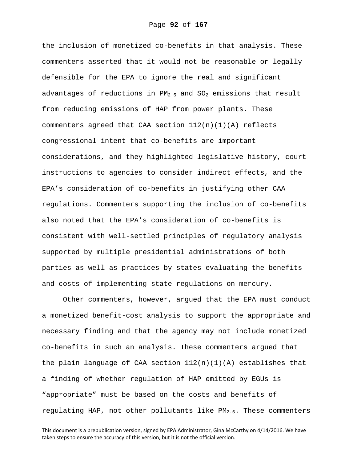the inclusion of monetized co-benefits in that analysis. These commenters asserted that it would not be reasonable or legally defensible for the EPA to ignore the real and significant advantages of reductions in  $PM_{2.5}$  and  $SO_2$  emissions that result from reducing emissions of HAP from power plants. These commenters agreed that CAA section 112(n)(1)(A) reflects congressional intent that co-benefits are important considerations, and they highlighted legislative history, court instructions to agencies to consider indirect effects, and the EPA's consideration of co-benefits in justifying other CAA regulations. Commenters supporting the inclusion of co-benefits also noted that the EPA's consideration of co-benefits is consistent with well-settled principles of regulatory analysis supported by multiple presidential administrations of both parties as well as practices by states evaluating the benefits and costs of implementing state regulations on mercury.

Other commenters, however, argued that the EPA must conduct a monetized benefit-cost analysis to support the appropriate and necessary finding and that the agency may not include monetized co-benefits in such an analysis. These commenters argued that the plain language of CAA section  $112(n)(1)(A)$  establishes that a finding of whether regulation of HAP emitted by EGUs is "appropriate" must be based on the costs and benefits of regulating HAP, not other pollutants like  $PM_{2.5}$ . These commenters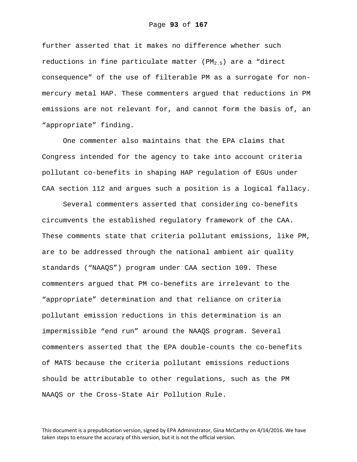further asserted that it makes no difference whether such reductions in fine particulate matter ( $PM_{2.5}$ ) are a "direct consequence" of the use of filterable PM as a surrogate for nonmercury metal HAP. These commenters argued that reductions in PM emissions are not relevant for, and cannot form the basis of, an "appropriate" finding.

One commenter also maintains that the EPA claims that Congress intended for the agency to take into account criteria pollutant co-benefits in shaping HAP regulation of EGUs under CAA section 112 and argues such a position is a logical fallacy.

Several commenters asserted that considering co-benefits circumvents the established regulatory framework of the CAA. These comments state that criteria pollutant emissions, like PM, are to be addressed through the national ambient air quality standards ("NAAQS") program under CAA section 109. These commenters argued that PM co-benefits are irrelevant to the "appropriate" determination and that reliance on criteria pollutant emission reductions in this determination is an impermissible "end run" around the NAAQS program. Several commenters asserted that the EPA double-counts the co-benefits of MATS because the criteria pollutant emissions reductions should be attributable to other regulations, such as the PM NAAQS or the Cross-State Air Pollution Rule.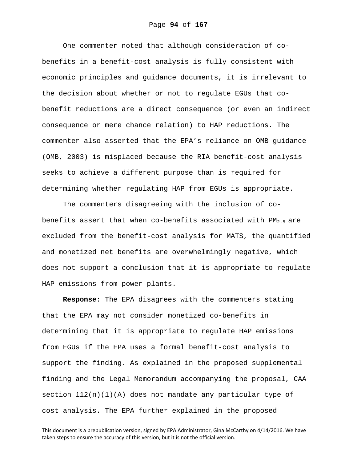One commenter noted that although consideration of cobenefits in a benefit-cost analysis is fully consistent with economic principles and guidance documents, it is irrelevant to the decision about whether or not to regulate EGUs that cobenefit reductions are a direct consequence (or even an indirect consequence or mere chance relation) to HAP reductions. The commenter also asserted that the EPA's reliance on OMB guidance (OMB, 2003) is misplaced because the RIA benefit-cost analysis seeks to achieve a different purpose than is required for determining whether regulating HAP from EGUs is appropriate.

The commenters disagreeing with the inclusion of cobenefits assert that when co-benefits associated with  $PM_{2,5}$  are excluded from the benefit-cost analysis for MATS, the quantified and monetized net benefits are overwhelmingly negative, which does not support a conclusion that it is appropriate to regulate HAP emissions from power plants.

**Response**: The EPA disagrees with the commenters stating that the EPA may not consider monetized co-benefits in determining that it is appropriate to regulate HAP emissions from EGUs if the EPA uses a formal benefit-cost analysis to support the finding. As explained in the proposed supplemental finding and the Legal Memorandum accompanying the proposal, CAA section  $112(n)(1)(A)$  does not mandate any particular type of cost analysis. The EPA further explained in the proposed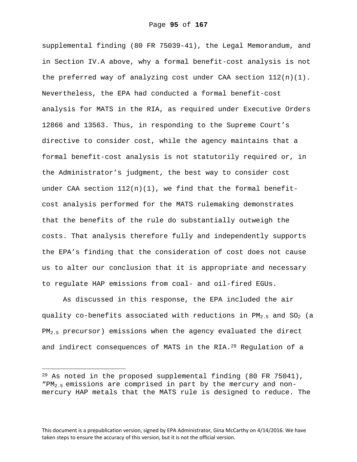supplemental finding (80 FR 75039-41), the Legal Memorandum, and in Section IV.A above, why a formal benefit-cost analysis is not the preferred way of analyzing cost under CAA section  $112(n)(1)$ . Nevertheless, the EPA had conducted a formal benefit-cost analysis for MATS in the RIA, as required under Executive Orders 12866 and 13563. Thus, in responding to the Supreme Court's directive to consider cost, while the agency maintains that a formal benefit-cost analysis is not statutorily required or, in the Administrator's judgment, the best way to consider cost under CAA section  $112(n)(1)$ , we find that the formal benefitcost analysis performed for the MATS rulemaking demonstrates that the benefits of the rule do substantially outweigh the costs. That analysis therefore fully and independently supports the EPA's finding that the consideration of cost does not cause us to alter our conclusion that it is appropriate and necessary to regulate HAP emissions from coal- and oil-fired EGUs.

As discussed in this response, the EPA included the air quality co-benefits associated with reductions in  $PM_{2,5}$  and  $SO_2$  (a PM<sub>2.5</sub> precursor) emissions when the agency evaluated the direct and indirect consequences of MATS in the RIA.<sup>29</sup> Regulation of a

i<br>Li

<sup>&</sup>lt;sup>29</sup> As noted in the proposed supplemental finding (80 FR 75041),  $"PM_{2.5}$  emissions are comprised in part by the mercury and nonmercury HAP metals that the MATS rule is designed to reduce. The

This document is a prepublication version, signed by EPA Administrator, Gina McCarthy on 4/14/2016. We have taken steps to ensure the accuracy of this version, but it is not the official version.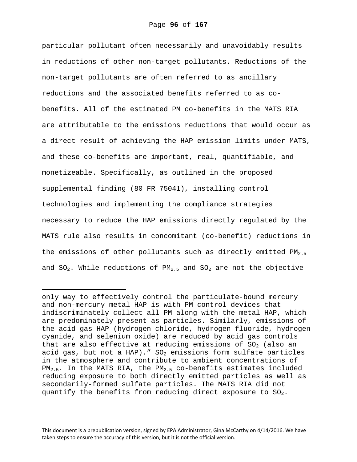particular pollutant often necessarily and unavoidably results in reductions of other non-target pollutants. Reductions of the non-target pollutants are often referred to as ancillary reductions and the associated benefits referred to as cobenefits. All of the estimated PM co-benefits in the MATS RIA are attributable to the emissions reductions that would occur as a direct result of achieving the HAP emission limits under MATS, and these co-benefits are important, real, quantifiable, and monetizeable. Specifically, as outlined in the proposed supplemental finding (80 FR 75041), installing control technologies and implementing the compliance strategies necessary to reduce the HAP emissions directly regulated by the MATS rule also results in concomitant (co-benefit) reductions in the emissions of other pollutants such as directly emitted  $PM_{2.5}$ and  $SO_2$ . While reductions of  $PM_{2.5}$  and  $SO_2$  are not the objective

 $\overline{\phantom{0}}$ 

This document is a prepublication version, signed by EPA Administrator, Gina McCarthy on 4/14/2016. We have taken steps to ensure the accuracy of this version, but it is not the official version.

only way to effectively control the particulate-bound mercury and non-mercury metal HAP is with PM control devices that indiscriminately collect all PM along with the metal HAP, which are predominately present as particles. Similarly, emissions of the acid gas HAP (hydrogen chloride, hydrogen fluoride, hydrogen cyanide, and selenium oxide) are reduced by acid gas controls that are also effective at reducing emissions of  $SO<sub>2</sub>$  (also an acid gas, but not a HAP)." SO<sub>2</sub> emissions form sulfate particles in the atmosphere and contribute to ambient concentrations of  $PM_{2.5}$ . In the MATS RIA, the PM<sub>2.5</sub> co-benefits estimates included reducing exposure to both directly emitted particles as well as secondarily-formed sulfate particles. The MATS RIA did not quantify the benefits from reducing direct exposure to  $SO_2$ .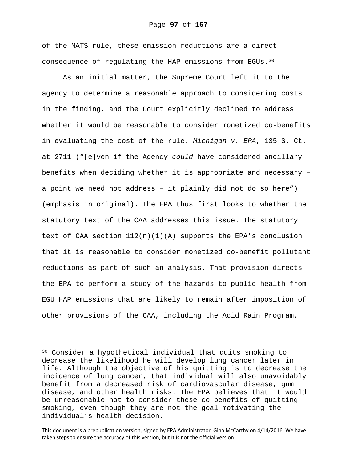of the MATS rule, these emission reductions are a direct consequence of regulating the HAP emissions from EGUs.30

As an initial matter, the Supreme Court left it to the agency to determine a reasonable approach to considering costs in the finding, and the Court explicitly declined to address whether it would be reasonable to consider monetized co-benefits in evaluating the cost of the rule. *Michigan v. EPA*, 135 S. Ct. at 2711 ("[e]ven if the Agency *could* have considered ancillary benefits when deciding whether it is appropriate and necessary – a point we need not address – it plainly did not do so here") (emphasis in original). The EPA thus first looks to whether the statutory text of the CAA addresses this issue. The statutory text of CAA section  $112(n)(1)(A)$  supports the EPA's conclusion that it is reasonable to consider monetized co-benefit pollutant reductions as part of such an analysis. That provision directs the EPA to perform a study of the hazards to public health from EGU HAP emissions that are likely to remain after imposition of other provisions of the CAA, including the Acid Rain Program.

 $\overline{\phantom{0}}$ 

<sup>30</sup> Consider a hypothetical individual that quits smoking to decrease the likelihood he will develop lung cancer later in life. Although the objective of his quitting is to decrease the incidence of lung cancer, that individual will also unavoidably benefit from a decreased risk of cardiovascular disease, gum disease, and other health risks. The EPA believes that it would be unreasonable not to consider these co-benefits of quitting smoking, even though they are not the goal motivating the individual's health decision.

This document is a prepublication version, signed by EPA Administrator, Gina McCarthy on 4/14/2016. We have taken steps to ensure the accuracy of this version, but it is not the official version.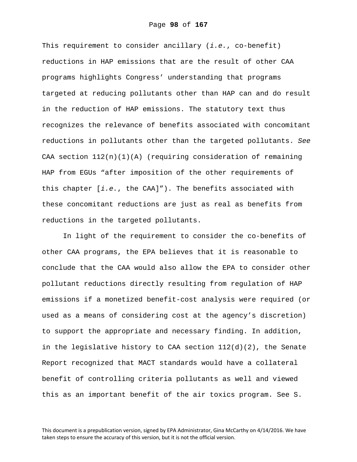This requirement to consider ancillary (*i.e.*, co-benefit) reductions in HAP emissions that are the result of other CAA programs highlights Congress' understanding that programs targeted at reducing pollutants other than HAP can and do result in the reduction of HAP emissions. The statutory text thus recognizes the relevance of benefits associated with concomitant reductions in pollutants other than the targeted pollutants. *See* CAA section  $112(n)(1)(A)$  (requiring consideration of remaining HAP from EGUs "after imposition of the other requirements of this chapter [*i.e.*, the CAA]"). The benefits associated with these concomitant reductions are just as real as benefits from reductions in the targeted pollutants.

In light of the requirement to consider the co-benefits of other CAA programs, the EPA believes that it is reasonable to conclude that the CAA would also allow the EPA to consider other pollutant reductions directly resulting from regulation of HAP emissions if a monetized benefit-cost analysis were required (or used as a means of considering cost at the agency's discretion) to support the appropriate and necessary finding. In addition, in the legislative history to CAA section  $112(d)(2)$ , the Senate Report recognized that MACT standards would have a collateral benefit of controlling criteria pollutants as well and viewed this as an important benefit of the air toxics program. See S.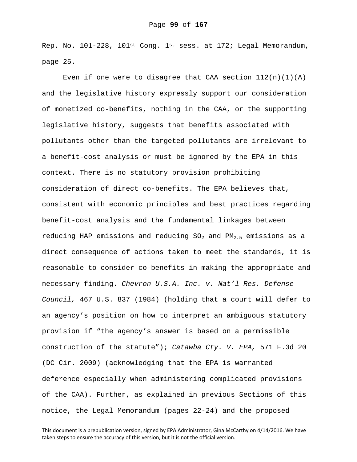Rep. No. 101-228, 101st Cong. 1st sess. at 172; Legal Memorandum, page 25.

Even if one were to disagree that CAA section  $112(n)(1)(A)$ and the legislative history expressly support our consideration of monetized co-benefits, nothing in the CAA, or the supporting legislative history, suggests that benefits associated with pollutants other than the targeted pollutants are irrelevant to a benefit-cost analysis or must be ignored by the EPA in this context. There is no statutory provision prohibiting consideration of direct co-benefits. The EPA believes that, consistent with economic principles and best practices regarding benefit-cost analysis and the fundamental linkages between reducing HAP emissions and reducing  $SO_2$  and  $PM_{2.5}$  emissions as a direct consequence of actions taken to meet the standards, it is reasonable to consider co-benefits in making the appropriate and necessary finding. *Chevron U.S.A. Inc. v. Nat'l Res. Defense Council,* 467 U.S. 837 (1984) (holding that a court will defer to an agency's position on how to interpret an ambiguous statutory provision if "the agency's answer is based on a permissible construction of the statute"); *Catawba Cty. V. EPA,* 571 F.3d 20 (DC Cir. 2009) (acknowledging that the EPA is warranted deference especially when administering complicated provisions of the CAA). Further, as explained in previous Sections of this notice, the Legal Memorandum (pages 22-24) and the proposed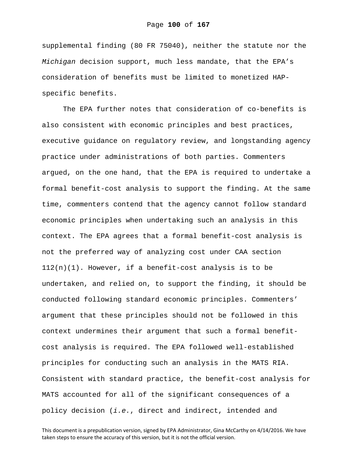supplemental finding (80 FR 75040), neither the statute nor the *Michigan* decision support, much less mandate, that the EPA's consideration of benefits must be limited to monetized HAPspecific benefits.

The EPA further notes that consideration of co-benefits is also consistent with economic principles and best practices, executive guidance on regulatory review, and longstanding agency practice under administrations of both parties. Commenters argued, on the one hand, that the EPA is required to undertake a formal benefit-cost analysis to support the finding. At the same time, commenters contend that the agency cannot follow standard economic principles when undertaking such an analysis in this context. The EPA agrees that a formal benefit-cost analysis is not the preferred way of analyzing cost under CAA section  $112(n)(1)$ . However, if a benefit-cost analysis is to be undertaken, and relied on, to support the finding, it should be conducted following standard economic principles. Commenters' argument that these principles should not be followed in this context undermines their argument that such a formal benefitcost analysis is required. The EPA followed well-established principles for conducting such an analysis in the MATS RIA. Consistent with standard practice, the benefit-cost analysis for MATS accounted for all of the significant consequences of a policy decision (*i.e.*, direct and indirect, intended and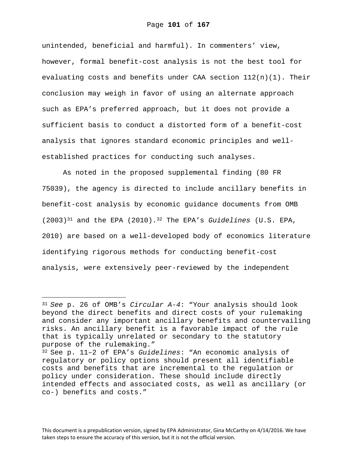unintended, beneficial and harmful). In commenters' view, however, formal benefit-cost analysis is not the best tool for evaluating costs and benefits under CAA section  $112(n)(1)$ . Their conclusion may weigh in favor of using an alternate approach such as EPA's preferred approach, but it does not provide a sufficient basis to conduct a distorted form of a benefit-cost analysis that ignores standard economic principles and wellestablished practices for conducting such analyses.

As noted in the proposed supplemental finding (80 FR 75039), the agency is directed to include ancillary benefits in benefit-cost analysis by economic guidance documents from OMB (2003)31 and the EPA (2010).32 The EPA's *Guidelines* (U.S. EPA, 2010) are based on a well-developed body of economics literature identifying rigorous methods for conducting benefit-cost analysis, were extensively peer-reviewed by the independent

i

<sup>31</sup>*See* p. 26 of OMB's *Circular A-4*: "Your analysis should look beyond the direct benefits and direct costs of your rulemaking and consider any important ancillary benefits and countervailing risks. An ancillary benefit is a favorable impact of the rule that is typically unrelated or secondary to the statutory purpose of the rulemaking."

<sup>32</sup> See p. 11–2 of EPA's *Guidelines*: "An economic analysis of regulatory or policy options should present all identifiable costs and benefits that are incremental to the regulation or policy under consideration. These should include directly intended effects and associated costs, as well as ancillary (or co-) benefits and costs."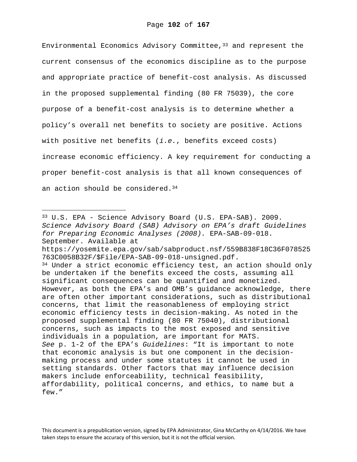Environmental Economics Advisory Committee,  $33$  and represent the current consensus of the economics discipline as to the purpose and appropriate practice of benefit-cost analysis. As discussed in the proposed supplemental finding (80 FR 75039), the core purpose of a benefit-cost analysis is to determine whether a policy's overall net benefits to society are positive. Actions with positive net benefits (*i.e.*, benefits exceed costs) increase economic efficiency. A key requirement for conducting a proper benefit-cost analysis is that all known consequences of an action should be considered.<sup>34</sup>

i<br>Li

33 U.S. EPA - Science Advisory Board (U.S. EPA-SAB). 2009. *Science Advisory Board (SAB) Advisory on EPA's draft Guidelines for Preparing Economic Analyses (2008).* EPA-SAB-09-018. September. Available at https://yosemite.epa.gov/sab/sabproduct.nsf/559B838F18C36F078525 763C0058B32F/\$File/EPA-SAB-09-018-unsigned.pdf.  $34$  Under a strict economic efficiency test, an action should only be undertaken if the benefits exceed the costs, assuming all significant consequences can be quantified and monetized. However, as both the EPA's and OMB's guidance acknowledge, there are often other important considerations, such as distributional concerns, that limit the reasonableness of employing strict economic efficiency tests in decision-making. As noted in the proposed supplemental finding (80 FR 75040), distributional concerns, such as impacts to the most exposed and sensitive individuals in a population, are important for MATS. *See* p. 1-2 of the EPA's *Guidelines*: "It is important to note that economic analysis is but one component in the decisionmaking process and under some statutes it cannot be used in setting standards. Other factors that may influence decision makers include enforceability, technical feasibility, affordability, political concerns, and ethics, to name but a few."

This document is a prepublication version, signed by EPA Administrator, Gina McCarthy on 4/14/2016. We have taken steps to ensure the accuracy of this version, but it is not the official version.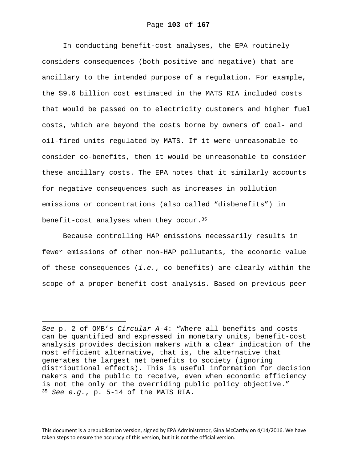In conducting benefit-cost analyses, the EPA routinely considers consequences (both positive and negative) that are ancillary to the intended purpose of a regulation. For example, the \$9.6 billion cost estimated in the MATS RIA included costs that would be passed on to electricity customers and higher fuel costs, which are beyond the costs borne by owners of coal- and oil-fired units regulated by MATS. If it were unreasonable to consider co-benefits, then it would be unreasonable to consider these ancillary costs. The EPA notes that it similarly accounts for negative consequences such as increases in pollution emissions or concentrations (also called "disbenefits") in benefit-cost analyses when they occur.  $35$ 

Because controlling HAP emissions necessarily results in fewer emissions of other non-HAP pollutants, the economic value of these consequences (*i.e.*, co-benefits) are clearly within the scope of a proper benefit-cost analysis. Based on previous peer-

i

*See* p. 2 of OMB's *Circular A-4*: "Where all benefits and costs can be quantified and expressed in monetary units, benefit-cost analysis provides decision makers with a clear indication of the most efficient alternative, that is, the alternative that generates the largest net benefits to society (ignoring distributional effects). This is useful information for decision makers and the public to receive, even when economic efficiency is not the only or the overriding public policy objective." <sup>35</sup> *See e.g.*, p. 5-14 of the MATS RIA.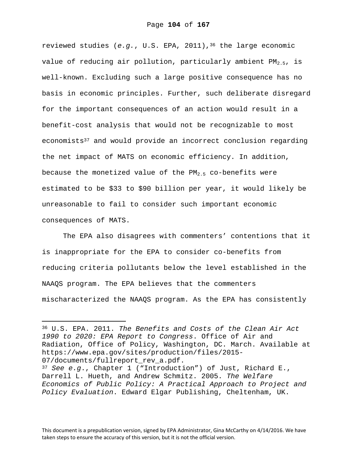reviewed studies (*e.g.*, U.S. EPA, 2011),36 the large economic value of reducing air pollution, particularly ambient  $PM_{2.5}$ , is well-known. Excluding such a large positive consequence has no basis in economic principles. Further, such deliberate disregard for the important consequences of an action would result in a benefit-cost analysis that would not be recognizable to most economists<sup>37</sup> and would provide an incorrect conclusion regarding the net impact of MATS on economic efficiency. In addition, because the monetized value of the  $PM_{2.5}$  co-benefits were estimated to be \$33 to \$90 billion per year, it would likely be unreasonable to fail to consider such important economic consequences of MATS.

The EPA also disagrees with commenters' contentions that it is inappropriate for the EPA to consider co-benefits from reducing criteria pollutants below the level established in the NAAQS program. The EPA believes that the commenters mischaracterized the NAAQS program. As the EPA has consistently

i

This document is a prepublication version, signed by EPA Administrator, Gina McCarthy on 4/14/2016. We have taken steps to ensure the accuracy of this version, but it is not the official version.

<sup>36</sup> U.S. EPA. 2011. *The Benefits and Costs of the Clean Air Act 1990 to 2020: EPA Report to Congress*. Office of Air and Radiation, Office of Policy, Washington, DC. March. Available at https://www.epa.gov/sites/production/files/2015- 07/documents/fullreport\_rev\_a.pdf.

<sup>37</sup> *See e.g*., Chapter 1 ("Introduction") of Just, Richard E., Darrell L. Hueth, and Andrew Schmitz. 2005. *The Welfare Economics of Public Policy: A Practical Approach to Project and Policy Evaluation*. Edward Elgar Publishing, Cheltenham, UK.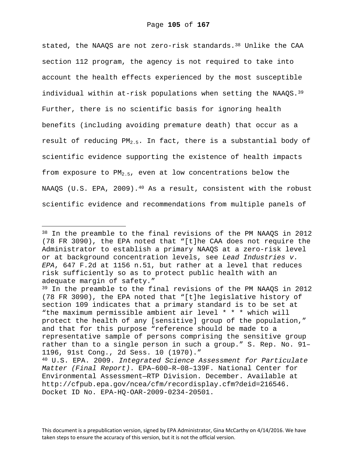stated, the NAAQS are not zero-risk standards.<sup>38</sup> Unlike the CAA section 112 program, the agency is not required to take into account the health effects experienced by the most susceptible individual within at-risk populations when setting the NAAQS. $39$ Further, there is no scientific basis for ignoring health benefits (including avoiding premature death) that occur as a result of reducing  $PM_{2.5}$ . In fact, there is a substantial body of scientific evidence supporting the existence of health impacts from exposure to  $PM_{2.5}$ , even at low concentrations below the NAAQS (U.S. EPA, 2009).<sup>40</sup> As a result, consistent with the robust scientific evidence and recommendations from multiple panels of

 $\overline{\phantom{0}}$ 

<sup>38</sup> In the preamble to the final revisions of the PM NAAQS in 2012 (78 FR 3090), the EPA noted that "[t]he CAA does not require the Administrator to establish a primary NAAQS at a zero-risk level or at background concentration levels, see *Lead Industries v. EPA*, 647 F.2d at 1156 n.51, but rather at a level that reduces risk sufficiently so as to protect public health with an adequate margin of safety."

<sup>39</sup> In the preamble to the final revisions of the PM NAAQS in 2012 (78 FR 3090), the EPA noted that "[t]he legislative history of section 109 indicates that a primary standard is to be set at "the maximum permissible ambient air level \* \* \* which will protect the health of any [sensitive] group of the population," and that for this purpose "reference should be made to a representative sample of persons comprising the sensitive group rather than to a single person in such a group." S. Rep. No. 91– 1196, 91st Cong., 2d Sess. 10 (1970)."

<sup>40</sup> U.S. EPA. 2009. *Integrated Science Assessment for Particulate Matter (Final Report)*. EPA–600–R–08–139F. National Center for Environmental Assessment—RTP Division. December. Available at http://cfpub.epa.gov/ncea/cfm/recordisplay.cfm?deid=216546. Docket ID No. EPA-HQ-OAR-2009-0234-20501.

This document is a prepublication version, signed by EPA Administrator, Gina McCarthy on 4/14/2016. We have taken steps to ensure the accuracy of this version, but it is not the official version.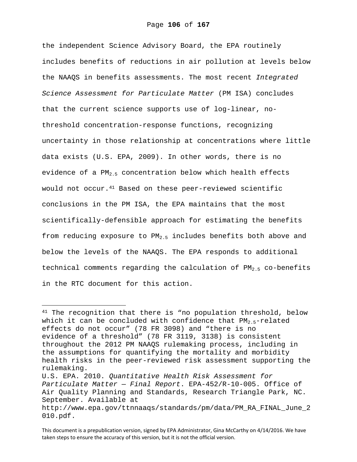the independent Science Advisory Board, the EPA routinely includes benefits of reductions in air pollution at levels below the NAAQS in benefits assessments. The most recent *Integrated Science Assessment for Particulate Matter* (PM ISA) concludes that the current science supports use of log-linear, nothreshold concentration-response functions, recognizing uncertainty in those relationship at concentrations where little data exists (U.S. EPA, 2009). In other words, there is no evidence of a  $PM_{2.5}$  concentration below which health effects would not occur.<sup>41</sup> Based on these peer-reviewed scientific conclusions in the PM ISA, the EPA maintains that the most scientifically-defensible approach for estimating the benefits from reducing exposure to  $PM_{2.5}$  includes benefits both above and below the levels of the NAAQS. The EPA responds to additional technical comments regarding the calculation of  $PM_{2.5}$  co-benefits in the RTC document for this action.

 $\overline{\phantom{0}}$ 

<sup>&</sup>lt;sup>41</sup> The recognition that there is "no population threshold, below which it can be concluded with confidence that  $PM_{2.5}$ -related effects do not occur" (78 FR 3098) and "there is no evidence of a threshold" (78 FR 3119, 3138) is consistent throughout the 2012 PM NAAQS rulemaking process, including in the assumptions for quantifying the mortality and morbidity health risks in the peer-reviewed risk assessment supporting the rulemaking.

U.S. EPA. 2010. *Quantitative Health Risk Assessment for Particulate Matter — Final Report*. EPA-452/R-10-005. Office of Air Quality Planning and Standards, Research Triangle Park, NC. September. Available at

http://www.epa.gov/ttnnaaqs/standards/pm/data/PM\_RA\_FINAL\_June\_2 010.pdf.

This document is a prepublication version, signed by EPA Administrator, Gina McCarthy on 4/14/2016. We have taken steps to ensure the accuracy of this version, but it is not the official version.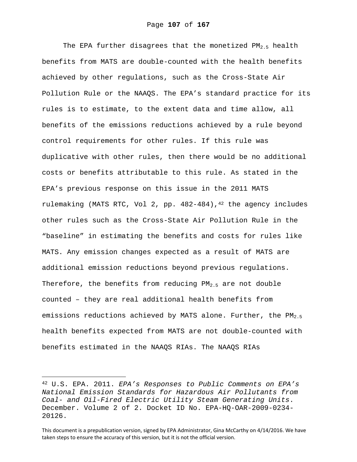The EPA further disagrees that the monetized  $PM_{2.5}$  health benefits from MATS are double-counted with the health benefits achieved by other regulations, such as the Cross-State Air Pollution Rule or the NAAQS. The EPA's standard practice for its rules is to estimate, to the extent data and time allow, all benefits of the emissions reductions achieved by a rule beyond control requirements for other rules. If this rule was duplicative with other rules, then there would be no additional costs or benefits attributable to this rule. As stated in the EPA's previous response on this issue in the 2011 MATS rulemaking (MATS RTC, Vol 2, pp. 482-484),<sup>42</sup> the agency includes other rules such as the Cross-State Air Pollution Rule in the "baseline" in estimating the benefits and costs for rules like MATS. Any emission changes expected as a result of MATS are additional emission reductions beyond previous regulations. Therefore, the benefits from reducing  $PM_{2,5}$  are not double counted – they are real additional health benefits from emissions reductions achieved by MATS alone. Further, the  $PM_{2.5}$ health benefits expected from MATS are not double-counted with benefits estimated in the NAAQS RIAs. The NAAQS RIAs

i<br>Li

<sup>42</sup> U.S. EPA. 2011. *EPA's Responses to Public Comments on EPA's National Emission Standards for Hazardous Air Pollutants from Coal- and Oil-Fired Electric Utility Steam Generating Units*. December. Volume 2 of 2. Docket ID No. EPA-HQ-OAR-2009-0234- 20126.

This document is a prepublication version, signed by EPA Administrator, Gina McCarthy on 4/14/2016. We have taken steps to ensure the accuracy of this version, but it is not the official version.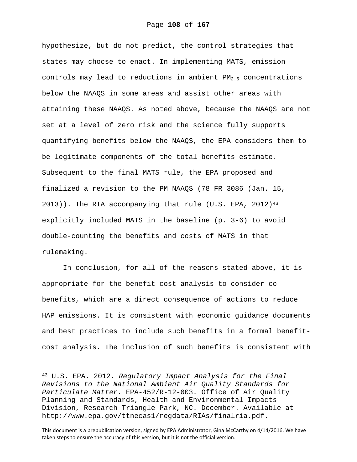hypothesize, but do not predict, the control strategies that states may choose to enact. In implementing MATS, emission controls may lead to reductions in ambient  $PM_{2,5}$  concentrations below the NAAQS in some areas and assist other areas with attaining these NAAQS. As noted above, because the NAAQS are not set at a level of zero risk and the science fully supports quantifying benefits below the NAAQS, the EPA considers them to be legitimate components of the total benefits estimate. Subsequent to the final MATS rule, the EPA proposed and finalized a revision to the PM NAAQS (78 FR 3086 (Jan. 15, 2013)). The RIA accompanying that rule (U.S. EPA, 2012)<sup>43</sup> explicitly included MATS in the baseline (p. 3-6) to avoid double-counting the benefits and costs of MATS in that rulemaking.

In conclusion, for all of the reasons stated above, it is appropriate for the benefit-cost analysis to consider cobenefits, which are a direct consequence of actions to reduce HAP emissions. It is consistent with economic guidance documents and best practices to include such benefits in a formal benefitcost analysis. The inclusion of such benefits is consistent with

i<br>Li

<sup>43</sup> U.S. EPA. 2012. *Regulatory Impact Analysis for the Final Revisions to the National Ambient Air Quality Standards for Particulate Matter*. EPA-452/R-12-003. Office of Air Quality Planning and Standards, Health and Environmental Impacts Division, Research Triangle Park, NC. December. Available at http://www.epa.gov/ttnecas1/regdata/RIAs/finalria.pdf.

This document is a prepublication version, signed by EPA Administrator, Gina McCarthy on 4/14/2016. We have taken steps to ensure the accuracy of this version, but it is not the official version.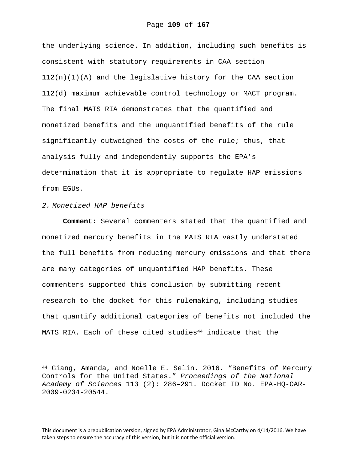the underlying science. In addition, including such benefits is consistent with statutory requirements in CAA section  $112(n)(1)(A)$  and the legislative history for the CAA section 112(d) maximum achievable control technology or MACT program. The final MATS RIA demonstrates that the quantified and monetized benefits and the unquantified benefits of the rule significantly outweighed the costs of the rule; thus, that analysis fully and independently supports the EPA's determination that it is appropriate to regulate HAP emissions from EGUs.

## *2. Monetized HAP benefits*

i

**Comment:** Several commenters stated that the quantified and monetized mercury benefits in the MATS RIA vastly understated the full benefits from reducing mercury emissions and that there are many categories of unquantified HAP benefits. These commenters supported this conclusion by submitting recent research to the docket for this rulemaking, including studies that quantify additional categories of benefits not included the MATS RIA. Each of these cited studies<sup>44</sup> indicate that the

This document is a prepublication version, signed by EPA Administrator, Gina McCarthy on 4/14/2016. We have taken steps to ensure the accuracy of this version, but it is not the official version.

<sup>44</sup> Giang, Amanda, and Noelle E. Selin. 2016. "Benefits of Mercury Controls for the United States." *Proceedings of the National Academy of Sciences* 113 (2): 286–291. Docket ID No. EPA-HQ-OAR-2009-0234-20544.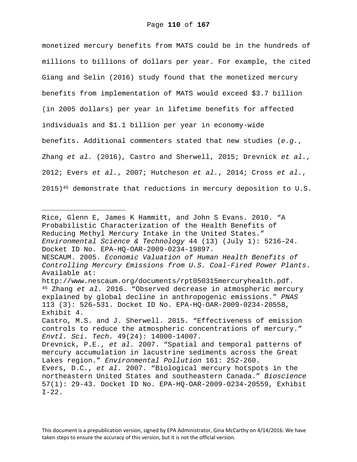monetized mercury benefits from MATS could be in the hundreds of millions to billions of dollars per year. For example, the cited Giang and Selin (2016) study found that the monetized mercury benefits from implementation of MATS would exceed \$3.7 billion (in 2005 dollars) per year in lifetime benefits for affected individuals and \$1.1 billion per year in economy-wide benefits. Additional commenters stated that new studies (*e.g.*, Zhang *et al.* (2016), Castro and Sherwell, 2015; Drevnick *et al.*, 2012; Evers *et al.*, 2007; Hutcheson *et al.*, 2014; Cross *et al.*,  $2015$ )<sup>45</sup> demonstrate that reductions in mercury deposition to U.S.

Rice, Glenn E, James K Hammitt, and John S Evans. 2010. "A Probabilistic Characterization of the Health Benefits of Reducing Methyl Mercury Intake in the United States." *Environmental Science & Technology* 44 (13) (July 1): 5216–24. Docket ID No. EPA-HQ-OAR-2009-0234-19897.

i<br>Li

NESCAUM. 2005. *Economic Valuation of Human Health Benefits of Controlling Mercury Emissions from U.S. Coal-Fired Power Plants*. Available at:

http://www.nescaum.org/documents/rpt050315mercuryhealth.pdf. 45 Zhang *et al.* 2016. "Observed decrease in atmospheric mercury explained by global decline in anthropogenic emissions." *PNAS*  113 (3): 526–531. Docket ID No. EPA-HQ-OAR-2009-0234-20558, Exhibit 4.

Castro, M.S. and J. Sherwell. 2015. "Effectiveness of emission controls to reduce the atmospheric concentrations of mercury." *Envtl. Sci. Tech.* 49(24): 14000-14007.

Drevnick, P.E., *et al.* 2007. "Spatial and temporal patterns of mercury accumulation in lacustrine sediments across the Great Lakes region." *Environmental Pollution* 161: 252-260.

Evers, D.C., *et al.* 2007. "Biological mercury hotspots in the northeastern United States and southeastern Canada." *Bioscience* 57(1): 29-43. Docket ID No. EPA-HQ-OAR-2009-0234-20559, Exhibit  $I-22$ .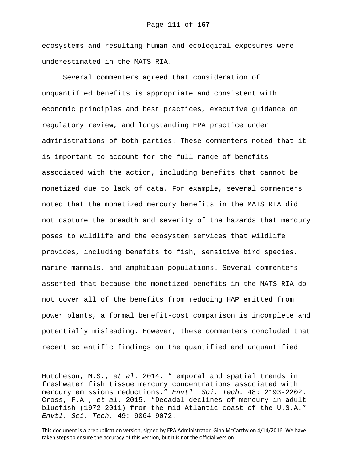ecosystems and resulting human and ecological exposures were underestimated in the MATS RIA.

Several commenters agreed that consideration of unquantified benefits is appropriate and consistent with economic principles and best practices, executive guidance on regulatory review, and longstanding EPA practice under administrations of both parties. These commenters noted that it is important to account for the full range of benefits associated with the action, including benefits that cannot be monetized due to lack of data. For example, several commenters noted that the monetized mercury benefits in the MATS RIA did not capture the breadth and severity of the hazards that mercury poses to wildlife and the ecosystem services that wildlife provides, including benefits to fish, sensitive bird species, marine mammals, and amphibian populations. Several commenters asserted that because the monetized benefits in the MATS RIA do not cover all of the benefits from reducing HAP emitted from power plants, a formal benefit-cost comparison is incomplete and potentially misleading. However, these commenters concluded that recent scientific findings on the quantified and unquantified

i<br>Li

Hutcheson, M.S., *et al.* 2014. "Temporal and spatial trends in freshwater fish tissue mercury concentrations associated with mercury emissions reductions." *Envtl. Sci. Tech.* 48: 2193-2202. Cross, F.A., *et al.* 2015. "Decadal declines of mercury in adult bluefish (1972-2011) from the mid-Atlantic coast of the U.S.A." *Envtl. Sci. Tech.* 49: 9064-9072.

This document is a prepublication version, signed by EPA Administrator, Gina McCarthy on 4/14/2016. We have taken steps to ensure the accuracy of this version, but it is not the official version.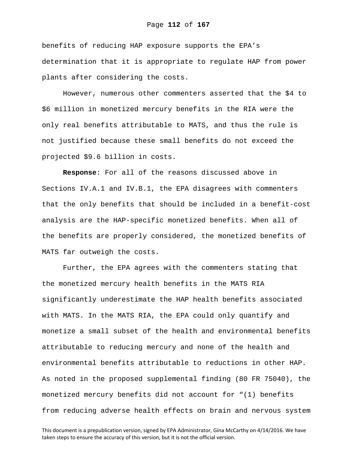benefits of reducing HAP exposure supports the EPA's determination that it is appropriate to regulate HAP from power plants after considering the costs.

However, numerous other commenters asserted that the \$4 to \$6 million in monetized mercury benefits in the RIA were the only real benefits attributable to MATS, and thus the rule is not justified because these small benefits do not exceed the projected \$9.6 billion in costs.

**Response**: For all of the reasons discussed above in Sections IV.A.1 and IV.B.1, the EPA disagrees with commenters that the only benefits that should be included in a benefit-cost analysis are the HAP-specific monetized benefits. When all of the benefits are properly considered, the monetized benefits of MATS far outweigh the costs.

Further, the EPA agrees with the commenters stating that the monetized mercury health benefits in the MATS RIA significantly underestimate the HAP health benefits associated with MATS. In the MATS RIA, the EPA could only quantify and monetize a small subset of the health and environmental benefits attributable to reducing mercury and none of the health and environmental benefits attributable to reductions in other HAP. As noted in the proposed supplemental finding (80 FR 75040), the monetized mercury benefits did not account for "(1) benefits from reducing adverse health effects on brain and nervous system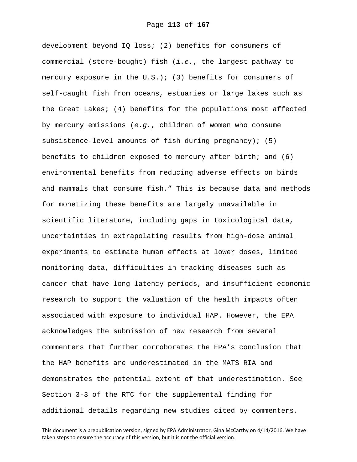development beyond IQ loss; (2) benefits for consumers of commercial (store-bought) fish (*i.e.*, the largest pathway to mercury exposure in the  $U.S.$ ); (3) benefits for consumers of self-caught fish from oceans, estuaries or large lakes such as the Great Lakes; (4) benefits for the populations most affected by mercury emissions (*e.g.*, children of women who consume subsistence-level amounts of fish during pregnancy); (5) benefits to children exposed to mercury after birth; and (6) environmental benefits from reducing adverse effects on birds and mammals that consume fish." This is because data and methods for monetizing these benefits are largely unavailable in scientific literature, including gaps in toxicological data, uncertainties in extrapolating results from high-dose animal experiments to estimate human effects at lower doses, limited monitoring data, difficulties in tracking diseases such as cancer that have long latency periods, and insufficient economic research to support the valuation of the health impacts often associated with exposure to individual HAP. However, the EPA acknowledges the submission of new research from several commenters that further corroborates the EPA's conclusion that the HAP benefits are underestimated in the MATS RIA and demonstrates the potential extent of that underestimation. See Section 3-3 of the RTC for the supplemental finding for additional details regarding new studies cited by commenters.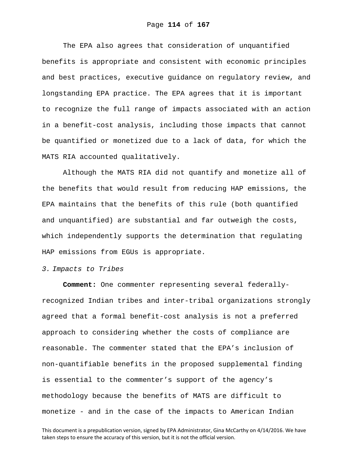The EPA also agrees that consideration of unquantified benefits is appropriate and consistent with economic principles and best practices, executive guidance on regulatory review, and longstanding EPA practice. The EPA agrees that it is important to recognize the full range of impacts associated with an action in a benefit-cost analysis, including those impacts that cannot be quantified or monetized due to a lack of data, for which the MATS RIA accounted qualitatively.

Although the MATS RIA did not quantify and monetize all of the benefits that would result from reducing HAP emissions, the EPA maintains that the benefits of this rule (both quantified and unquantified) are substantial and far outweigh the costs, which independently supports the determination that regulating HAP emissions from EGUs is appropriate.

## *3. Impacts to Tribes*

**Comment:** One commenter representing several federallyrecognized Indian tribes and inter-tribal organizations strongly agreed that a formal benefit-cost analysis is not a preferred approach to considering whether the costs of compliance are reasonable. The commenter stated that the EPA's inclusion of non-quantifiable benefits in the proposed supplemental finding is essential to the commenter's support of the agency's methodology because the benefits of MATS are difficult to monetize - and in the case of the impacts to American Indian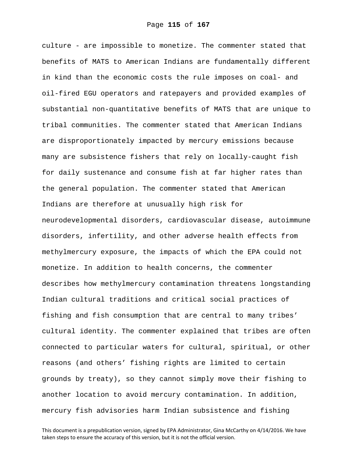culture - are impossible to monetize. The commenter stated that benefits of MATS to American Indians are fundamentally different in kind than the economic costs the rule imposes on coal- and oil-fired EGU operators and ratepayers and provided examples of substantial non-quantitative benefits of MATS that are unique to tribal communities. The commenter stated that American Indians are disproportionately impacted by mercury emissions because many are subsistence fishers that rely on locally-caught fish for daily sustenance and consume fish at far higher rates than the general population. The commenter stated that American Indians are therefore at unusually high risk for neurodevelopmental disorders, cardiovascular disease, autoimmune disorders, infertility, and other adverse health effects from methylmercury exposure, the impacts of which the EPA could not monetize. In addition to health concerns, the commenter describes how methylmercury contamination threatens longstanding Indian cultural traditions and critical social practices of fishing and fish consumption that are central to many tribes' cultural identity. The commenter explained that tribes are often connected to particular waters for cultural, spiritual, or other reasons (and others' fishing rights are limited to certain grounds by treaty), so they cannot simply move their fishing to another location to avoid mercury contamination. In addition, mercury fish advisories harm Indian subsistence and fishing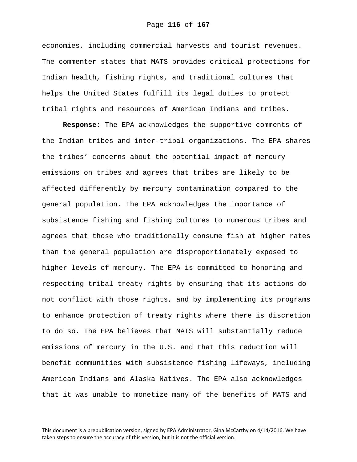economies, including commercial harvests and tourist revenues. The commenter states that MATS provides critical protections for Indian health, fishing rights, and traditional cultures that helps the United States fulfill its legal duties to protect tribal rights and resources of American Indians and tribes.

**Response:** The EPA acknowledges the supportive comments of the Indian tribes and inter-tribal organizations. The EPA shares the tribes' concerns about the potential impact of mercury emissions on tribes and agrees that tribes are likely to be affected differently by mercury contamination compared to the general population. The EPA acknowledges the importance of subsistence fishing and fishing cultures to numerous tribes and agrees that those who traditionally consume fish at higher rates than the general population are disproportionately exposed to higher levels of mercury. The EPA is committed to honoring and respecting tribal treaty rights by ensuring that its actions do not conflict with those rights, and by implementing its programs to enhance protection of treaty rights where there is discretion to do so. The EPA believes that MATS will substantially reduce emissions of mercury in the U.S. and that this reduction will benefit communities with subsistence fishing lifeways, including American Indians and Alaska Natives. The EPA also acknowledges that it was unable to monetize many of the benefits of MATS and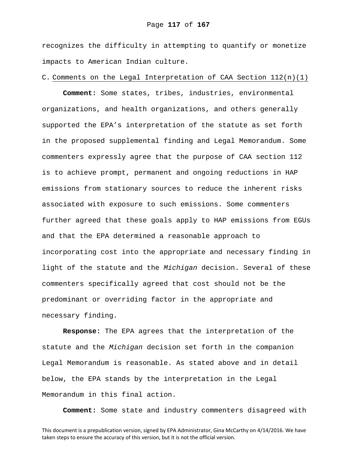recognizes the difficulty in attempting to quantify or monetize impacts to American Indian culture.

## C. Comments on the Legal Interpretation of CAA Section  $112(n)(1)$

**Comment:** Some states, tribes, industries, environmental organizations, and health organizations, and others generally supported the EPA's interpretation of the statute as set forth in the proposed supplemental finding and Legal Memorandum. Some commenters expressly agree that the purpose of CAA section 112 is to achieve prompt, permanent and ongoing reductions in HAP emissions from stationary sources to reduce the inherent risks associated with exposure to such emissions. Some commenters further agreed that these goals apply to HAP emissions from EGUs and that the EPA determined a reasonable approach to incorporating cost into the appropriate and necessary finding in light of the statute and the *Michigan* decision. Several of these commenters specifically agreed that cost should not be the predominant or overriding factor in the appropriate and necessary finding.

**Response:** The EPA agrees that the interpretation of the statute and the *Michigan* decision set forth in the companion Legal Memorandum is reasonable. As stated above and in detail below, the EPA stands by the interpretation in the Legal Memorandum in this final action.

**Comment:** Some state and industry commenters disagreed with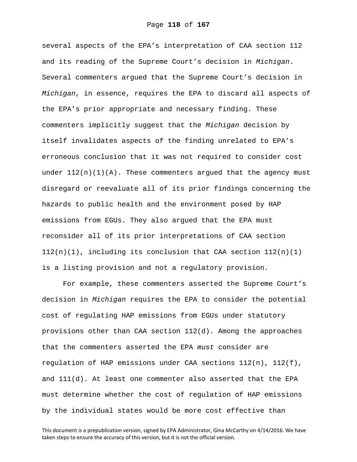several aspects of the EPA's interpretation of CAA section 112 and its reading of the Supreme Court's decision in *Michigan*. Several commenters argued that the Supreme Court's decision in *Michigan*, in essence, requires the EPA to discard all aspects of the EPA's prior appropriate and necessary finding. These commenters implicitly suggest that the *Michigan* decision by itself invalidates aspects of the finding unrelated to EPA's erroneous conclusion that it was not required to consider cost under  $112(n)(1)(A)$ . These commenters argued that the agency must disregard or reevaluate all of its prior findings concerning the hazards to public health and the environment posed by HAP emissions from EGUs. They also argued that the EPA must reconsider all of its prior interpretations of CAA section  $112(n)(1)$ , including its conclusion that CAA section  $112(n)(1)$ is a listing provision and not a regulatory provision.

For example, these commenters asserted the Supreme Court's decision in *Michigan* requires the EPA to consider the potential cost of regulating HAP emissions from EGUs under statutory provisions other than CAA section  $112(d)$ . Among the approaches that the commenters asserted the EPA *must* consider are regulation of HAP emissions under CAA sections  $112(n)$ ,  $112(f)$ , and 111(d). At least one commenter also asserted that the EPA must determine whether the cost of regulation of HAP emissions by the individual states would be more cost effective than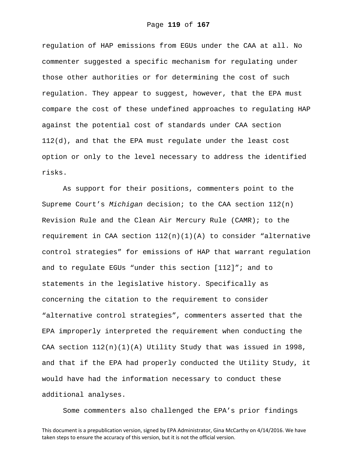regulation of HAP emissions from EGUs under the CAA at all. No commenter suggested a specific mechanism for regulating under those other authorities or for determining the cost of such regulation. They appear to suggest, however, that the EPA must compare the cost of these undefined approaches to regulating HAP against the potential cost of standards under CAA section 112(d), and that the EPA must regulate under the least cost option or only to the level necessary to address the identified risks.

As support for their positions, commenters point to the Supreme Court's *Michigan* decision; to the CAA section 112(n) Revision Rule and the Clean Air Mercury Rule (CAMR); to the requirement in CAA section  $112(n)(1)(A)$  to consider "alternative control strategies" for emissions of HAP that warrant regulation and to regulate EGUs "under this section [112]"; and to statements in the legislative history. Specifically as concerning the citation to the requirement to consider "alternative control strategies", commenters asserted that the EPA improperly interpreted the requirement when conducting the CAA section  $112(n)(1)(A)$  Utility Study that was issued in 1998, and that if the EPA had properly conducted the Utility Study, it would have had the information necessary to conduct these additional analyses.

Some commenters also challenged the EPA's prior findings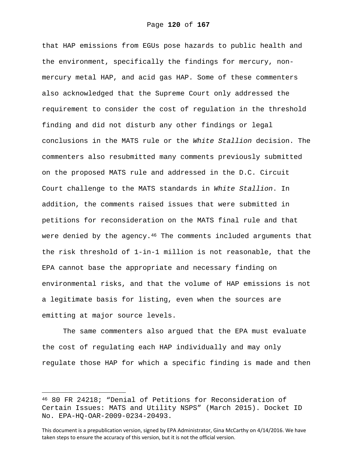that HAP emissions from EGUs pose hazards to public health and the environment, specifically the findings for mercury, nonmercury metal HAP, and acid gas HAP. Some of these commenters also acknowledged that the Supreme Court only addressed the requirement to consider the cost of regulation in the threshold finding and did not disturb any other findings or legal conclusions in the MATS rule or the *White Stallion* decision. The commenters also resubmitted many comments previously submitted on the proposed MATS rule and addressed in the D.C. Circuit Court challenge to the MATS standards in *White Stallion*. In addition, the comments raised issues that were submitted in petitions for reconsideration on the MATS final rule and that were denied by the agency. $46$  The comments included arguments that the risk threshold of 1-in-1 million is not reasonable, that the EPA cannot base the appropriate and necessary finding on environmental risks, and that the volume of HAP emissions is not a legitimate basis for listing, even when the sources are emitting at major source levels.

The same commenters also argued that the EPA must evaluate the cost of regulating each HAP individually and may only regulate those HAP for which a specific finding is made and then

i

<sup>46 80</sup> FR 24218; "Denial of Petitions for Reconsideration of Certain Issues: MATS and Utility NSPS" (March 2015). Docket ID No. EPA-HQ-OAR-2009-0234-20493.

This document is a prepublication version, signed by EPA Administrator, Gina McCarthy on 4/14/2016. We have taken steps to ensure the accuracy of this version, but it is not the official version.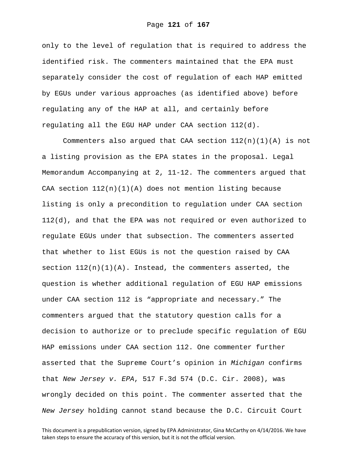only to the level of regulation that is required to address the identified risk. The commenters maintained that the EPA must separately consider the cost of regulation of each HAP emitted by EGUs under various approaches (as identified above) before regulating any of the HAP at all, and certainly before regulating all the EGU HAP under CAA section 112(d).

Commenters also argued that CAA section  $112(n)(1)(A)$  is not a listing provision as the EPA states in the proposal. Legal Memorandum Accompanying at 2, 11-12. The commenters argued that CAA section  $112(n)(1)(A)$  does not mention listing because listing is only a precondition to regulation under CAA section 112(d), and that the EPA was not required or even authorized to regulate EGUs under that subsection. The commenters asserted that whether to list EGUs is not the question raised by CAA section  $112(n)(1)(A)$ . Instead, the commenters asserted, the question is whether additional regulation of EGU HAP emissions under CAA section 112 is "appropriate and necessary." The commenters argued that the statutory question calls for a decision to authorize or to preclude specific regulation of EGU HAP emissions under CAA section 112. One commenter further asserted that the Supreme Court's opinion in *Michigan* confirms that *New Jersey v. EPA*, 517 F.3d 574 (D.C. Cir. 2008), was wrongly decided on this point. The commenter asserted that the *New Jersey* holding cannot stand because the D.C. Circuit Court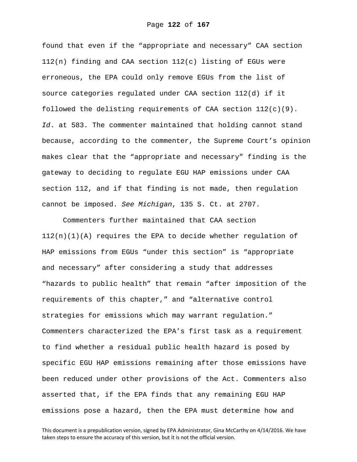found that even if the "appropriate and necessary" CAA section 112(n) finding and CAA section 112(c) listing of EGUs were erroneous, the EPA could only remove EGUs from the list of source categories regulated under CAA section 112(d) if it followed the delisting requirements of CAA section  $112(c)(9)$ . *Id*. at 583. The commenter maintained that holding cannot stand because, according to the commenter, the Supreme Court's opinion makes clear that the "appropriate and necessary" finding is the gateway to deciding to regulate EGU HAP emissions under CAA section 112, and if that finding is not made, then regulation cannot be imposed. *See Michigan*, 135 S. Ct. at 2707.

Commenters further maintained that CAA section  $112(n)(1)(A)$  requires the EPA to decide whether regulation of HAP emissions from EGUs "under this section" is "appropriate and necessary" after considering a study that addresses "hazards to public health" that remain "after imposition of the requirements of this chapter," and "alternative control strategies for emissions which may warrant regulation." Commenters characterized the EPA's first task as a requirement to find whether a residual public health hazard is posed by specific EGU HAP emissions remaining after those emissions have been reduced under other provisions of the Act. Commenters also asserted that, if the EPA finds that any remaining EGU HAP emissions pose a hazard, then the EPA must determine how and

This document is a prepublication version, signed by EPA Administrator, Gina McCarthy on 4/14/2016. We have taken steps to ensure the accuracy of this version, but it is not the official version.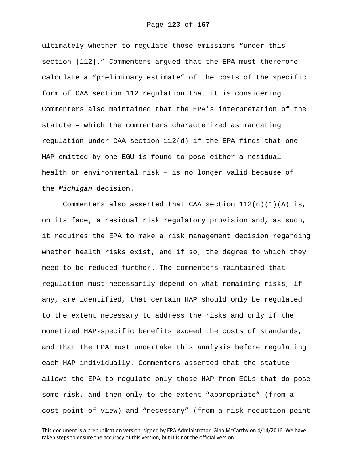ultimately whether to regulate those emissions "under this section [112]." Commenters argued that the EPA must therefore calculate a "preliminary estimate" of the costs of the specific form of CAA section 112 regulation that it is considering. Commenters also maintained that the EPA's interpretation of the statute – which the commenters characterized as mandating regulation under CAA section 112(d) if the EPA finds that one HAP emitted by one EGU is found to pose either a residual health or environmental risk – is no longer valid because of the *Michigan* decision.

Commenters also asserted that CAA section  $112(n)(1)(A)$  is, on its face, a residual risk regulatory provision and, as such, it requires the EPA to make a risk management decision regarding whether health risks exist, and if so, the degree to which they need to be reduced further. The commenters maintained that regulation must necessarily depend on what remaining risks, if any, are identified, that certain HAP should only be regulated to the extent necessary to address the risks and only if the monetized HAP-specific benefits exceed the costs of standards, and that the EPA must undertake this analysis before regulating each HAP individually. Commenters asserted that the statute allows the EPA to regulate only those HAP from EGUs that do pose some risk, and then only to the extent "appropriate" (from a cost point of view) and "necessary" (from a risk reduction point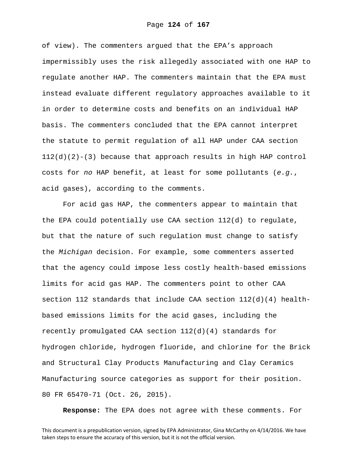of view). The commenters argued that the EPA's approach impermissibly uses the risk allegedly associated with one HAP to regulate another HAP. The commenters maintain that the EPA must instead evaluate different regulatory approaches available to it in order to determine costs and benefits on an individual HAP basis. The commenters concluded that the EPA cannot interpret the statute to permit regulation of all HAP under CAA section  $112(d)(2)-(3)$  because that approach results in high HAP control costs for *no* HAP benefit, at least for some pollutants (*e.g.*, acid gases), according to the comments.

For acid gas HAP, the commenters appear to maintain that the EPA could potentially use CAA section 112(d) to regulate, but that the nature of such regulation must change to satisfy the *Michigan* decision. For example, some commenters asserted that the agency could impose less costly health-based emissions limits for acid gas HAP. The commenters point to other CAA section 112 standards that include CAA section  $112(d)(4)$  healthbased emissions limits for the acid gases, including the recently promulgated CAA section  $112(d)(4)$  standards for hydrogen chloride, hydrogen fluoride, and chlorine for the Brick and Structural Clay Products Manufacturing and Clay Ceramics Manufacturing source categories as support for their position. 80 FR 65470-71 (Oct. 26, 2015).

**Response:** The EPA does not agree with these comments. For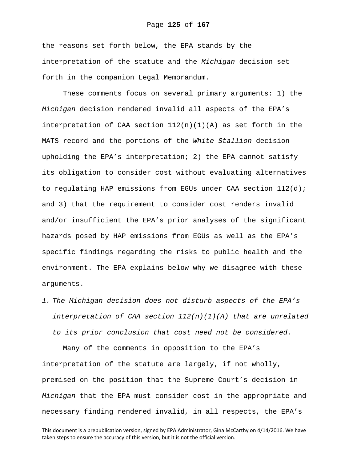the reasons set forth below, the EPA stands by the interpretation of the statute and the *Michigan* decision set forth in the companion Legal Memorandum.

These comments focus on several primary arguments: 1) the *Michigan* decision rendered invalid all aspects of the EPA's interpretation of CAA section  $112(n)(1)(A)$  as set forth in the MATS record and the portions of the *White Stallion* decision upholding the EPA's interpretation; 2) the EPA cannot satisfy its obligation to consider cost without evaluating alternatives to regulating HAP emissions from EGUs under CAA section  $112(d)$ ; and 3) that the requirement to consider cost renders invalid and/or insufficient the EPA's prior analyses of the significant hazards posed by HAP emissions from EGUs as well as the EPA's specific findings regarding the risks to public health and the environment. The EPA explains below why we disagree with these arguments.

*1. The Michigan decision does not disturb aspects of the EPA's interpretation of CAA section 112(n)(1)(A) that are unrelated to its prior conclusion that cost need not be considered.* 

Many of the comments in opposition to the EPA's interpretation of the statute are largely, if not wholly, premised on the position that the Supreme Court's decision in *Michigan* that the EPA must consider cost in the appropriate and necessary finding rendered invalid, in all respects, the EPA's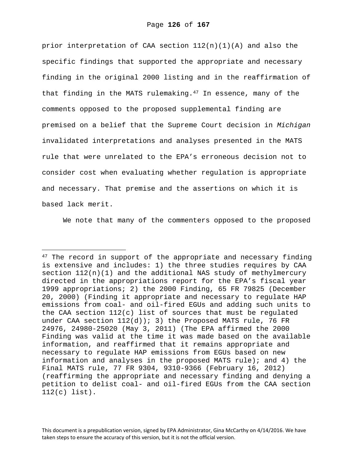prior interpretation of CAA section  $112(n)(1)(A)$  and also the specific findings that supported the appropriate and necessary finding in the original 2000 listing and in the reaffirmation of that finding in the MATS rulemaking.<sup>47</sup> In essence, many of the comments opposed to the proposed supplemental finding are premised on a belief that the Supreme Court decision in *Michigan* invalidated interpretations and analyses presented in the MATS rule that were unrelated to the EPA's erroneous decision not to consider cost when evaluating whether regulation is appropriate and necessary. That premise and the assertions on which it is based lack merit.

We note that many of the commenters opposed to the proposed

 $\overline{\phantom{0}}$ 

This document is a prepublication version, signed by EPA Administrator, Gina McCarthy on 4/14/2016. We have taken steps to ensure the accuracy of this version, but it is not the official version.

 $47$  The record in support of the appropriate and necessary finding is extensive and includes: 1) the three studies requires by CAA section  $112(n)(1)$  and the additional NAS study of methylmercury directed in the appropriations report for the EPA's fiscal year 1999 appropriations; 2) the 2000 Finding, 65 FR 79825 (December 20, 2000) (Finding it appropriate and necessary to regulate HAP emissions from coal- and oil-fired EGUs and adding such units to the CAA section 112(c) list of sources that must be regulated under CAA section  $112(d)$ ; 3) the Proposed MATS rule, 76 FR 24976, 24980-25020 (May 3, 2011) (The EPA affirmed the 2000 Finding was valid at the time it was made based on the available information, and reaffirmed that it remains appropriate and necessary to regulate HAP emissions from EGUs based on new information and analyses in the proposed MATS rule); and 4) the Final MATS rule, 77 FR 9304, 9310-9366 (February 16, 2012) (reaffirming the appropriate and necessary finding and denying a petition to delist coal- and oil-fired EGUs from the CAA section 112(c) list).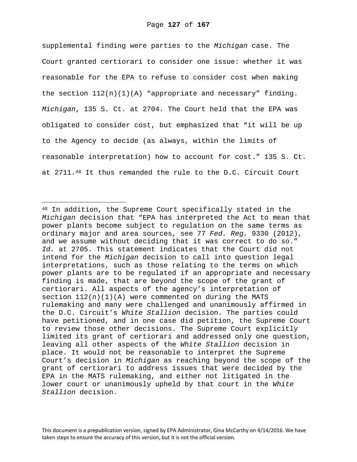supplemental finding were parties to the *Michigan* case. The Court granted certiorari to consider one issue: whether it was reasonable for the EPA to refuse to consider cost when making the section  $112(n)(1)(A)$  "appropriate and necessary" finding. *Michigan*, 135 S. Ct. at 2704. The Court held that the EPA was obligated to consider cost, but emphasized that "it will be up to the Agency to decide (as always, within the limits of reasonable interpretation) how to account for cost." 135 S. Ct. at 2711.48 It thus remanded the rule to the D.C. Circuit Court

i

<sup>48</sup> In addition, the Supreme Court specifically stated in the *Michigan* decision that "EPA has interpreted the Act to mean that power plants become subject to regulation on the same terms as ordinary major and area sources, see 77 *Fed. Reg.* 9330 (2012), and we assume without deciding that it was correct to do so." *Id.* at 2705. This statement indicates that the Court did not intend for the *Michigan* decision to call into question legal interpretations, such as those relating to the terms on which power plants are to be regulated if an appropriate and necessary finding is made, that are beyond the scope of the grant of certiorari. All aspects of the agency's interpretation of section  $112(n)(1)(A)$  were commented on during the MATS rulemaking and many were challenged and unanimously affirmed in the D.C. Circuit's *White Stallion* decision. The parties could have petitioned, and in one case did petition, the Supreme Court to review those other decisions. The Supreme Court explicitly limited its grant of certiorari and addressed only one question, leaving all other aspects of the *White Stallion* decision in place. It would not be reasonable to interpret the Supreme Court's decision in *Michigan* as reaching beyond the scope of the grant of certiorari to address issues that were decided by the EPA in the MATS rulemaking, and either not litigated in the lower court or unanimously upheld by that court in the *White Stallion* decision.

This document is a prepublication version, signed by EPA Administrator, Gina McCarthy on 4/14/2016. We have taken steps to ensure the accuracy of this version, but it is not the official version.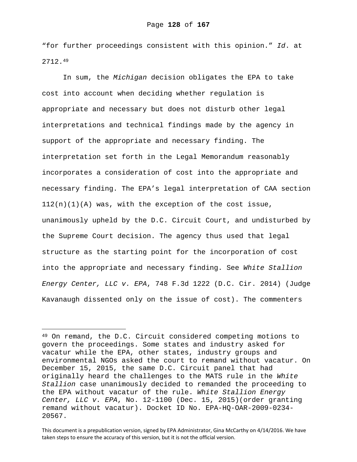"for further proceedings consistent with this opinion." *Id*. at 2712.49

In sum, the *Michigan* decision obligates the EPA to take cost into account when deciding whether regulation is appropriate and necessary but does not disturb other legal interpretations and technical findings made by the agency in support of the appropriate and necessary finding. The interpretation set forth in the Legal Memorandum reasonably incorporates a consideration of cost into the appropriate and necessary finding. The EPA's legal interpretation of CAA section  $112(n)(1)(A)$  was, with the exception of the cost issue, unanimously upheld by the D.C. Circuit Court, and undisturbed by the Supreme Court decision. The agency thus used that legal structure as the starting point for the incorporation of cost into the appropriate and necessary finding. See *White Stallion Energy Center, LLC v. EPA*, 748 F.3d 1222 (D.C. Cir. 2014) (Judge Kavanaugh dissented only on the issue of cost). The commenters

i

<sup>49</sup> On remand, the D.C. Circuit considered competing motions to govern the proceedings. Some states and industry asked for vacatur while the EPA, other states, industry groups and environmental NGOs asked the court to remand without vacatur. On December 15, 2015, the same D.C. Circuit panel that had originally heard the challenges to the MATS rule in the *White Stallion* case unanimously decided to remanded the proceeding to the EPA without vacatur of the rule. *White Stallion Energy Center, LLC v. EPA*, No. 12-1100 (Dec. 15, 2015)(order granting remand without vacatur). Docket ID No. EPA-HQ-OAR-2009-0234- 20567.

This document is a prepublication version, signed by EPA Administrator, Gina McCarthy on 4/14/2016. We have taken steps to ensure the accuracy of this version, but it is not the official version.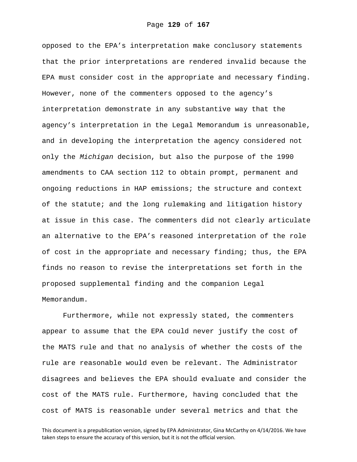opposed to the EPA's interpretation make conclusory statements that the prior interpretations are rendered invalid because the EPA must consider cost in the appropriate and necessary finding. However, none of the commenters opposed to the agency's interpretation demonstrate in any substantive way that the agency's interpretation in the Legal Memorandum is unreasonable, and in developing the interpretation the agency considered not only the *Michigan* decision, but also the purpose of the 1990 amendments to CAA section 112 to obtain prompt, permanent and ongoing reductions in HAP emissions; the structure and context of the statute; and the long rulemaking and litigation history at issue in this case. The commenters did not clearly articulate an alternative to the EPA's reasoned interpretation of the role of cost in the appropriate and necessary finding; thus, the EPA finds no reason to revise the interpretations set forth in the proposed supplemental finding and the companion Legal Memorandum.

Furthermore, while not expressly stated, the commenters appear to assume that the EPA could never justify the cost of the MATS rule and that no analysis of whether the costs of the rule are reasonable would even be relevant. The Administrator disagrees and believes the EPA should evaluate and consider the cost of the MATS rule. Furthermore, having concluded that the cost of MATS is reasonable under several metrics and that the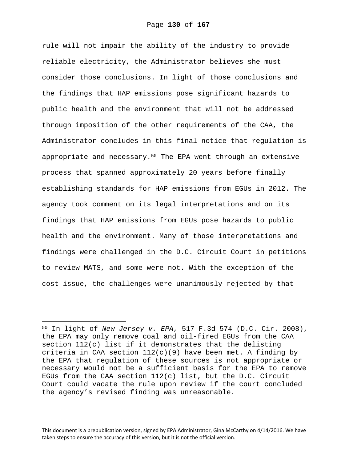rule will not impair the ability of the industry to provide reliable electricity, the Administrator believes she must consider those conclusions. In light of those conclusions and the findings that HAP emissions pose significant hazards to public health and the environment that will not be addressed through imposition of the other requirements of the CAA, the Administrator concludes in this final notice that regulation is appropriate and necessary.50 The EPA went through an extensive process that spanned approximately 20 years before finally establishing standards for HAP emissions from EGUs in 2012. The agency took comment on its legal interpretations and on its findings that HAP emissions from EGUs pose hazards to public health and the environment. Many of those interpretations and findings were challenged in the D.C. Circuit Court in petitions to review MATS, and some were not. With the exception of the cost issue, the challenges were unanimously rejected by that

i

<sup>50</sup> In light of *New Jersey v. EPA*, 517 F.3d 574 (D.C. Cir. 2008), the EPA may only remove coal and oil-fired EGUs from the CAA section 112(c) list if it demonstrates that the delisting criteria in CAA section 112(c)(9) have been met. A finding by the EPA that regulation of these sources is not appropriate or necessary would not be a sufficient basis for the EPA to remove EGUs from the CAA section  $112(c)$  list, but the D.C. Circuit Court could vacate the rule upon review if the court concluded the agency's revised finding was unreasonable.

This document is a prepublication version, signed by EPA Administrator, Gina McCarthy on 4/14/2016. We have taken steps to ensure the accuracy of this version, but it is not the official version.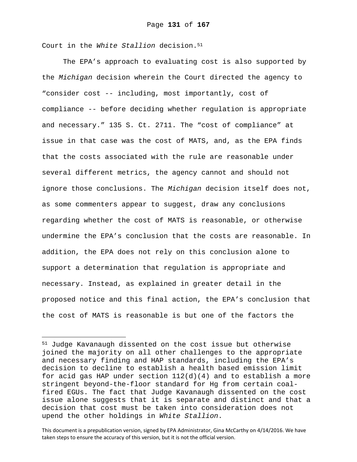Court in the *White Stallion* decision.<sup>51</sup>

i<br>Li

The EPA's approach to evaluating cost is also supported by the *Michigan* decision wherein the Court directed the agency to "consider cost -- including, most importantly, cost of compliance -- before deciding whether regulation is appropriate and necessary." 135 S. Ct. 2711. The "cost of compliance" at issue in that case was the cost of MATS, and, as the EPA finds that the costs associated with the rule are reasonable under several different metrics, the agency cannot and should not ignore those conclusions. The *Michigan* decision itself does not, as some commenters appear to suggest, draw any conclusions regarding whether the cost of MATS is reasonable, or otherwise undermine the EPA's conclusion that the costs are reasonable. In addition, the EPA does not rely on this conclusion alone to support a determination that regulation is appropriate and necessary. Instead, as explained in greater detail in the proposed notice and this final action, the EPA's conclusion that the cost of MATS is reasonable is but one of the factors the

<sup>51</sup> Judge Kavanaugh dissented on the cost issue but otherwise joined the majority on all other challenges to the appropriate and necessary finding and HAP standards, including the EPA's decision to decline to establish a health based emission limit for acid gas HAP under section  $112(d)(4)$  and to establish a more stringent beyond-the-floor standard for Hg from certain coalfired EGUs. The fact that Judge Kavanaugh dissented on the cost issue alone suggests that it is separate and distinct and that a decision that cost must be taken into consideration does not upend the other holdings in *White Stallion*.

This document is a prepublication version, signed by EPA Administrator, Gina McCarthy on 4/14/2016. We have taken steps to ensure the accuracy of this version, but it is not the official version.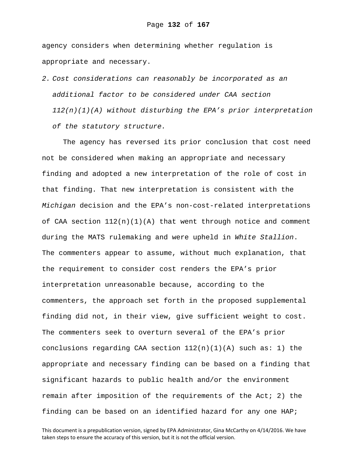agency considers when determining whether regulation is appropriate and necessary.

*2. Cost considerations can reasonably be incorporated as an additional factor to be considered under CAA section 112(n)(1)(A) without disturbing the EPA's prior interpretation of the statutory structure.* 

The agency has reversed its prior conclusion that cost need not be considered when making an appropriate and necessary finding and adopted a new interpretation of the role of cost in that finding. That new interpretation is consistent with the *Michigan* decision and the EPA's non-cost-related interpretations of CAA section  $112(n)(1)(A)$  that went through notice and comment during the MATS rulemaking and were upheld in *White Stallion*. The commenters appear to assume, without much explanation, that the requirement to consider cost renders the EPA's prior interpretation unreasonable because, according to the commenters, the approach set forth in the proposed supplemental finding did not, in their view, give sufficient weight to cost. The commenters seek to overturn several of the EPA's prior conclusions regarding CAA section  $112(n)(1)(A)$  such as: 1) the appropriate and necessary finding can be based on a finding that significant hazards to public health and/or the environment remain after imposition of the requirements of the Act; 2) the finding can be based on an identified hazard for any one HAP;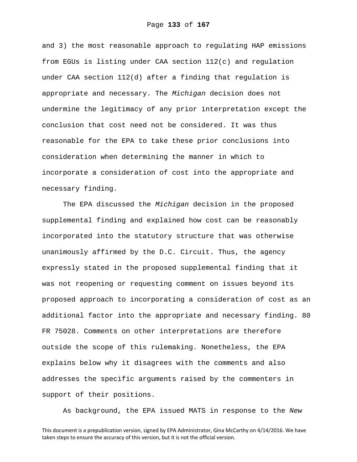and 3) the most reasonable approach to regulating HAP emissions from EGUs is listing under CAA section 112(c) and regulation under CAA section 112(d) after a finding that regulation is appropriate and necessary. The *Michigan* decision does not undermine the legitimacy of any prior interpretation except the conclusion that cost need not be considered. It was thus reasonable for the EPA to take these prior conclusions into consideration when determining the manner in which to incorporate a consideration of cost into the appropriate and necessary finding.

The EPA discussed the *Michigan* decision in the proposed supplemental finding and explained how cost can be reasonably incorporated into the statutory structure that was otherwise unanimously affirmed by the D.C. Circuit. Thus, the agency expressly stated in the proposed supplemental finding that it was not reopening or requesting comment on issues beyond its proposed approach to incorporating a consideration of cost as an additional factor into the appropriate and necessary finding. 80 FR 75028. Comments on other interpretations are therefore outside the scope of this rulemaking. Nonetheless, the EPA explains below why it disagrees with the comments and also addresses the specific arguments raised by the commenters in support of their positions.

As background, the EPA issued MATS in response to the *New*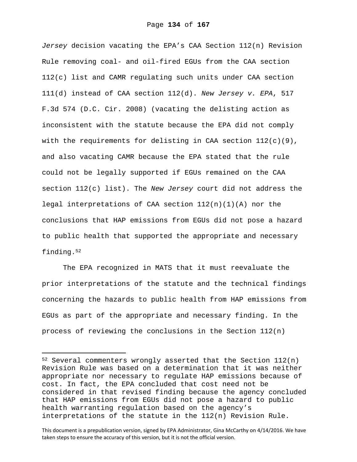*Jersey* decision vacating the EPA's CAA Section 112(n) Revision Rule removing coal- and oil-fired EGUs from the CAA section 112(c) list and CAMR regulating such units under CAA section 111(d) instead of CAA section 112(d). *New Jersey v. EPA*, 517 F.3d 574 (D.C. Cir. 2008) (vacating the delisting action as inconsistent with the statute because the EPA did not comply with the requirements for delisting in CAA section  $112(c)(9)$ , and also vacating CAMR because the EPA stated that the rule could not be legally supported if EGUs remained on the CAA section 112(c) list). The *New Jersey* court did not address the legal interpretations of CAA section  $112(n)(1)(A)$  nor the conclusions that HAP emissions from EGUs did not pose a hazard to public health that supported the appropriate and necessary finding.52

The EPA recognized in MATS that it must reevaluate the prior interpretations of the statute and the technical findings concerning the hazards to public health from HAP emissions from EGUs as part of the appropriate and necessary finding. In the process of reviewing the conclusions in the Section 112(n)

i

This document is a prepublication version, signed by EPA Administrator, Gina McCarthy on 4/14/2016. We have taken steps to ensure the accuracy of this version, but it is not the official version.

 $52$  Several commenters wrongly asserted that the Section 112(n) Revision Rule was based on a determination that it was neither appropriate nor necessary to regulate HAP emissions because of cost. In fact, the EPA concluded that cost need not be considered in that revised finding because the agency concluded that HAP emissions from EGUs did not pose a hazard to public health warranting regulation based on the agency's interpretations of the statute in the 112(n) Revision Rule.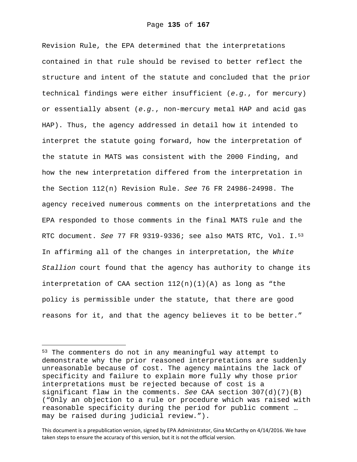Revision Rule, the EPA determined that the interpretations contained in that rule should be revised to better reflect the structure and intent of the statute and concluded that the prior technical findings were either insufficient (*e.g.*, for mercury) or essentially absent (*e.g.*, non-mercury metal HAP and acid gas HAP). Thus, the agency addressed in detail how it intended to interpret the statute going forward, how the interpretation of the statute in MATS was consistent with the 2000 Finding, and how the new interpretation differed from the interpretation in the Section 112(n) Revision Rule. *See* 76 FR 24986-24998. The agency received numerous comments on the interpretations and the EPA responded to those comments in the final MATS rule and the RTC document. *See* 77 FR 9319-9336; see also MATS RTC, Vol. I.53 In affirming all of the changes in interpretation, the *White Stallion* court found that the agency has authority to change its interpretation of CAA section  $112(n)(1)(A)$  as long as "the policy is permissible under the statute, that there are good reasons for it, and that the agency believes it to be better."

 $\overline{\phantom{0}}$ 

<sup>53</sup> The commenters do not in any meaningful way attempt to demonstrate why the prior reasoned interpretations are suddenly unreasonable because of cost. The agency maintains the lack of specificity and failure to explain more fully why those prior interpretations must be rejected because of cost is a significant flaw in the comments. *See* CAA section 307(d)(7)(B) ("Only an objection to a rule or procedure which was raised with reasonable specificity during the period for public comment … may be raised during judicial review.").

This document is a prepublication version, signed by EPA Administrator, Gina McCarthy on 4/14/2016. We have taken steps to ensure the accuracy of this version, but it is not the official version.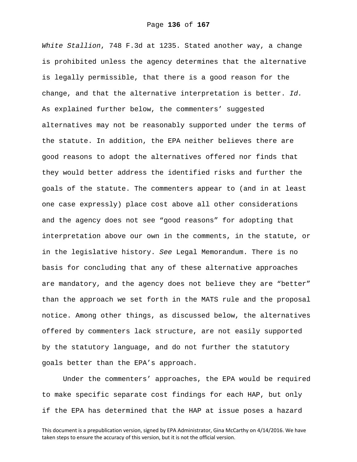*White Stallion*, 748 F.3d at 1235. Stated another way, a change is prohibited unless the agency determines that the alternative is legally permissible, that there is a good reason for the change, and that the alternative interpretation is better. *Id.* As explained further below, the commenters' suggested alternatives may not be reasonably supported under the terms of the statute. In addition, the EPA neither believes there are good reasons to adopt the alternatives offered nor finds that they would better address the identified risks and further the goals of the statute. The commenters appear to (and in at least one case expressly) place cost above all other considerations and the agency does not see "good reasons" for adopting that interpretation above our own in the comments, in the statute, or in the legislative history. *See* Legal Memorandum. There is no basis for concluding that any of these alternative approaches are mandatory, and the agency does not believe they are "better" than the approach we set forth in the MATS rule and the proposal notice. Among other things, as discussed below, the alternatives offered by commenters lack structure, are not easily supported by the statutory language, and do not further the statutory goals better than the EPA's approach.

Under the commenters' approaches, the EPA would be required to make specific separate cost findings for each HAP, but only if the EPA has determined that the HAP at issue poses a hazard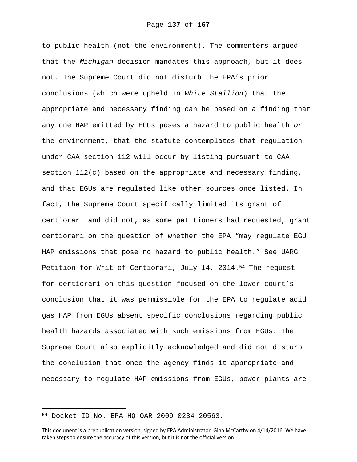to public health (not the environment). The commenters argued that the *Michigan* decision mandates this approach, but it does not. The Supreme Court did not disturb the EPA's prior conclusions (which were upheld in *White Stallion*) that the appropriate and necessary finding can be based on a finding that any one HAP emitted by EGUs poses a hazard to public health *or* the environment, that the statute contemplates that regulation under CAA section 112 will occur by listing pursuant to CAA section 112(c) based on the appropriate and necessary finding, and that EGUs are regulated like other sources once listed. In fact, the Supreme Court specifically limited its grant of certiorari and did not, as some petitioners had requested, grant certiorari on the question of whether the EPA "may regulate EGU HAP emissions that pose no hazard to public health." See UARG Petition for Writ of Certiorari, July 14, 2014.<sup>54</sup> The request for certiorari on this question focused on the lower court's conclusion that it was permissible for the EPA to regulate acid gas HAP from EGUs absent specific conclusions regarding public health hazards associated with such emissions from EGUs. The Supreme Court also explicitly acknowledged and did not disturb the conclusion that once the agency finds it appropriate and necessary to regulate HAP emissions from EGUs, power plants are

i<br>Li

<sup>54</sup> Docket ID No. EPA-HQ-OAR-2009-0234-20563.

This document is a prepublication version, signed by EPA Administrator, Gina McCarthy on 4/14/2016. We have taken steps to ensure the accuracy of this version, but it is not the official version.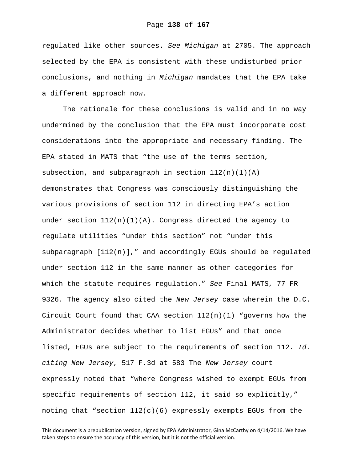regulated like other sources. *See Michigan* at 2705. The approach selected by the EPA is consistent with these undisturbed prior conclusions, and nothing in *Michigan* mandates that the EPA take a different approach now.

The rationale for these conclusions is valid and in no way undermined by the conclusion that the EPA must incorporate cost considerations into the appropriate and necessary finding. The EPA stated in MATS that "the use of the terms section, subsection, and subparagraph in section  $112(n)(1)(A)$ demonstrates that Congress was consciously distinguishing the various provisions of section 112 in directing EPA's action under section  $112(n)(1)(A)$ . Congress directed the agency to regulate utilities "under this section" not "under this subparagraph  $[112(n)]$ ," and accordingly EGUs should be regulated under section 112 in the same manner as other categories for which the statute requires regulation." *See* Final MATS, 77 FR 9326. The agency also cited the *New Jersey* case wherein the D.C. Circuit Court found that CAA section  $112(n)(1)$  "governs how the Administrator decides whether to list EGUs" and that once listed, EGUs are subject to the requirements of section 112. *Id. citing New Jersey*, 517 F.3d at 583 The *New Jersey* court expressly noted that "where Congress wished to exempt EGUs from specific requirements of section 112, it said so explicitly," noting that "section  $112(c)(6)$  expressly exempts EGUs from the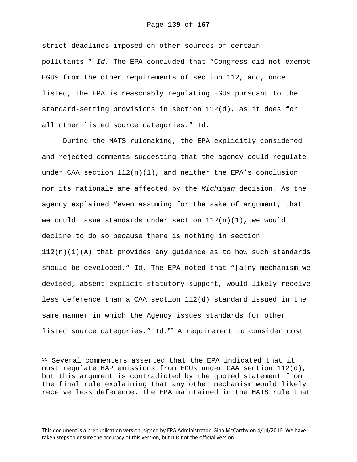strict deadlines imposed on other sources of certain pollutants." *Id*. The EPA concluded that "Congress did not exempt EGUs from the other requirements of section 112, and, once listed, the EPA is reasonably regulating EGUs pursuant to the standard-setting provisions in section 112(d), as it does for all other listed source categories." Id.

During the MATS rulemaking, the EPA explicitly considered and rejected comments suggesting that the agency could regulate under CAA section 112(n)(1), and neither the EPA's conclusion nor its rationale are affected by the *Michigan* decision. As the agency explained "even assuming for the sake of argument, that we could issue standards under section 112(n)(1), we would decline to do so because there is nothing in section  $112(n)(1)(A)$  that provides any guidance as to how such standards should be developed." Id. The EPA noted that "[a]ny mechanism we devised, absent explicit statutory support, would likely receive less deference than a CAA section 112(d) standard issued in the same manner in which the Agency issues standards for other listed source categories." Id.55 A requirement to consider cost

i

<sup>55</sup> Several commenters asserted that the EPA indicated that it must regulate HAP emissions from EGUs under CAA section 112(d), but this argument is contradicted by the quoted statement from the final rule explaining that any other mechanism would likely receive less deference. The EPA maintained in the MATS rule that

This document is a prepublication version, signed by EPA Administrator, Gina McCarthy on 4/14/2016. We have taken steps to ensure the accuracy of this version, but it is not the official version.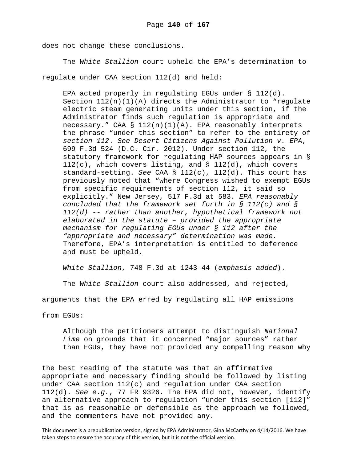does not change these conclusions.

The *White Stallion* court upheld the EPA's determination to regulate under CAA section 112(d) and held:

EPA acted properly in regulating EGUs under § 112(d). Section  $112(n)(1)(A)$  directs the Administrator to "regulate electric steam generating units under this section, if the Administrator finds such regulation is appropriate and necessary." CAA § 112(n)(1)(A). EPA reasonably interprets the phrase "under this section" to refer to the entirety of *section 112*. *See Desert Citizens Against Pollution v. EPA*, 699 F.3d 524 (D.C. Cir. 2012). Under section 112, the statutory framework for regulating HAP sources appears in §  $112(c)$ , which covers listing, and § 112(d), which covers standard-setting. *See* CAA § 112(c), 112(d). This court has previously noted that "where Congress wished to exempt EGUs from specific requirements of section 112, it said so explicitly." New Jersey, 517 F.3d at 583. *EPA reasonably concluded that the framework set forth in § 112(c) and § 112(d) -- rather than another, hypothetical framework not elaborated in the statute – provided the appropriate mechanism for regulating EGUs under § 112 after the "appropriate and necessary" determination was made.* Therefore, EPA's interpretation is entitled to deference and must be upheld.

*White Stallion*, 748 F.3d at 1243-44 (*emphasis added*).

The *White Stallion* court also addressed, and rejected,

arguments that the EPA erred by regulating all HAP emissions

from EGUs:

 $\overline{\phantom{0}}$ 

Although the petitioners attempt to distinguish *National Lime* on grounds that it concerned "major sources" rather than EGUs, they have not provided any compelling reason why

the best reading of the statute was that an affirmative appropriate and necessary finding should be followed by listing under CAA section  $112(c)$  and regulation under CAA section 112(d). *See e.g.*, 77 FR 9326. The EPA did not, however, identify an alternative approach to regulation "under this section [112]" that is as reasonable or defensible as the approach we followed, and the commenters have not provided any.

This document is a prepublication version, signed by EPA Administrator, Gina McCarthy on 4/14/2016. We have taken steps to ensure the accuracy of this version, but it is not the official version.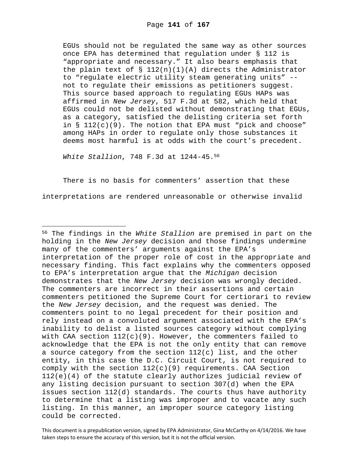EGUs should not be regulated the same way as other sources once EPA has determined that regulation under § 112 is "appropriate and necessary." It also bears emphasis that the plain text of  $\S$  112(n)(1)(A) directs the Administrator to "regulate electric utility steam generating units" - not to regulate their emissions as petitioners suggest. This source based approach to regulating EGUs HAPs was affirmed in *New Jersey*, 517 F.3d at 582, which held that EGUs could not be delisted without demonstrating that EGUs, as a category, satisfied the delisting criteria set forth in  $\S$  112(c)(9). The notion that EPA must "pick and choose" among HAPs in order to regulate only those substances it deems most harmful is at odds with the court's precedent.

*White Stallion*, 748 F.3d at 1244-45.56

i

There is no basis for commenters' assertion that these interpretations are rendered unreasonable or otherwise invalid

<sup>56</sup> The findings in the *White Stallion* are premised in part on the holding in the *New Jersey* decision and those findings undermine many of the commenters' arguments against the EPA's interpretation of the proper role of cost in the appropriate and necessary finding. This fact explains why the commenters opposed to EPA's interpretation argue that the *Michigan* decision demonstrates that the *New Jersey* decision was wrongly decided. The commenters are incorrect in their assertions and certain commenters petitioned the Supreme Court for certiorari to review the *New Jersey* decision, and the request was denied. The commenters point to no legal precedent for their position and rely instead on a convoluted argument associated with the EPA's inability to delist a listed sources category without complying with CAA section  $112(c)(9)$ . However, the commenters failed to acknowledge that the EPA is not the only entity that can remove a source category from the section  $112(c)$  list, and the other entity, in this case the D.C. Circuit Court, is not required to comply with the section  $112(c)(9)$  requirements. CAA Section 112(e)(4) of the statute clearly authorizes judicial review of any listing decision pursuant to section 307(d) when the EPA issues section 112(d) standards. The courts thus have authority to determine that a listing was improper and to vacate any such listing. In this manner, an improper source category listing could be corrected.

This document is a prepublication version, signed by EPA Administrator, Gina McCarthy on 4/14/2016. We have taken steps to ensure the accuracy of this version, but it is not the official version.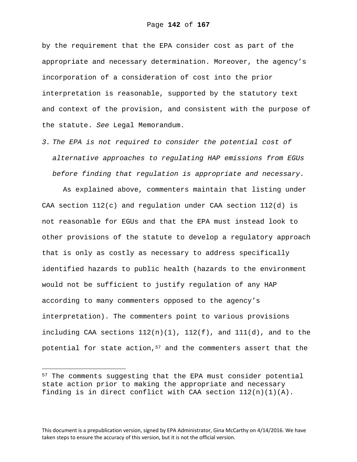by the requirement that the EPA consider cost as part of the appropriate and necessary determination. Moreover, the agency's incorporation of a consideration of cost into the prior interpretation is reasonable, supported by the statutory text and context of the provision, and consistent with the purpose of the statute. *See* Legal Memorandum.

*3. The EPA is not required to consider the potential cost of alternative approaches to regulating HAP emissions from EGUs before finding that regulation is appropriate and necessary.* 

As explained above, commenters maintain that listing under CAA section  $112(c)$  and requlation under CAA section  $112(d)$  is not reasonable for EGUs and that the EPA must instead look to other provisions of the statute to develop a regulatory approach that is only as costly as necessary to address specifically identified hazards to public health (hazards to the environment would not be sufficient to justify regulation of any HAP according to many commenters opposed to the agency's interpretation). The commenters point to various provisions including CAA sections  $112(n)(1)$ ,  $112(f)$ , and  $111(d)$ , and to the potential for state action, $57$  and the commenters assert that the

i<br>Li

<sup>&</sup>lt;sup>57</sup> The comments suggesting that the EPA must consider potential state action prior to making the appropriate and necessary finding is in direct conflict with CAA section  $112(n)(1)(A)$ .

This document is a prepublication version, signed by EPA Administrator, Gina McCarthy on 4/14/2016. We have taken steps to ensure the accuracy of this version, but it is not the official version.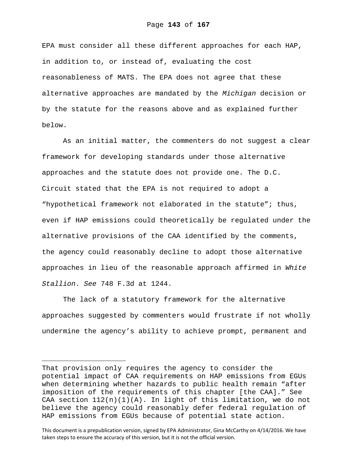EPA must consider all these different approaches for each HAP, in addition to, or instead of, evaluating the cost reasonableness of MATS. The EPA does not agree that these alternative approaches are mandated by the *Michigan* decision or by the statute for the reasons above and as explained further below.

As an initial matter, the commenters do not suggest a clear framework for developing standards under those alternative approaches and the statute does not provide one. The D.C. Circuit stated that the EPA is not required to adopt a "hypothetical framework not elaborated in the statute"; thus, even if HAP emissions could theoretically be regulated under the alternative provisions of the CAA identified by the comments, the agency could reasonably decline to adopt those alternative approaches in lieu of the reasonable approach affirmed in *White Stallion*. *See* 748 F.3d at 1244.

The lack of a statutory framework for the alternative approaches suggested by commenters would frustrate if not wholly undermine the agency's ability to achieve prompt, permanent and

 $\overline{\phantom{0}}$ 

This document is a prepublication version, signed by EPA Administrator, Gina McCarthy on 4/14/2016. We have taken steps to ensure the accuracy of this version, but it is not the official version.

That provision only requires the agency to consider the potential impact of CAA requirements on HAP emissions from EGUs when determining whether hazards to public health remain "after imposition of the requirements of this chapter [the CAA]." See CAA section  $112(n)(1)(A)$ . In light of this limitation, we do not believe the agency could reasonably defer federal regulation of HAP emissions from EGUs because of potential state action.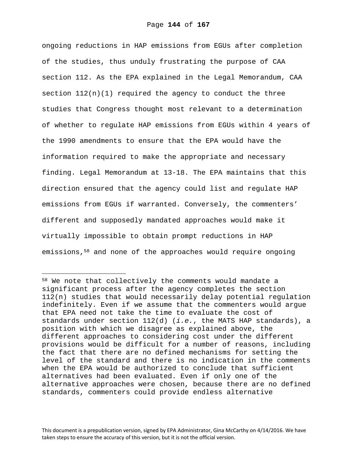ongoing reductions in HAP emissions from EGUs after completion of the studies, thus unduly frustrating the purpose of CAA section 112. As the EPA explained in the Legal Memorandum, CAA section  $112(n)(1)$  required the agency to conduct the three studies that Congress thought most relevant to a determination of whether to regulate HAP emissions from EGUs within 4 years of the 1990 amendments to ensure that the EPA would have the information required to make the appropriate and necessary finding. Legal Memorandum at 13-18. The EPA maintains that this direction ensured that the agency could list and regulate HAP emissions from EGUs if warranted. Conversely, the commenters' different and supposedly mandated approaches would make it virtually impossible to obtain prompt reductions in HAP emissions,58 and none of the approaches would require ongoing

i<br>Li

<sup>58</sup> We note that collectively the comments would mandate a significant process after the agency completes the section 112(n) studies that would necessarily delay potential regulation indefinitely. Even if we assume that the commenters would argue that EPA need not take the time to evaluate the cost of standards under section 112(d) (*i.e.*, the MATS HAP standards), a position with which we disagree as explained above, the different approaches to considering cost under the different provisions would be difficult for a number of reasons, including the fact that there are no defined mechanisms for setting the level of the standard and there is no indication in the comments when the EPA would be authorized to conclude that sufficient alternatives had been evaluated. Even if only one of the alternative approaches were chosen, because there are no defined standards, commenters could provide endless alternative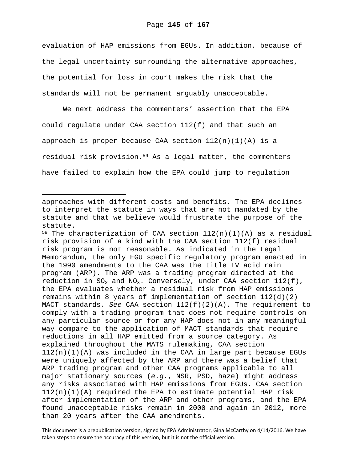evaluation of HAP emissions from EGUs. In addition, because of the legal uncertainty surrounding the alternative approaches, the potential for loss in court makes the risk that the standards will not be permanent arguably unacceptable.

We next address the commenters' assertion that the EPA could regulate under CAA section 112(f) and that such an approach is proper because CAA section  $112(n)(1)(A)$  is a residual risk provision.59 As a legal matter, the commenters have failed to explain how the EPA could jump to regulation

i

<sup>59</sup> The characterization of CAA section  $112(n)(1)(A)$  as a residual risk provision of a kind with the CAA section 112(f) residual risk program is not reasonable. As indicated in the Legal Memorandum, the only EGU specific regulatory program enacted in the 1990 amendments to the CAA was the title IV acid rain program (ARP). The ARP was a trading program directed at the reduction in  $SO_2$  and  $NO_X$ . Conversely, under CAA section  $112(f)$ , the EPA evaluates whether a residual risk from HAP emissions remains within 8 years of implementation of section  $112(d)(2)$ MACT standards. *See* CAA section 112(f)(2)(A). The requirement to comply with a trading program that does not require controls on any particular source or for any HAP does not in any meaningful way compare to the application of MACT standards that require reductions in all HAP emitted from a source category. As explained throughout the MATS rulemaking, CAA section 112(n)(1)(A) was included in the CAA in large part because EGUs were uniquely affected by the ARP and there was a belief that ARP trading program and other CAA programs applicable to all major stationary sources (*e.g.*, NSR, PSD, haze) might address any risks associated with HAP emissions from EGUs. CAA section  $112(n)(1)(A)$  required the EPA to estimate potential HAP risk after implementation of the ARP and other programs, and the EPA found unacceptable risks remain in 2000 and again in 2012, more than 20 years after the CAA amendments.

This document is a prepublication version, signed by EPA Administrator, Gina McCarthy on 4/14/2016. We have taken steps to ensure the accuracy of this version, but it is not the official version.

approaches with different costs and benefits. The EPA declines to interpret the statute in ways that are not mandated by the statute and that we believe would frustrate the purpose of the statute.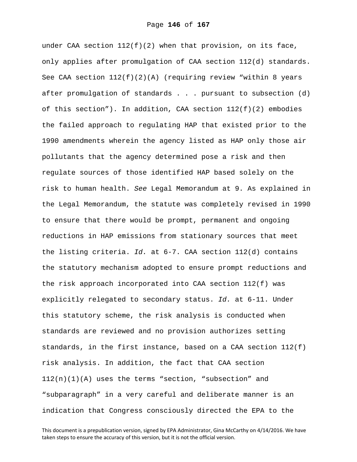under CAA section  $112(f)(2)$  when that provision, on its face, only applies after promulgation of CAA section 112(d) standards. See CAA section  $112(f)(2)(A)$  (requiring review "within 8 years after promulgation of standards . . . pursuant to subsection (d) of this section"). In addition, CAA section  $112(f)(2)$  embodies the failed approach to regulating HAP that existed prior to the 1990 amendments wherein the agency listed as HAP only those air pollutants that the agency determined pose a risk and then regulate sources of those identified HAP based solely on the risk to human health. *See* Legal Memorandum at 9. As explained in the Legal Memorandum, the statute was completely revised in 1990 to ensure that there would be prompt, permanent and ongoing reductions in HAP emissions from stationary sources that meet the listing criteria. *Id.* at 6-7. CAA section 112(d) contains the statutory mechanism adopted to ensure prompt reductions and the risk approach incorporated into CAA section 112(f) was explicitly relegated to secondary status. *Id.* at 6-11. Under this statutory scheme, the risk analysis is conducted when standards are reviewed and no provision authorizes setting standards, in the first instance, based on a CAA section 112(f) risk analysis. In addition, the fact that CAA section  $112(n)(1)(A)$  uses the terms "section, "subsection" and "subparagraph" in a very careful and deliberate manner is an indication that Congress consciously directed the EPA to the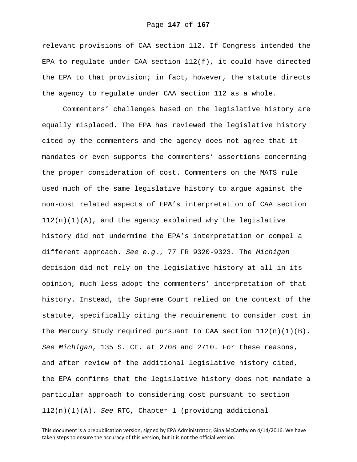relevant provisions of CAA section 112. If Congress intended the EPA to regulate under CAA section 112(f), it could have directed the EPA to that provision; in fact, however, the statute directs the agency to regulate under CAA section 112 as a whole.

Commenters' challenges based on the legislative history are equally misplaced. The EPA has reviewed the legislative history cited by the commenters and the agency does not agree that it mandates or even supports the commenters' assertions concerning the proper consideration of cost. Commenters on the MATS rule used much of the same legislative history to argue against the non-cost related aspects of EPA's interpretation of CAA section  $112(n)(1)(A)$ , and the agency explained why the legislative history did not undermine the EPA's interpretation or compel a different approach. *See e.g.*, 77 FR 9320-9323. The *Michigan* decision did not rely on the legislative history at all in its opinion, much less adopt the commenters' interpretation of that history. Instead, the Supreme Court relied on the context of the statute, specifically citing the requirement to consider cost in the Mercury Study required pursuant to CAA section  $112(n)(1)(B)$ . *See Michigan*, 135 S. Ct. at 2708 and 2710. For these reasons, and after review of the additional legislative history cited, the EPA confirms that the legislative history does not mandate a particular approach to considering cost pursuant to section 112(n)(1)(A). *See* RTC, Chapter 1 (providing additional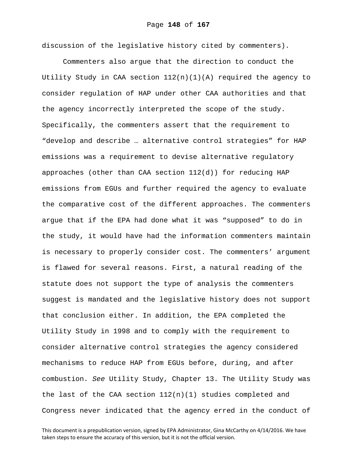discussion of the legislative history cited by commenters).

Commenters also argue that the direction to conduct the Utility Study in CAA section  $112(n)(1)(A)$  required the agency to consider regulation of HAP under other CAA authorities and that the agency incorrectly interpreted the scope of the study. Specifically, the commenters assert that the requirement to "develop and describe … alternative control strategies" for HAP emissions was a requirement to devise alternative regulatory approaches (other than CAA section 112(d)) for reducing HAP emissions from EGUs and further required the agency to evaluate the comparative cost of the different approaches. The commenters argue that if the EPA had done what it was "supposed" to do in the study, it would have had the information commenters maintain is necessary to properly consider cost. The commenters' argument is flawed for several reasons. First, a natural reading of the statute does not support the type of analysis the commenters suggest is mandated and the legislative history does not support that conclusion either. In addition, the EPA completed the Utility Study in 1998 and to comply with the requirement to consider alternative control strategies the agency considered mechanisms to reduce HAP from EGUs before, during, and after combustion. *See* Utility Study, Chapter 13. The Utility Study was the last of the CAA section 112(n)(1) studies completed and Congress never indicated that the agency erred in the conduct of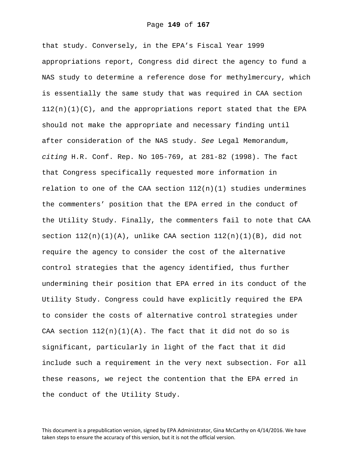that study. Conversely, in the EPA's Fiscal Year 1999 appropriations report, Congress did direct the agency to fund a NAS study to determine a reference dose for methylmercury, which is essentially the same study that was required in CAA section  $112(n)(1)(C)$ , and the appropriations report stated that the EPA should not make the appropriate and necessary finding until after consideration of the NAS study. *See* Legal Memorandum, *citing* H.R. Conf. Rep. No 105-769, at 281-82 (1998). The fact that Congress specifically requested more information in relation to one of the CAA section  $112(n)(1)$  studies undermines the commenters' position that the EPA erred in the conduct of the Utility Study. Finally, the commenters fail to note that CAA section  $112(n)(1)(A)$ , unlike CAA section  $112(n)(1)(B)$ , did not require the agency to consider the cost of the alternative control strategies that the agency identified, thus further undermining their position that EPA erred in its conduct of the Utility Study. Congress could have explicitly required the EPA to consider the costs of alternative control strategies under CAA section  $112(n)(1)(A)$ . The fact that it did not do so is significant, particularly in light of the fact that it did include such a requirement in the very next subsection. For all these reasons, we reject the contention that the EPA erred in the conduct of the Utility Study.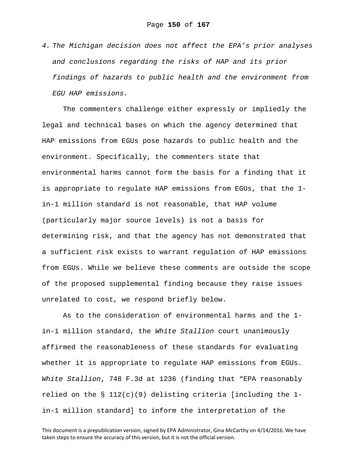*4. The Michigan decision does not affect the EPA's prior analyses and conclusions regarding the risks of HAP and its prior findings of hazards to public health and the environment from EGU HAP emissions.* 

The commenters challenge either expressly or impliedly the legal and technical bases on which the agency determined that HAP emissions from EGUs pose hazards to public health and the environment. Specifically, the commenters state that environmental harms cannot form the basis for a finding that it is appropriate to regulate HAP emissions from EGUs, that the 1 in-1 million standard is not reasonable, that HAP volume (particularly major source levels) is not a basis for determining risk, and that the agency has not demonstrated that a sufficient risk exists to warrant regulation of HAP emissions from EGUs. While we believe these comments are outside the scope of the proposed supplemental finding because they raise issues unrelated to cost, we respond briefly below.

As to the consideration of environmental harms and the 1 in-1 million standard, the *White Stallion* court unanimously affirmed the reasonableness of these standards for evaluating whether it is appropriate to regulate HAP emissions from EGUs. *White Stallion*, 748 F.3d at 1236 (finding that "EPA reasonably relied on the § 112(c)(9) delisting criteria [including the 1 in-1 million standard] to inform the interpretation of the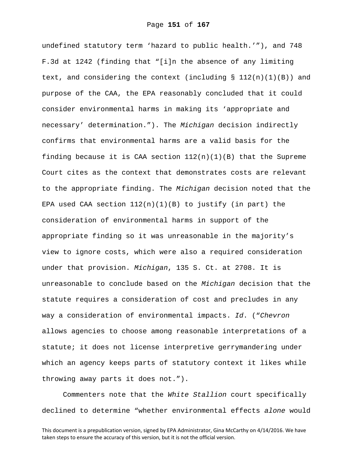undefined statutory term 'hazard to public health.'"), and 748 F.3d at 1242 (finding that "[i]n the absence of any limiting text, and considering the context (including  $\S 112(n)(1)(B)$ ) and purpose of the CAA, the EPA reasonably concluded that it could consider environmental harms in making its 'appropriate and necessary' determination."). The *Michigan* decision indirectly confirms that environmental harms are a valid basis for the finding because it is CAA section  $112(n)(1)(B)$  that the Supreme Court cites as the context that demonstrates costs are relevant to the appropriate finding. The *Michigan* decision noted that the EPA used CAA section  $112(n)(1)(B)$  to justify (in part) the consideration of environmental harms in support of the appropriate finding so it was unreasonable in the majority's view to ignore costs, which were also a required consideration under that provision. *Michigan*, 135 S. Ct. at 2708. It is unreasonable to conclude based on the *Michigan* decision that the statute requires a consideration of cost and precludes in any way a consideration of environmental impacts. *Id*. ("*Chevron* allows agencies to choose among reasonable interpretations of a statute; it does not license interpretive gerrymandering under which an agency keeps parts of statutory context it likes while throwing away parts it does not.").

Commenters note that the *White Stallion* court specifically declined to determine "whether environmental effects *alone* would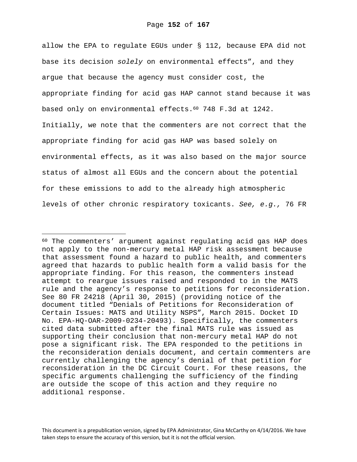allow the EPA to regulate EGUs under § 112, because EPA did not base its decision *solely* on environmental effects", and they argue that because the agency must consider cost, the appropriate finding for acid gas HAP cannot stand because it was based only on environmental effects.60 748 F.3d at 1242. Initially, we note that the commenters are not correct that the appropriate finding for acid gas HAP was based solely on environmental effects, as it was also based on the major source status of almost all EGUs and the concern about the potential for these emissions to add to the already high atmospheric levels of other chronic respiratory toxicants. *See, e.g.,* 76 FR

i

<sup>60</sup> The commenters' argument against regulating acid gas HAP does not apply to the non-mercury metal HAP risk assessment because that assessment found a hazard to public health, and commenters agreed that hazards to public health form a valid basis for the appropriate finding. For this reason, the commenters instead attempt to reargue issues raised and responded to in the MATS rule and the agency's response to petitions for reconsideration. See 80 FR 24218 (April 30, 2015) (providing notice of the document titled "Denials of Petitions for Reconsideration of Certain Issues: MATS and Utility NSPS", March 2015. Docket ID No. EPA-HQ-OAR-2009-0234-20493). Specifically, the commenters cited data submitted after the final MATS rule was issued as supporting their conclusion that non-mercury metal HAP do not pose a significant risk. The EPA responded to the petitions in the reconsideration denials document, and certain commenters are currently challenging the agency's denial of that petition for reconsideration in the DC Circuit Court. For these reasons, the specific arguments challenging the sufficiency of the finding are outside the scope of this action and they require no additional response.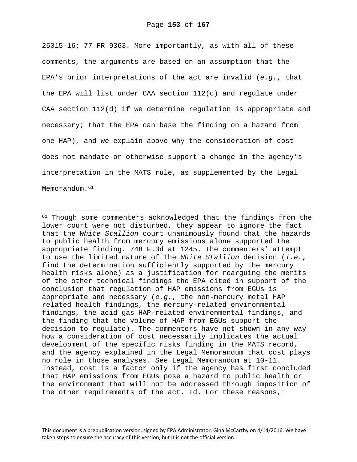25015-16; 77 FR 9363. More importantly, as with all of these comments, the arguments are based on an assumption that the EPA's prior interpretations of the act are invalid (*e.g.*, that the EPA will list under CAA section 112(c) and regulate under CAA section 112(d) if we determine regulation is appropriate and necessary; that the EPA can base the finding on a hazard from one HAP), and we explain above why the consideration of cost does not mandate or otherwise support a change in the agency's interpretation in the MATS rule, as supplemented by the Legal Memorandum.<sup>61</sup>

i<br>Li

<sup>&</sup>lt;sup>61</sup> Though some commenters acknowledged that the findings from the lower court were not disturbed, they appear to ignore the fact that the *White Stallion* court unanimously found that the hazards to public health from mercury emissions alone supported the appropriate finding. 748 F.3d at 1245. The commenters' attempt to use the limited nature of the *White Stallion* decision (*i.e.*, find the determination sufficiently supported by the mercury health risks alone) as a justification for rearguing the merits of the other technical findings the EPA cited in support of the conclusion that regulation of HAP emissions from EGUs is appropriate and necessary (*e.g.*, the non-mercury metal HAP related health findings, the mercury-related environmental findings, the acid gas HAP-related environmental findings, and the finding that the volume of HAP from EGUs support the decision to regulate). The commenters have not shown in any way how a consideration of cost necessarily implicates the actual development of the specific risks finding in the MATS record, and the agency explained in the Legal Memorandum that cost plays no role in those analyses. See Legal Memorandum at 10-11. Instead, cost is a factor only if the agency has first concluded that HAP emissions from EGUs pose a hazard to public health or the environment that will not be addressed through imposition of the other requirements of the act. Id. For these reasons,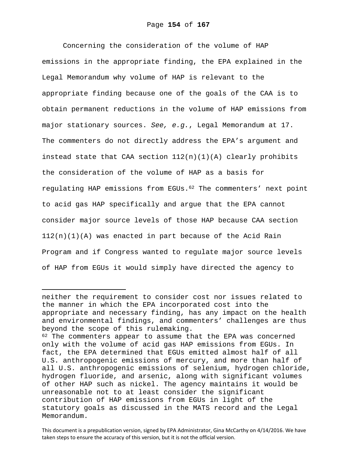Concerning the consideration of the volume of HAP emissions in the appropriate finding, the EPA explained in the Legal Memorandum why volume of HAP is relevant to the appropriate finding because one of the goals of the CAA is to obtain permanent reductions in the volume of HAP emissions from major stationary sources. *See, e.g.*, Legal Memorandum at 17. The commenters do not directly address the EPA's argument and instead state that CAA section  $112(n)(1)(A)$  clearly prohibits the consideration of the volume of HAP as a basis for regulating HAP emissions from EGUs.62 The commenters' next point to acid gas HAP specifically and argue that the EPA cannot consider major source levels of those HAP because CAA section 112(n)(1)(A) was enacted in part because of the Acid Rain Program and if Congress wanted to regulate major source levels of HAP from EGUs it would simply have directed the agency to

i

neither the requirement to consider cost nor issues related to the manner in which the EPA incorporated cost into the appropriate and necessary finding, has any impact on the health and environmental findings, and commenters' challenges are thus beyond the scope of this rulemaking.

<sup>&</sup>lt;sup>62</sup> The commenters appear to assume that the EPA was concerned only with the volume of acid gas HAP emissions from EGUs. In fact, the EPA determined that EGUs emitted almost half of all U.S. anthropogenic emissions of mercury, and more than half of all U.S. anthropogenic emissions of selenium, hydrogen chloride, hydrogen fluoride, and arsenic, along with significant volumes of other HAP such as nickel. The agency maintains it would be unreasonable not to at least consider the significant contribution of HAP emissions from EGUs in light of the statutory goals as discussed in the MATS record and the Legal Memorandum.

This document is a prepublication version, signed by EPA Administrator, Gina McCarthy on 4/14/2016. We have taken steps to ensure the accuracy of this version, but it is not the official version.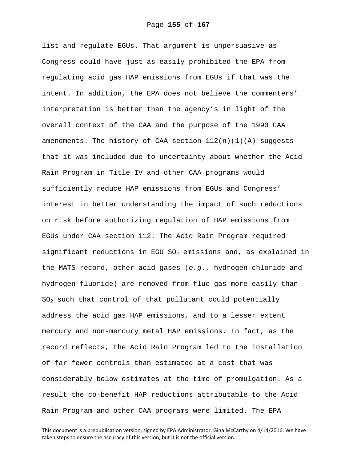list and regulate EGUs. That argument is unpersuasive as Congress could have just as easily prohibited the EPA from regulating acid gas HAP emissions from EGUs if that was the intent. In addition, the EPA does not believe the commenters' interpretation is better than the agency's in light of the overall context of the CAA and the purpose of the 1990 CAA amendments. The history of CAA section 112(n)(1)(A) suggests that it was included due to uncertainty about whether the Acid Rain Program in Title IV and other CAA programs would sufficiently reduce HAP emissions from EGUs and Congress' interest in better understanding the impact of such reductions on risk before authorizing regulation of HAP emissions from EGUs under CAA section 112. The Acid Rain Program required significant reductions in EGU  $SO_2$  emissions and, as explained in the MATS record, other acid gases (*e.g.*, hydrogen chloride and hydrogen fluoride) are removed from flue gas more easily than  $SO<sub>2</sub>$  such that control of that pollutant could potentially address the acid gas HAP emissions, and to a lesser extent mercury and non-mercury metal HAP emissions. In fact, as the record reflects, the Acid Rain Program led to the installation of far fewer controls than estimated at a cost that was considerably below estimates at the time of promulgation. As a result the co-benefit HAP reductions attributable to the Acid Rain Program and other CAA programs were limited. The EPA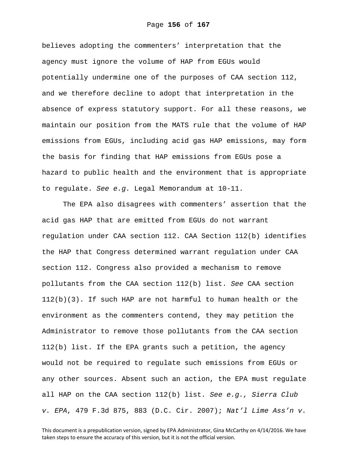believes adopting the commenters' interpretation that the agency must ignore the volume of HAP from EGUs would potentially undermine one of the purposes of CAA section 112, and we therefore decline to adopt that interpretation in the absence of express statutory support. For all these reasons, we maintain our position from the MATS rule that the volume of HAP emissions from EGUs, including acid gas HAP emissions, may form the basis for finding that HAP emissions from EGUs pose a hazard to public health and the environment that is appropriate to regulate. *See e.g.* Legal Memorandum at 10-11.

The EPA also disagrees with commenters' assertion that the acid gas HAP that are emitted from EGUs do not warrant regulation under CAA section 112. CAA Section 112(b) identifies the HAP that Congress determined warrant regulation under CAA section 112. Congress also provided a mechanism to remove pollutants from the CAA section 112(b) list. *See* CAA section 112(b)(3). If such HAP are not harmful to human health or the environment as the commenters contend, they may petition the Administrator to remove those pollutants from the CAA section 112(b) list. If the EPA grants such a petition, the agency would not be required to regulate such emissions from EGUs or any other sources. Absent such an action, the EPA must regulate all HAP on the CAA section 112(b) list. *See e.g., Sierra Club v. EPA*, 479 F.3d 875, 883 (D.C. Cir. 2007); *Nat'l Lime Ass'n v.*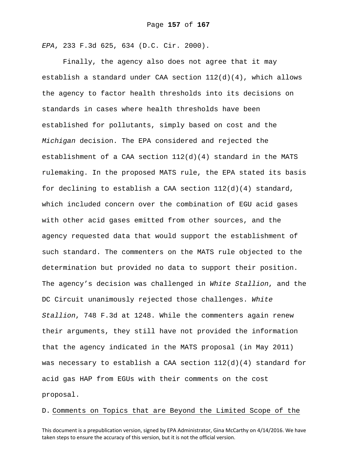*EPA*, 233 F.3d 625, 634 (D.C. Cir. 2000).

Finally, the agency also does not agree that it may establish a standard under CAA section  $112(d)(4)$ , which allows the agency to factor health thresholds into its decisions on standards in cases where health thresholds have been established for pollutants, simply based on cost and the *Michigan* decision. The EPA considered and rejected the establishment of a CAA section  $112(d)(4)$  standard in the MATS rulemaking. In the proposed MATS rule, the EPA stated its basis for declining to establish a CAA section  $112(d)(4)$  standard, which included concern over the combination of EGU acid gases with other acid gases emitted from other sources, and the agency requested data that would support the establishment of such standard. The commenters on the MATS rule objected to the determination but provided no data to support their position. The agency's decision was challenged in *White Stallion*, and the DC Circuit unanimously rejected those challenges. *White Stallion*, 748 F.3d at 1248. While the commenters again renew their arguments, they still have not provided the information that the agency indicated in the MATS proposal (in May 2011) was necessary to establish a CAA section  $112(d)(4)$  standard for acid gas HAP from EGUs with their comments on the cost proposal.

D. Comments on Topics that are Beyond the Limited Scope of the

This document is a prepublication version, signed by EPA Administrator, Gina McCarthy on 4/14/2016. We have taken steps to ensure the accuracy of this version, but it is not the official version.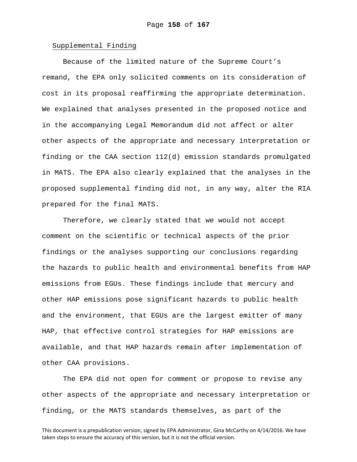### Supplemental Finding

Because of the limited nature of the Supreme Court's remand, the EPA only solicited comments on its consideration of cost in its proposal reaffirming the appropriate determination. We explained that analyses presented in the proposed notice and in the accompanying Legal Memorandum did not affect or alter other aspects of the appropriate and necessary interpretation or finding or the CAA section 112(d) emission standards promulgated in MATS. The EPA also clearly explained that the analyses in the proposed supplemental finding did not, in any way, alter the RIA prepared for the final MATS.

Therefore, we clearly stated that we would not accept comment on the scientific or technical aspects of the prior findings or the analyses supporting our conclusions regarding the hazards to public health and environmental benefits from HAP emissions from EGUs. These findings include that mercury and other HAP emissions pose significant hazards to public health and the environment, that EGUs are the largest emitter of many HAP, that effective control strategies for HAP emissions are available, and that HAP hazards remain after implementation of other CAA provisions.

The EPA did not open for comment or propose to revise any other aspects of the appropriate and necessary interpretation or finding, or the MATS standards themselves, as part of the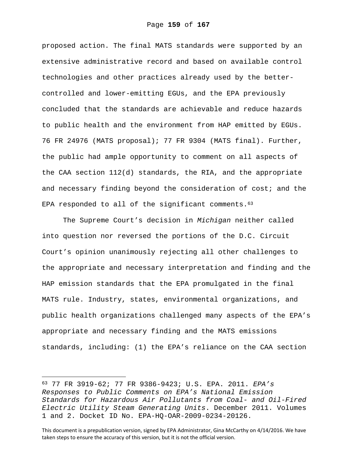proposed action. The final MATS standards were supported by an extensive administrative record and based on available control technologies and other practices already used by the bettercontrolled and lower-emitting EGUs, and the EPA previously concluded that the standards are achievable and reduce hazards to public health and the environment from HAP emitted by EGUs. 76 FR 24976 (MATS proposal); 77 FR 9304 (MATS final). Further, the public had ample opportunity to comment on all aspects of the CAA section 112(d) standards, the RIA, and the appropriate and necessary finding beyond the consideration of cost; and the EPA responded to all of the significant comments.  $63$ 

The Supreme Court's decision in *Michigan* neither called into question nor reversed the portions of the D.C. Circuit Court's opinion unanimously rejecting all other challenges to the appropriate and necessary interpretation and finding and the HAP emission standards that the EPA promulgated in the final MATS rule. Industry, states, environmental organizations, and public health organizations challenged many aspects of the EPA's appropriate and necessary finding and the MATS emissions standards, including: (1) the EPA's reliance on the CAA section

 $\overline{\phantom{0}}$ 

<sup>63 77</sup> FR 3919-62; 77 FR 9386-9423; U.S. EPA. 2011. *EPA's Responses to Public Comments on EPA's National Emission Standards for Hazardous Air Pollutants from Coal- and Oil-Fired Electric Utility Steam Generating Units*. December 2011. Volumes 1 and 2. Docket ID No. EPA-HQ-OAR-2009-0234-20126.

This document is a prepublication version, signed by EPA Administrator, Gina McCarthy on 4/14/2016. We have taken steps to ensure the accuracy of this version, but it is not the official version.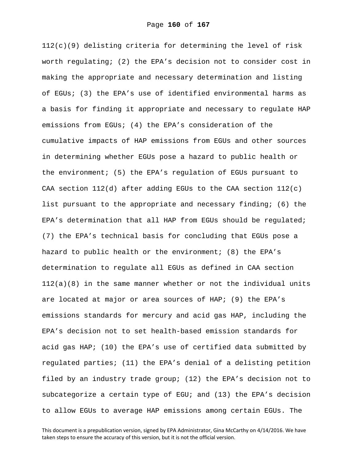$112(c)(9)$  delisting criteria for determining the level of risk worth regulating; (2) the EPA's decision not to consider cost in making the appropriate and necessary determination and listing of EGUs; (3) the EPA's use of identified environmental harms as a basis for finding it appropriate and necessary to regulate HAP emissions from EGUs; (4) the EPA's consideration of the cumulative impacts of HAP emissions from EGUs and other sources in determining whether EGUs pose a hazard to public health or the environment; (5) the EPA's regulation of EGUs pursuant to CAA section  $112(d)$  after adding EGUs to the CAA section  $112(c)$ list pursuant to the appropriate and necessary finding; (6) the EPA's determination that all HAP from EGUs should be regulated; (7) the EPA's technical basis for concluding that EGUs pose a hazard to public health or the environment; (8) the EPA's determination to regulate all EGUs as defined in CAA section 112(a)(8) in the same manner whether or not the individual units are located at major or area sources of HAP; (9) the EPA's emissions standards for mercury and acid gas HAP, including the EPA's decision not to set health-based emission standards for acid gas HAP; (10) the EPA's use of certified data submitted by regulated parties; (11) the EPA's denial of a delisting petition filed by an industry trade group; (12) the EPA's decision not to subcategorize a certain type of EGU; and (13) the EPA's decision to allow EGUs to average HAP emissions among certain EGUs. The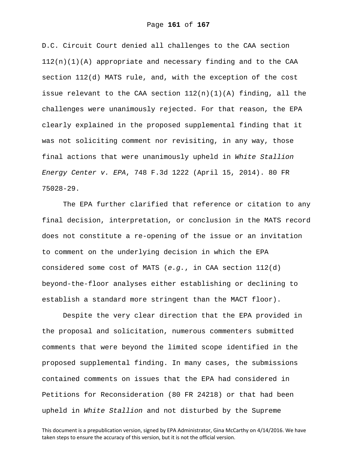D.C. Circuit Court denied all challenges to the CAA section  $112(n)(1)(A)$  appropriate and necessary finding and to the CAA section 112(d) MATS rule, and, with the exception of the cost issue relevant to the CAA section  $112(n)(1)(A)$  finding, all the challenges were unanimously rejected. For that reason, the EPA clearly explained in the proposed supplemental finding that it was not soliciting comment nor revisiting, in any way, those final actions that were unanimously upheld in *White Stallion Energy Center v. EPA*, 748 F.3d 1222 (April 15, 2014). 80 FR 75028-29.

The EPA further clarified that reference or citation to any final decision, interpretation, or conclusion in the MATS record does not constitute a re-opening of the issue or an invitation to comment on the underlying decision in which the EPA considered some cost of MATS (*e.g.*, in CAA section 112(d) beyond-the-floor analyses either establishing or declining to establish a standard more stringent than the MACT floor).

Despite the very clear direction that the EPA provided in the proposal and solicitation, numerous commenters submitted comments that were beyond the limited scope identified in the proposed supplemental finding. In many cases, the submissions contained comments on issues that the EPA had considered in Petitions for Reconsideration (80 FR 24218) or that had been upheld in *White Stallion* and not disturbed by the Supreme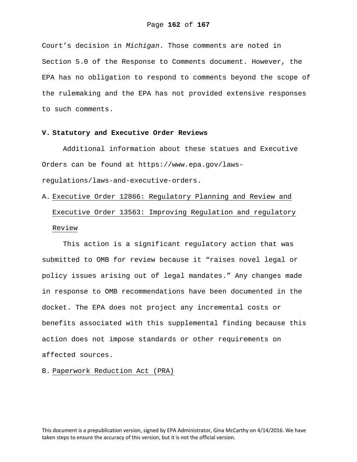Court's decision in *Michigan*. Those comments are noted in Section 5.0 of the Response to Comments document. However, the EPA has no obligation to respond to comments beyond the scope of the rulemaking and the EPA has not provided extensive responses to such comments.

# **V. Statutory and Executive Order Reviews**

Additional information about these statues and Executive Orders can be found at https://www.epa.gov/lawsregulations/laws-and-executive-orders.

A. Executive Order 12866: Regulatory Planning and Review and Executive Order 13563: Improving Regulation and regulatory Review

This action is a significant regulatory action that was submitted to OMB for review because it "raises novel legal or policy issues arising out of legal mandates." Any changes made in response to OMB recommendations have been documented in the docket. The EPA does not project any incremental costs or benefits associated with this supplemental finding because this action does not impose standards or other requirements on affected sources.

B. Paperwork Reduction Act (PRA)

This document is a prepublication version, signed by EPA Administrator, Gina McCarthy on 4/14/2016. We have taken steps to ensure the accuracy of this version, but it is not the official version.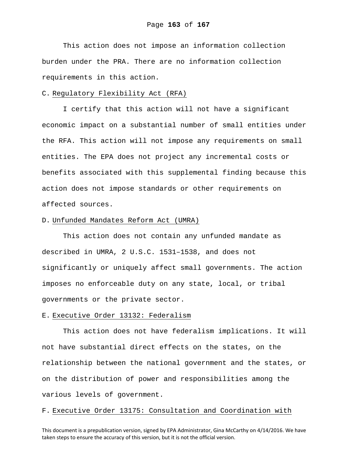This action does not impose an information collection burden under the PRA. There are no information collection requirements in this action.

### C. Regulatory Flexibility Act (RFA)

I certify that this action will not have a significant economic impact on a substantial number of small entities under the RFA. This action will not impose any requirements on small entities. The EPA does not project any incremental costs or benefits associated with this supplemental finding because this action does not impose standards or other requirements on affected sources.

### D. Unfunded Mandates Reform Act (UMRA)

This action does not contain any unfunded mandate as described in UMRA, 2 U.S.C. 1531–1538, and does not significantly or uniquely affect small governments. The action imposes no enforceable duty on any state, local, or tribal governments or the private sector.

#### E. Executive Order 13132: Federalism

This action does not have federalism implications. It will not have substantial direct effects on the states, on the relationship between the national government and the states, or on the distribution of power and responsibilities among the various levels of government.

## F. Executive Order 13175: Consultation and Coordination with

This document is a prepublication version, signed by EPA Administrator, Gina McCarthy on 4/14/2016. We have taken steps to ensure the accuracy of this version, but it is not the official version.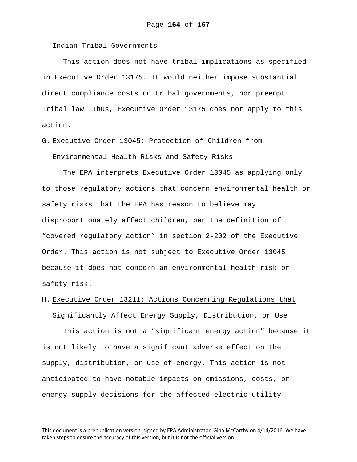### Indian Tribal Governments

This action does not have tribal implications as specified in Executive Order 13175. It would neither impose substantial direct compliance costs on tribal governments, nor preempt Tribal law. Thus, Executive Order 13175 does not apply to this action.

# G. Executive Order 13045: Protection of Children from Environmental Health Risks and Safety Risks

The EPA interprets Executive Order 13045 as applying only to those regulatory actions that concern environmental health or safety risks that the EPA has reason to believe may disproportionately affect children, per the definition of "covered regulatory action" in section 2-202 of the Executive Order. This action is not subject to Executive Order 13045 because it does not concern an environmental health risk or safety risk.

# H. Executive Order 13211: Actions Concerning Regulations that Significantly Affect Energy Supply, Distribution, or Use

This action is not a "significant energy action" because it is not likely to have a significant adverse effect on the supply, distribution, or use of energy. This action is not anticipated to have notable impacts on emissions, costs, or energy supply decisions for the affected electric utility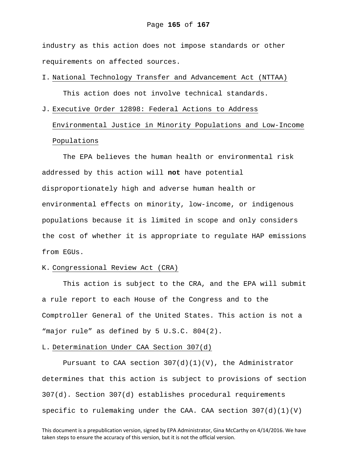industry as this action does not impose standards or other requirements on affected sources.

# I. National Technology Transfer and Advancement Act (NTTAA)

This action does not involve technical standards.

# J. Executive Order 12898: Federal Actions to Address Environmental Justice in Minority Populations and Low-Income Populations

The EPA believes the human health or environmental risk addressed by this action will **not** have potential disproportionately high and adverse human health or environmental effects on minority, low-income, or indigenous populations because it is limited in scope and only considers the cost of whether it is appropriate to regulate HAP emissions from EGUs.

### K. Congressional Review Act (CRA)

This action is subject to the CRA, and the EPA will submit a rule report to each House of the Congress and to the Comptroller General of the United States. This action is not a "major rule" as defined by 5 U.S.C. 804(2).

### L. Determination Under CAA Section 307(d)

Pursuant to CAA section  $307(d)(1)(V)$ , the Administrator determines that this action is subject to provisions of section 307(d). Section 307(d) establishes procedural requirements specific to rulemaking under the CAA. CAA section  $307(d)(1)(V)$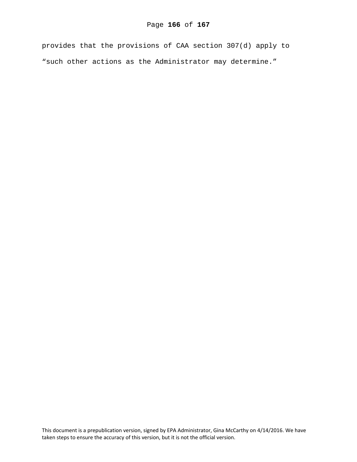provides that the provisions of CAA section 307(d) apply to "such other actions as the Administrator may determine."